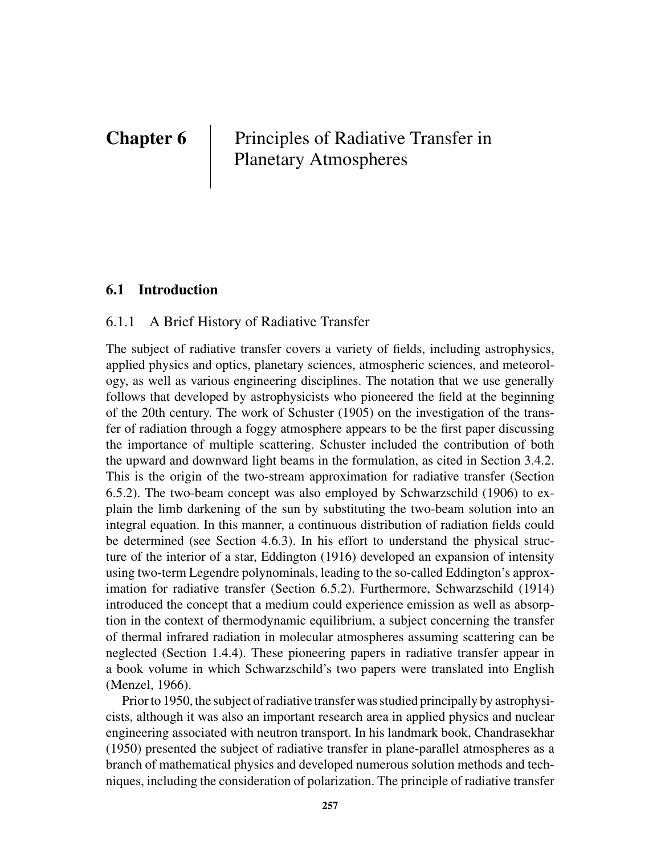# **6.1 Introduction**

# 6.1.1 A Brief History of Radiative Transfer

The subject of radiative transfer covers a variety of fields, including astrophysics, applied physics and optics, planetary sciences, atmospheric sciences, and meteorology, as well as various engineering disciplines. The notation that we use generally follows that developed by astrophysicists who pioneered the field at the beginning of the 20th century. The work of Schuster (1905) on the investigation of the transfer of radiation through a foggy atmosphere appears to be the first paper discussing the importance of multiple scattering. Schuster included the contribution of both the upward and downward light beams in the formulation, as cited in Section 3.4.2. This is the origin of the two-stream approximation for radiative transfer (Section 6.5.2). The two-beam concept was also employed by Schwarzschild (1906) to explain the limb darkening of the sun by substituting the two-beam solution into an integral equation. In this manner, a continuous distribution of radiation fields could be determined (see Section 4.6.3). In his effort to understand the physical structure of the interior of a star, Eddington (1916) developed an expansion of intensity using two-term Legendre polynominals, leading to the so-called Eddington's approximation for radiative transfer (Section 6.5.2). Furthermore, Schwarzschild (1914) introduced the concept that a medium could experience emission as well as absorption in the context of thermodynamic equilibrium, a subject concerning the transfer of thermal infrared radiation in molecular atmospheres assuming scattering can be neglected (Section 1.4.4). These pioneering papers in radiative transfer appear in a book volume in which Schwarzschild's two papers were translated into English (Menzel, 1966).

Prior to 1950, the subject of radiative transfer was studied principally by astrophysicists, although it was also an important research area in applied physics and nuclear engineering associated with neutron transport. In his landmark book, Chandrasekhar (1950) presented the subject of radiative transfer in plane-parallel atmospheres as a branch of mathematical physics and developed numerous solution methods and techniques, including the consideration of polarization. The principle of radiative transfer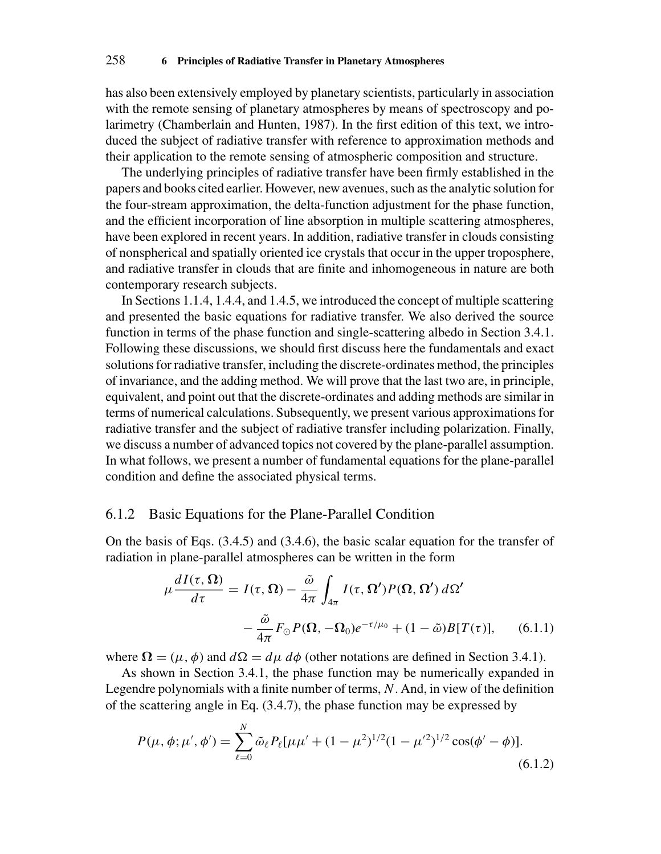has also been extensively employed by planetary scientists, particularly in association with the remote sensing of planetary atmospheres by means of spectroscopy and polarimetry (Chamberlain and Hunten, 1987). In the first edition of this text, we introduced the subject of radiative transfer with reference to approximation methods and their application to the remote sensing of atmospheric composition and structure.

The underlying principles of radiative transfer have been firmly established in the papers and books cited earlier. However, new avenues, such as the analytic solution for the four-stream approximation, the delta-function adjustment for the phase function, and the efficient incorporation of line absorption in multiple scattering atmospheres, have been explored in recent years. In addition, radiative transfer in clouds consisting of nonspherical and spatially oriented ice crystals that occur in the upper troposphere, and radiative transfer in clouds that are finite and inhomogeneous in nature are both contemporary research subjects.

In Sections 1.1.4, 1.4.4, and 1.4.5, we introduced the concept of multiple scattering and presented the basic equations for radiative transfer. We also derived the source function in terms of the phase function and single-scattering albedo in Section 3.4.1. Following these discussions, we should first discuss here the fundamentals and exact solutions for radiative transfer, including the discrete-ordinates method, the principles of invariance, and the adding method. We will prove that the last two are, in principle, equivalent, and point out that the discrete-ordinates and adding methods are similar in terms of numerical calculations. Subsequently, we present various approximations for radiative transfer and the subject of radiative transfer including polarization. Finally, we discuss a number of advanced topics not covered by the plane-parallel assumption. In what follows, we present a number of fundamental equations for the plane-parallel condition and define the associated physical terms.

#### 6.1.2 Basic Equations for the Plane-Parallel Condition

On the basis of Eqs. (3.4.5) and (3.4.6), the basic scalar equation for the transfer of radiation in plane-parallel atmospheres can be written in the form

$$
\mu \frac{dI(\tau, \Omega)}{d\tau} = I(\tau, \Omega) - \frac{\tilde{\omega}}{4\pi} \int_{4\pi} I(\tau, \Omega') P(\Omega, \Omega') d\Omega'
$$

$$
- \frac{\tilde{\omega}}{4\pi} F_{\odot} P(\Omega, -\Omega_0) e^{-\tau/\mu_0} + (1 - \tilde{\omega}) B[T(\tau)], \qquad (6.1.1)
$$

where  $\Omega = (\mu, \phi)$  and  $d\Omega = d\mu d\phi$  (other notations are defined in Section 3.4.1).

As shown in Section 3.4.1, the phase function may be numerically expanded in Legendre polynomials with a finite number of terms, *N*. And, in view of the definition of the scattering angle in Eq. (3.4.7), the phase function may be expressed by

$$
P(\mu, \phi; \mu', \phi') = \sum_{\ell=0}^{N} \tilde{\omega}_{\ell} P_{\ell} [\mu \mu' + (1 - \mu^2)^{1/2} (1 - \mu'^2)^{1/2} \cos(\phi' - \phi)].
$$
\n(6.1.2)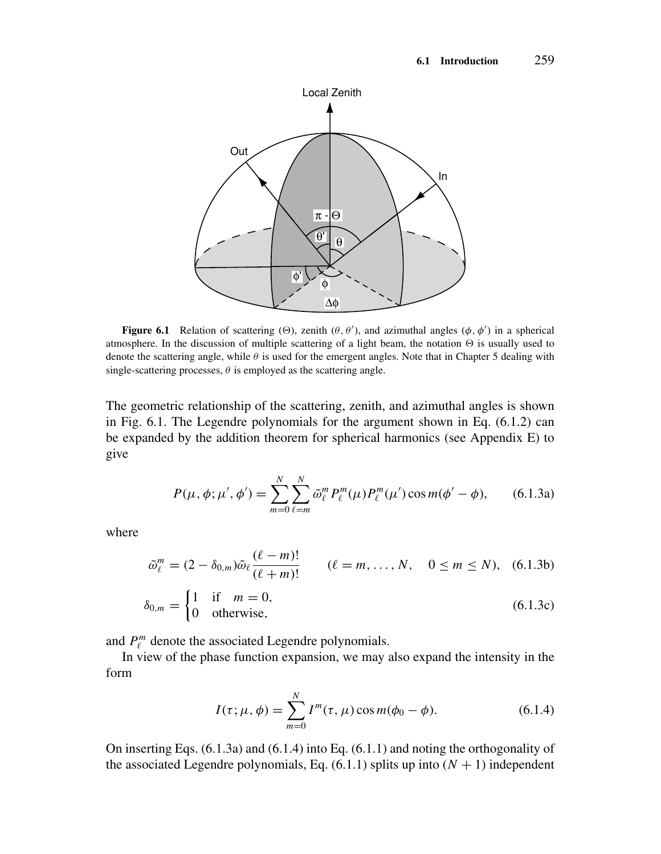

**Figure 6.1** Relation of scattering ( $\Theta$ ), zenith ( $\theta$ ,  $\theta'$ ), and azimuthal angles ( $\phi$ ,  $\phi'$ ) in a spherical atmosphere. In the discussion of multiple scattering of a light beam, the notation  $\Theta$  is usually used to denote the scattering angle, while  $\theta$  is used for the emergent angles. Note that in Chapter 5 dealing with single-scattering processes,  $\theta$  is employed as the scattering angle.

The geometric relationship of the scattering, zenith, and azimuthal angles is shown in Fig. 6.1. The Legendre polynomials for the argument shown in Eq. (6.1.2) can be expanded by the addition theorem for spherical harmonics (see Appendix E) to give

$$
P(\mu, \phi; \mu', \phi') = \sum_{m=0}^{N} \sum_{\ell=m}^{N} \tilde{\omega}_{\ell}^{m} P_{\ell}^{m}(\mu) P_{\ell}^{m}(\mu') \cos m(\phi' - \phi), \qquad (6.1.3a)
$$

where

$$
\tilde{\omega}_{\ell}^{m} = (2 - \delta_{0,m}) \tilde{\omega}_{\ell} \frac{(\ell - m)!}{(\ell + m)!} \qquad (\ell = m, ..., N, \quad 0 \le m \le N), \quad (6.1.3b)
$$

$$
\delta_{0,m} = \begin{cases} 1 & \text{if } m = 0, \\ 0 & \text{otherwise,} \end{cases}
$$
 (6.1.3c)

and  $P_{\ell}^{m}$  denote the associated Legendre polynomials.

In view of the phase function expansion, we may also expand the intensity in the form

$$
I(\tau; \mu, \phi) = \sum_{m=0}^{N} I^{m}(\tau, \mu) \cos m(\phi_0 - \phi).
$$
 (6.1.4)

On inserting Eqs. (6.1.3a) and (6.1.4) into Eq. (6.1.1) and noting the orthogonality of the associated Legendre polynomials, Eq.  $(6.1.1)$  splits up into  $(N + 1)$  independent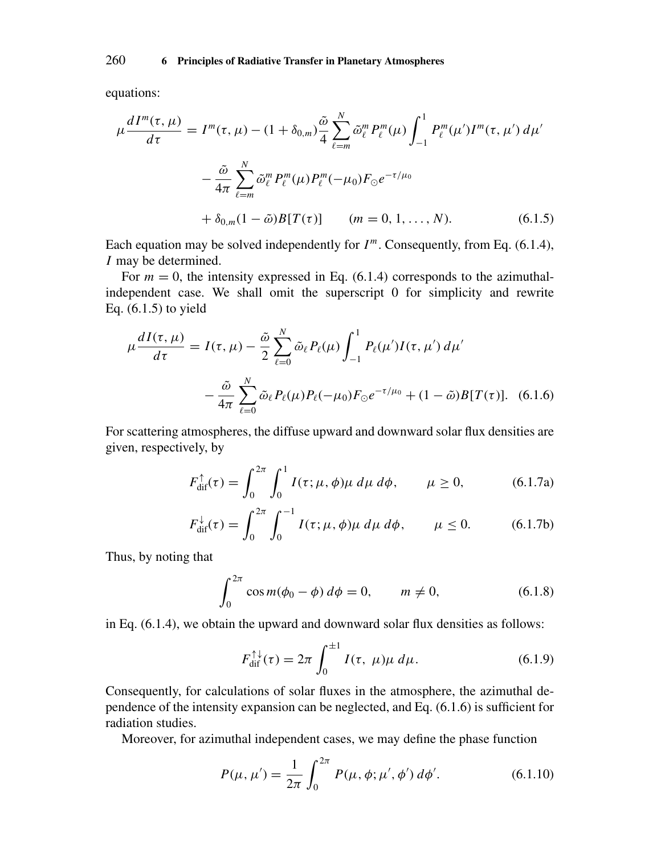equations:

$$
\mu \frac{dI^{m}(\tau, \mu)}{d\tau} = I^{m}(\tau, \mu) - (1 + \delta_{0,m}) \frac{\tilde{\omega}}{4} \sum_{\ell=m}^{N} \tilde{\omega}_{\ell}^{m} P_{\ell}^{m}(\mu) \int_{-1}^{1} P_{\ell}^{m}(\mu') I^{m}(\tau, \mu') d\mu'
$$

$$
- \frac{\tilde{\omega}}{4\pi} \sum_{\ell=m}^{N} \tilde{\omega}_{\ell}^{m} P_{\ell}^{m}(\mu) P_{\ell}^{m}(-\mu_{0}) F_{\odot} e^{-\tau/\mu_{0}}
$$

$$
+ \delta_{0,m} (1 - \tilde{\omega}) B[T(\tau)] \qquad (m = 0, 1, ..., N). \qquad (6.1.5)
$$

Each equation may be solved independently for  $I^m$ . Consequently, from Eq. (6.1.4), *I* may be determined.

For  $m = 0$ , the intensity expressed in Eq. (6.1.4) corresponds to the azimuthalindependent case. We shall omit the superscript 0 for simplicity and rewrite Eq. (6.1.5) to yield

$$
\mu \frac{dI(\tau, \mu)}{d\tau} = I(\tau, \mu) - \frac{\tilde{\omega}}{2} \sum_{\ell=0}^{N} \tilde{\omega}_{\ell} P_{\ell}(\mu) \int_{-1}^{1} P_{\ell}(\mu') I(\tau, \mu') d\mu'
$$

$$
- \frac{\tilde{\omega}}{4\pi} \sum_{\ell=0}^{N} \tilde{\omega}_{\ell} P_{\ell}(\mu) P_{\ell}(-\mu_0) F_{\odot} e^{-\tau/\mu_0} + (1 - \tilde{\omega}) B[T(\tau)]. \quad (6.1.6)
$$

For scattering atmospheres, the diffuse upward and downward solar flux densities are given, respectively, by

$$
F_{\text{dif}}^{\uparrow}(\tau) = \int_0^{2\pi} \int_0^1 I(\tau; \mu, \phi) \mu \, d\mu \, d\phi, \qquad \mu \ge 0,
$$
 (6.1.7a)

$$
F_{\text{dif}}^{\downarrow}(\tau) = \int_0^{2\pi} \int_0^{-1} I(\tau; \mu, \phi) \mu \, d\mu \, d\phi, \qquad \mu \le 0. \tag{6.1.7b}
$$

Thus, by noting that

$$
\int_0^{2\pi} \cos m(\phi_0 - \phi) \, d\phi = 0, \qquad m \neq 0,
$$
\n(6.1.8)

in Eq. (6.1.4), we obtain the upward and downward solar flux densities as follows:

$$
F_{\text{dif}}^{\uparrow\downarrow}(\tau) = 2\pi \int_0^{\pm 1} I(\tau, \ \mu)\mu \ d\mu. \tag{6.1.9}
$$

Consequently, for calculations of solar fluxes in the atmosphere, the azimuthal dependence of the intensity expansion can be neglected, and Eq. (6.1.6) is sufficient for radiation studies.

Moreover, for azimuthal independent cases, we may define the phase function

$$
P(\mu, \mu') = \frac{1}{2\pi} \int_0^{2\pi} P(\mu, \phi; \mu', \phi') d\phi'.
$$
 (6.1.10)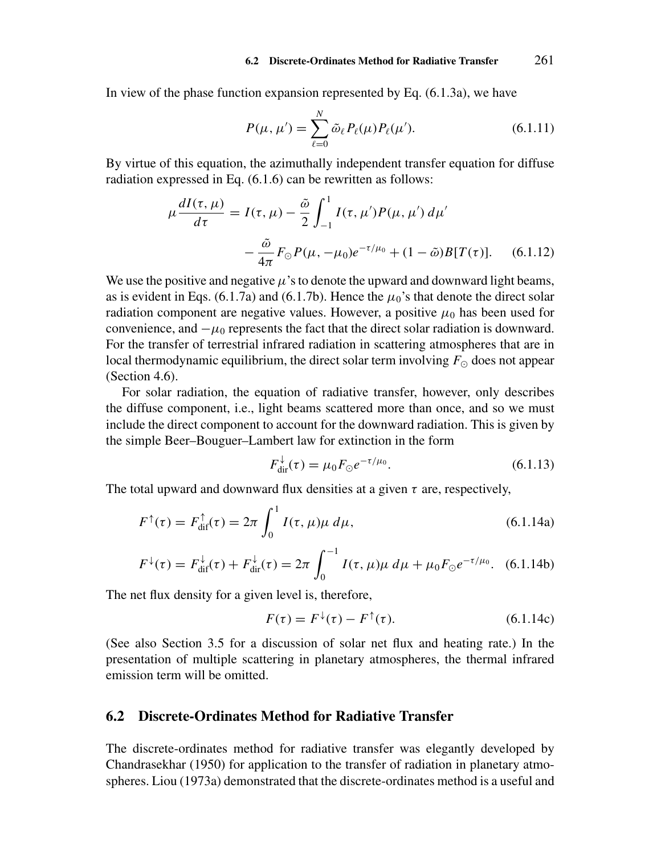In view of the phase function expansion represented by Eq. (6.1.3a), we have

$$
P(\mu, \mu') = \sum_{\ell=0}^{N} \tilde{\omega}_{\ell} P_{\ell}(\mu) P_{\ell}(\mu').
$$
 (6.1.11)

By virtue of this equation, the azimuthally independent transfer equation for diffuse radiation expressed in Eq. (6.1.6) can be rewritten as follows:

$$
\mu \frac{dI(\tau, \mu)}{d\tau} = I(\tau, \mu) - \frac{\tilde{\omega}}{2} \int_{-1}^{1} I(\tau, \mu') P(\mu, \mu') d\mu'
$$

$$
- \frac{\tilde{\omega}}{4\pi} F_{\odot} P(\mu, -\mu_0) e^{-\tau/\mu_0} + (1 - \tilde{\omega}) B[T(\tau)]. \quad (6.1.12)
$$

We use the positive and negative  $\mu$ 's to denote the upward and downward light beams, as is evident in Eqs. (6.1.7a) and (6.1.7b). Hence the  $\mu_0$ 's that denote the direct solar radiation component are negative values. However, a positive  $\mu_0$  has been used for convenience, and  $-\mu_0$  represents the fact that the direct solar radiation is downward. For the transfer of terrestrial infrared radiation in scattering atmospheres that are in local thermodynamic equilibrium, the direct solar term involving  $F_{\odot}$  does not appear (Section 4.6).

For solar radiation, the equation of radiative transfer, however, only describes the diffuse component, i.e., light beams scattered more than once, and so we must include the direct component to account for the downward radiation. This is given by the simple Beer–Bouguer–Lambert law for extinction in the form

$$
F_{\rm dir}^{\downarrow}(\tau) = \mu_0 F_{\odot} e^{-\tau/\mu_0}.
$$
 (6.1.13)

The total upward and downward flux densities at a given  $\tau$  are, respectively,

$$
F^{\uparrow}(\tau) = F_{\text{dif}}^{\uparrow}(\tau) = 2\pi \int_0^1 I(\tau, \mu)\mu \, d\mu, \tag{6.1.14a}
$$

$$
F^{\downarrow}(\tau) = F^{\downarrow}_{\text{dif}}(\tau) + F^{\downarrow}_{\text{dir}}(\tau) = 2\pi \int_0^{-1} I(\tau, \mu)\mu \, d\mu + \mu_0 F_{\odot} e^{-\tau/\mu_0}.
$$
 (6.1.14b)

The net flux density for a given level is, therefore,

$$
F(\tau) = F^{\downarrow}(\tau) - F^{\uparrow}(\tau). \tag{6.1.14c}
$$

(See also Section 3.5 for a discussion of solar net flux and heating rate.) In the presentation of multiple scattering in planetary atmospheres, the thermal infrared emission term will be omitted.

# **6.2 Discrete-Ordinates Method for Radiative Transfer**

The discrete-ordinates method for radiative transfer was elegantly developed by Chandrasekhar (1950) for application to the transfer of radiation in planetary atmospheres. Liou (1973a) demonstrated that the discrete-ordinates method is a useful and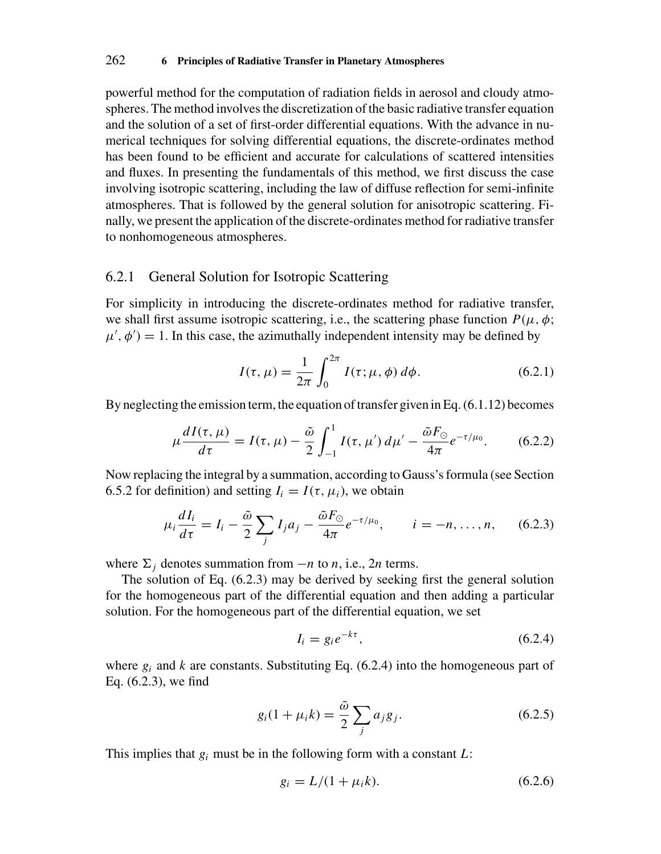powerful method for the computation of radiation fields in aerosol and cloudy atmospheres. The method involves the discretization of the basic radiative transfer equation and the solution of a set of first-order differential equations. With the advance in numerical techniques for solving differential equations, the discrete-ordinates method has been found to be efficient and accurate for calculations of scattered intensities and fluxes. In presenting the fundamentals of this method, we first discuss the case involving isotropic scattering, including the law of diffuse reflection for semi-infinite atmospheres. That is followed by the general solution for anisotropic scattering. Finally, we present the application of the discrete-ordinates method for radiative transfer to nonhomogeneous atmospheres.

#### 6.2.1 General Solution for Isotropic Scattering

For simplicity in introducing the discrete-ordinates method for radiative transfer, we shall first assume isotropic scattering, i.e., the scattering phase function  $P(\mu, \phi)$ ;  $\mu', \phi'$  = 1. In this case, the azimuthally independent intensity may be defined by

$$
I(\tau, \mu) = \frac{1}{2\pi} \int_0^{2\pi} I(\tau; \mu, \phi) \, d\phi. \tag{6.2.1}
$$

By neglecting the emission term, the equation of transfer given in Eq. (6.1.12) becomes

$$
\mu \frac{dI(\tau, \mu)}{d\tau} = I(\tau, \mu) - \frac{\tilde{\omega}}{2} \int_{-1}^{1} I(\tau, \mu') d\mu' - \frac{\tilde{\omega} F_{\odot}}{4\pi} e^{-\tau/\mu_{0}}.
$$
 (6.2.2)

Now replacing the integral by a summation, according to Gauss's formula (see Section 6.5.2 for definition) and setting  $I_i = I(\tau, \mu_i)$ , we obtain

$$
\mu_i \frac{dI_i}{d\tau} = I_i - \frac{\tilde{\omega}}{2} \sum_j I_j a_j - \frac{\tilde{\omega} F_{\odot}}{4\pi} e^{-\tau/\mu_0}, \qquad i = -n, \dots, n, \qquad (6.2.3)
$$

where  $\Sigma_i$  denotes summation from  $-n$  to *n*, i.e., 2*n* terms.

The solution of Eq. (6.2.3) may be derived by seeking first the general solution for the homogeneous part of the differential equation and then adding a particular solution. For the homogeneous part of the differential equation, we set

$$
I_i = g_i e^{-k\tau},\tag{6.2.4}
$$

where  $g_i$  and  $k$  are constants. Substituting Eq. (6.2.4) into the homogeneous part of Eq. (6.2.3), we find

$$
g_i(1 + \mu_i k) = \frac{\tilde{\omega}}{2} \sum_j a_j g_j.
$$
\n(6.2.5)

This implies that *gi* must be in the following form with a constant *L*:

$$
g_i = L/(1 + \mu_i k). \tag{6.2.6}
$$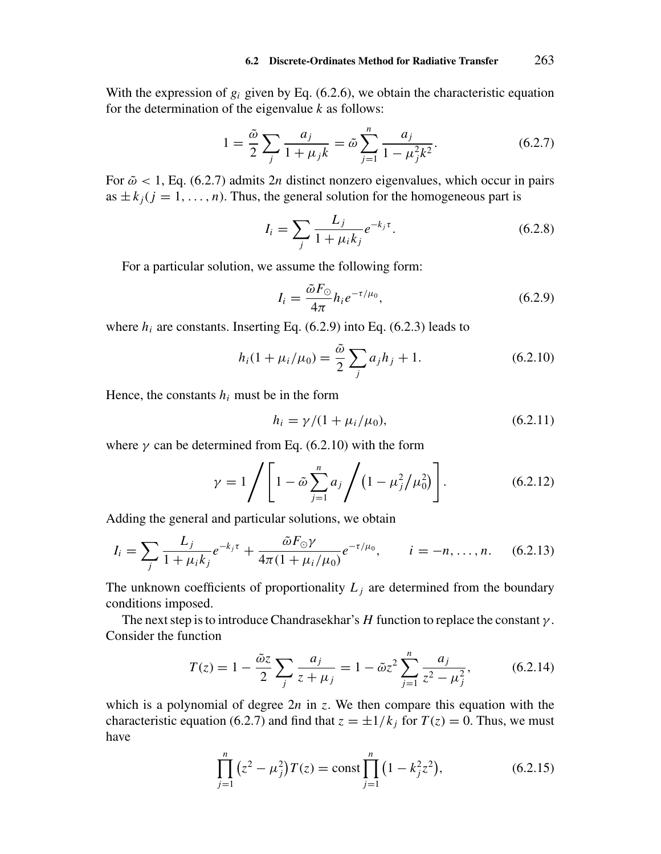With the expression of  $g_i$  given by Eq.  $(6.2.6)$ , we obtain the characteristic equation for the determination of the eigenvalue *k* as follows:

$$
1 = \frac{\tilde{\omega}}{2} \sum_{j} \frac{a_j}{1 + \mu_j k} = \tilde{\omega} \sum_{j=1}^{n} \frac{a_j}{1 - \mu_j^2 k^2}.
$$
 (6.2.7)

For  $\tilde{\omega}$  < 1, Eq. (6.2.7) admits 2*n* distinct nonzero eigenvalues, which occur in pairs as  $\pm k_j$  ( $j = 1, \ldots, n$ ). Thus, the general solution for the homogeneous part is

$$
I_i = \sum_j \frac{L_j}{1 + \mu_i k_j} e^{-k_j \tau}.
$$
 (6.2.8)

For a particular solution, we assume the following form:

$$
I_i = \frac{\tilde{\omega} F_{\odot}}{4\pi} h_i e^{-\tau/\mu_0},\tag{6.2.9}
$$

where  $h_i$  are constants. Inserting Eq.  $(6.2.9)$  into Eq.  $(6.2.3)$  leads to

$$
h_i(1 + \mu_i/\mu_0) = \frac{\tilde{\omega}}{2} \sum_j a_j h_j + 1.
$$
 (6.2.10)

Hence, the constants  $h_i$  must be in the form

$$
h_i = \gamma/(1 + \mu_i/\mu_0), \tag{6.2.11}
$$

where  $\gamma$  can be determined from Eq. (6.2.10) with the form

$$
\gamma = 1 / \left[ 1 - \tilde{\omega} \sum_{j=1}^{n} a_j / \left( 1 - \mu_j^2 / \mu_0^2 \right) \right].
$$
 (6.2.12)

Adding the general and particular solutions, we obtain

$$
I_i = \sum_j \frac{L_j}{1 + \mu_i k_j} e^{-k_j \tau} + \frac{\tilde{\omega} F_{\odot} \gamma}{4\pi (1 + \mu_i / \mu_0)} e^{-\tau / \mu_0}, \qquad i = -n, \dots, n. \tag{6.2.13}
$$

The unknown coefficients of proportionality  $L_i$  are determined from the boundary conditions imposed.

The next step is to introduce Chandrasekhar's  $H$  function to replace the constant  $\gamma$ . Consider the function

$$
T(z) = 1 - \frac{\tilde{\omega}z}{2} \sum_{j} \frac{a_j}{z + \mu_j} = 1 - \tilde{\omega}z^2 \sum_{j=1}^{n} \frac{a_j}{z^2 - \mu_j^2},
$$
 (6.2.14)

which is a polynomial of degree 2*n* in *z*. We then compare this equation with the characteristic equation (6.2.7) and find that  $z = \pm 1/k_i$  for  $T(z) = 0$ . Thus, we must have

$$
\prod_{j=1}^{n} (z^2 - \mu_j^2) T(z) = \text{const} \prod_{j=1}^{n} (1 - k_j^2 z^2), \tag{6.2.15}
$$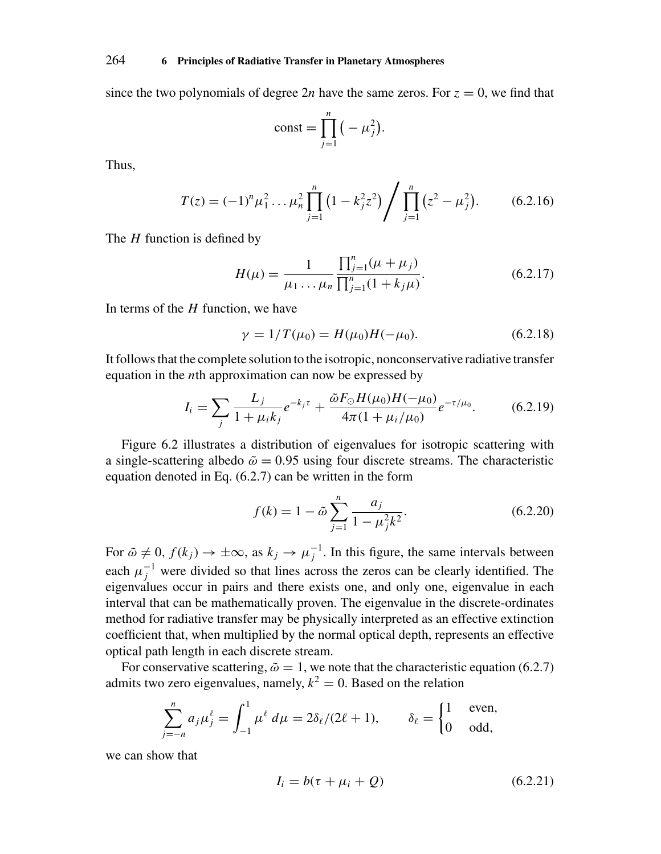since the two polynomials of degree 2*n* have the same zeros. For  $z = 0$ , we find that

$$
const = \prod_{j=1}^{n} \left( -\mu_j^2 \right)
$$

Thus,

$$
T(z) = (-1)^n \mu_1^2 \dots \mu_n^2 \prod_{j=1}^n (1 - k_j^2 z^2) / \prod_{j=1}^n (z^2 - \mu_j^2).
$$
 (6.2.16)

*.*

The *H* function is defined by

$$
H(\mu) = \frac{1}{\mu_1 \dots \mu_n} \frac{\prod_{j=1}^n (\mu + \mu_j)}{\prod_{j=1}^n (1 + k_j \mu)}.
$$
 (6.2.17)

In terms of the *H* function, we have

$$
\gamma = 1/T(\mu_0) = H(\mu_0)H(-\mu_0). \tag{6.2.18}
$$

It follows that the complete solution to the isotropic, nonconservative radiative transfer equation in the *n*th approximation can now be expressed by

$$
I_i = \sum_j \frac{L_j}{1 + \mu_i k_j} e^{-k_j \tau} + \frac{\tilde{\omega} F_{\odot} H(\mu_0) H(-\mu_0)}{4\pi (1 + \mu_i/\mu_0)} e^{-\tau/\mu_0}.
$$
 (6.2.19)

Figure 6.2 illustrates a distribution of eigenvalues for isotropic scattering with a single-scattering albedo  $\tilde{\omega} = 0.95$  using four discrete streams. The characteristic equation denoted in Eq. (6.2.7) can be written in the form

$$
f(k) = 1 - \tilde{\omega} \sum_{j=1}^{n} \frac{a_j}{1 - \mu_j^2 k^2}.
$$
 (6.2.20)

For  $\tilde{\omega} \neq 0$ ,  $f(k_j) \rightarrow \pm \infty$ , as  $k_j \rightarrow \mu_j^{-1}$ . In this figure, the same intervals between each  $\mu_j^{-1}$  were divided so that lines across the zeros can be clearly identified. The eigenvalues occur in pairs and there exists one, and only one, eigenvalue in each interval that can be mathematically proven. The eigenvalue in the discrete-ordinates method for radiative transfer may be physically interpreted as an effective extinction coefficient that, when multiplied by the normal optical depth, represents an effective optical path length in each discrete stream.

For conservative scattering,  $\tilde{\omega} = 1$ , we note that the characteristic equation (6.2.7) admits two zero eigenvalues, namely,  $k^2 = 0$ . Based on the relation

$$
\sum_{j=-n}^{n} a_j \mu_j^{\ell} = \int_{-1}^{1} \mu^{\ell} d\mu = 2\delta_{\ell}/(2\ell+1), \qquad \delta_{\ell} = \begin{cases} 1 & \text{even,} \\ 0 & \text{odd,} \end{cases}
$$

we can show that

$$
I_i = b(\tau + \mu_i + Q) \tag{6.2.21}
$$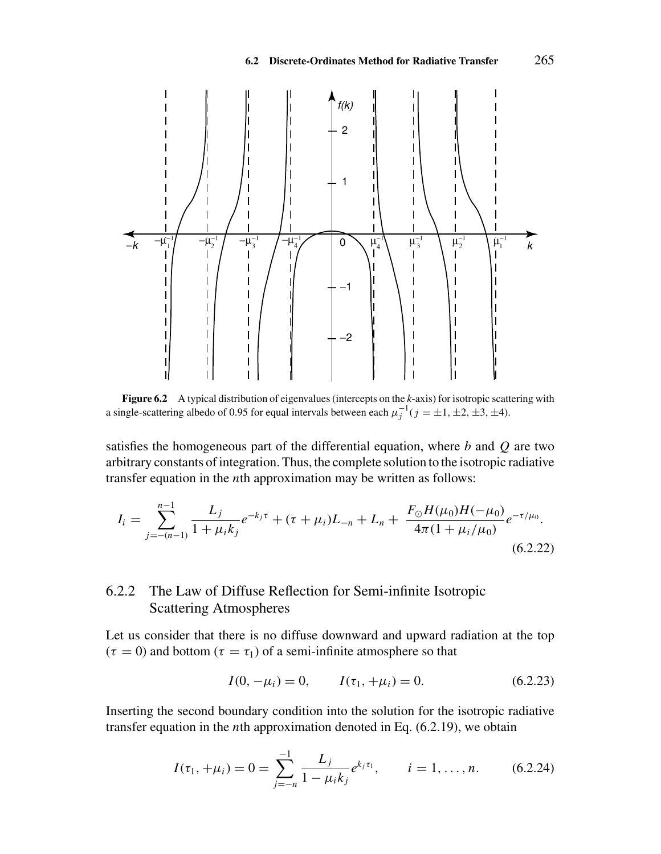

**Figure 6.2** A typical distribution of eigenvalues (intercepts on the *k*-axis) for isotropic scattering with a single-scattering albedo of 0.95 for equal intervals between each  $\mu_j^{-1}$  ( $j = \pm 1, \pm 2, \pm 3, \pm 4$ ).

satisfies the homogeneous part of the differential equation, where *b* and *Q* are two arbitrary constants of integration. Thus, the complete solution to the isotropic radiative transfer equation in the *n*th approximation may be written as follows:

$$
I_{i} = \sum_{j=-(n-1)}^{n-1} \frac{L_{j}}{1+\mu_{i}k_{j}} e^{-k_{j}\tau} + (\tau + \mu_{i})L_{-n} + L_{n} + \frac{F_{\odot}H(\mu_{0})H(-\mu_{0})}{4\pi(1+\mu_{i}/\mu_{0})} e^{-\tau/\mu_{0}}.
$$
\n(6.2.22)

# 6.2.2 The Law of Diffuse Reflection for Semi-infinite Isotropic Scattering Atmospheres

Let us consider that there is no diffuse downward and upward radiation at the top  $(\tau = 0)$  and bottom  $(\tau = \tau_1)$  of a semi-infinite atmosphere so that

$$
I(0, -\mu_i) = 0,
$$
  $I(\tau_1, +\mu_i) = 0.$  (6.2.23)

Inserting the second boundary condition into the solution for the isotropic radiative transfer equation in the *n*th approximation denoted in Eq. (6.2.19), we obtain

$$
I(\tau_1, +\mu_i) = 0 = \sum_{j=-n}^{-1} \frac{L_j}{1 - \mu_i k_j} e^{k_j \tau_1}, \qquad i = 1, ..., n.
$$
 (6.2.24)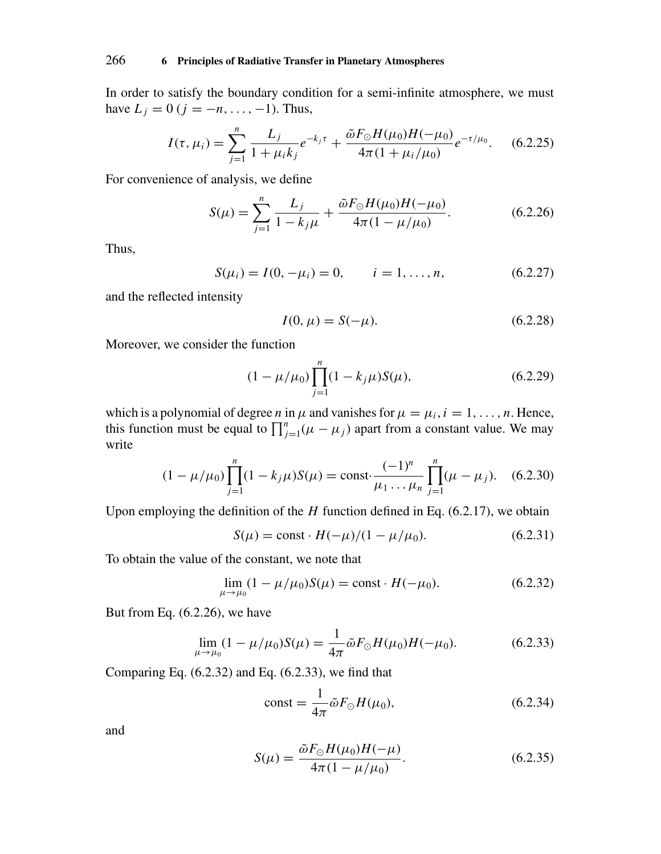In order to satisfy the boundary condition for a semi-infinite atmosphere, we must have  $L_j = 0$  ( $j = -n, ..., -1$ ). Thus,

$$
I(\tau, \mu_i) = \sum_{j=1}^{n} \frac{L_j}{1 + \mu_i k_j} e^{-k_j \tau} + \frac{\tilde{\omega} F_{\odot} H(\mu_0) H(-\mu_0)}{4\pi (1 + \mu_i/\mu_0)} e^{-\tau/\mu_0}.
$$
 (6.2.25)

For convenience of analysis, we define

$$
S(\mu) = \sum_{j=1}^{n} \frac{L_j}{1 - k_j \mu} + \frac{\tilde{\omega} F_{\odot} H(\mu_0) H(-\mu_0)}{4\pi (1 - \mu/\mu_0)}.
$$
 (6.2.26)

Thus,

$$
S(\mu_i) = I(0, -\mu_i) = 0, \qquad i = 1, ..., n,
$$
 (6.2.27)

and the reflected intensity

$$
I(0, \mu) = S(-\mu). \tag{6.2.28}
$$

Moreover, we consider the function

$$
(1 - \mu/\mu_0) \prod_{j=1}^{n} (1 - k_j \mu) S(\mu), \tag{6.2.29}
$$

which is a polynomial of degree *n* in  $\mu$  and vanishes for  $\mu = \mu_i, i = 1, \ldots, n$ . Hence, this function must be equal to  $\prod_{j=1}^{n}(\mu - \mu_j)$  apart from a constant value. We may write

$$
(1 - \mu/\mu_0) \prod_{j=1}^n (1 - k_j \mu) S(\mu) = \text{const} \cdot \frac{(-1)^n}{\mu_1 \dots \mu_n} \prod_{j=1}^n (\mu - \mu_j). \quad (6.2.30)
$$

Upon employing the definition of the *H* function defined in Eq. (6.2.17), we obtain

$$
S(\mu) = \text{const} \cdot H(-\mu)/(1 - \mu/\mu_0). \tag{6.2.31}
$$

To obtain the value of the constant, we note that

$$
\lim_{\mu \to \mu_0} (1 - \mu/\mu_0) S(\mu) = \text{const} \cdot H(-\mu_0). \tag{6.2.32}
$$

But from Eq. (6.2.26), we have

$$
\lim_{\mu \to \mu_0} (1 - \mu/\mu_0) S(\mu) = \frac{1}{4\pi} \tilde{\omega} F_{\odot} H(\mu_0) H(-\mu_0).
$$
 (6.2.33)

Comparing Eq.  $(6.2.32)$  and Eq.  $(6.2.33)$ , we find that

$$
const = \frac{1}{4\pi} \tilde{\omega} F_{\odot} H(\mu_0), \qquad (6.2.34)
$$

and

$$
S(\mu) = \frac{\tilde{\omega}F_{\odot}H(\mu_0)H(-\mu)}{4\pi(1-\mu/\mu_0)}.
$$
 (6.2.35)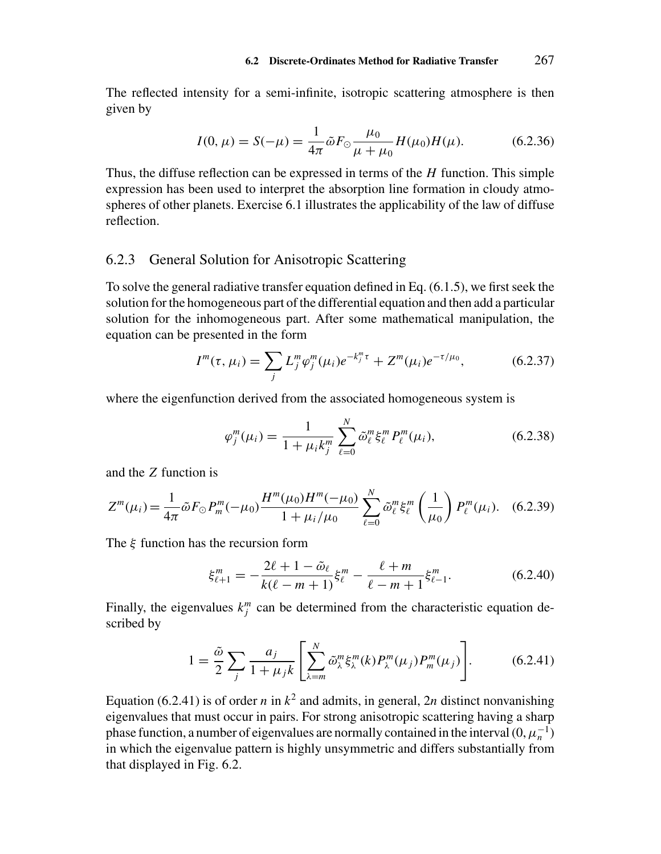The reflected intensity for a semi-infinite, isotropic scattering atmosphere is then given by

$$
I(0, \mu) = S(-\mu) = \frac{1}{4\pi} \tilde{\omega} F_{\odot} \frac{\mu_0}{\mu + \mu_0} H(\mu_0) H(\mu).
$$
 (6.2.36)

Thus, the diffuse reflection can be expressed in terms of the *H* function. This simple expression has been used to interpret the absorption line formation in cloudy atmospheres of other planets. Exercise 6.1 illustrates the applicability of the law of diffuse reflection.

### 6.2.3 General Solution for Anisotropic Scattering

To solve the general radiative transfer equation defined in Eq. (6.1.5), we first seek the solution for the homogeneous part of the differential equation and then add a particular solution for the inhomogeneous part. After some mathematical manipulation, the equation can be presented in the form

$$
I^{m}(\tau, \mu_{i}) = \sum_{j} L_{j}^{m} \varphi_{j}^{m}(\mu_{i}) e^{-k_{j}^{m} \tau} + Z^{m}(\mu_{i}) e^{-\tau/\mu_{0}}, \qquad (6.2.37)
$$

where the eigenfunction derived from the associated homogeneous system is

$$
\varphi_j^m(\mu_i) = \frac{1}{1 + \mu_i k_j^m} \sum_{\ell=0}^N \tilde{\omega}_{\ell}^m \xi_{\ell}^m P_{\ell}^m(\mu_i), \qquad (6.2.38)
$$

and the *Z* function is

$$
Z^{m}(\mu_{i}) = \frac{1}{4\pi} \tilde{\omega} F_{\odot} P_{m}^{m}(-\mu_{0}) \frac{H^{m}(\mu_{0}) H^{m}(-\mu_{0})}{1 + \mu_{i}/\mu_{0}} \sum_{\ell=0}^{N} \tilde{\omega}_{\ell}^{m} \xi_{\ell}^{m} \left(\frac{1}{\mu_{0}}\right) P_{\ell}^{m}(\mu_{i}). \quad (6.2.39)
$$

The  $\xi$  function has the recursion form

$$
\xi_{\ell+1}^m = -\frac{2\ell+1-\tilde{\omega}_{\ell}}{k(\ell-m+1)}\xi_{\ell}^m - \frac{\ell+m}{\ell-m+1}\xi_{\ell-1}^m.
$$
 (6.2.40)

Finally, the eigenvalues  $k_j^m$  can be determined from the characteristic equation described by

$$
1 = \frac{\tilde{\omega}}{2} \sum_{j} \frac{a_j}{1 + \mu_j k} \left[ \sum_{\lambda=m}^{N} \tilde{\omega}_{\lambda}^{m} \xi_{\lambda}^{m}(k) P_{\lambda}^{m}(\mu_j) P_{m}^{m}(\mu_j) \right].
$$
 (6.2.41)

Equation (6.2.41) is of order *n* in  $k^2$  and admits, in general, 2*n* distinct nonvanishing eigenvalues that must occur in pairs. For strong anisotropic scattering having a sharp phase function, a number of eigenvalues are normally contained in the interval  $(0, \mu_n^{-1})$ in which the eigenvalue pattern is highly unsymmetric and differs substantially from that displayed in Fig. 6.2.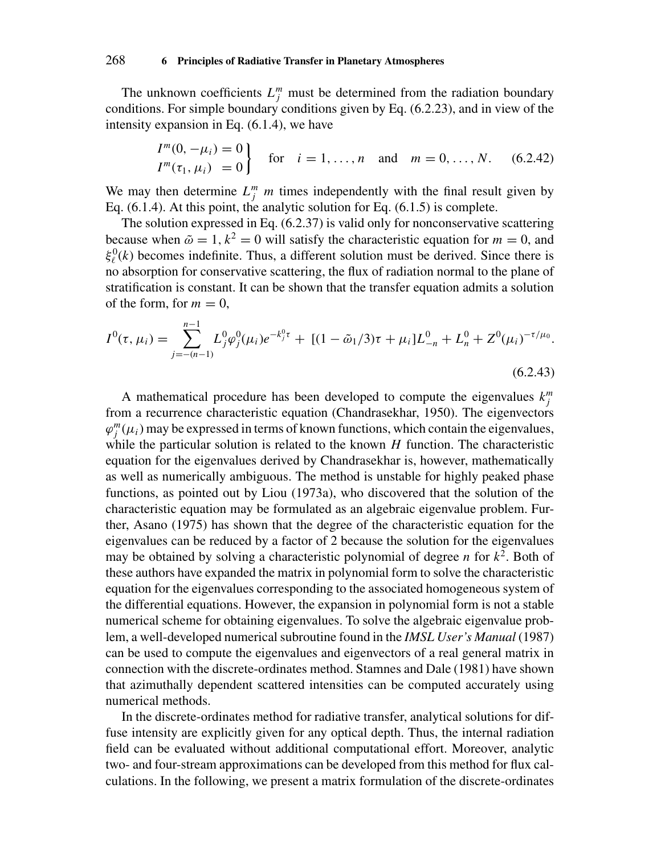The unknown coefficients  $L_j^m$  must be determined from the radiation boundary conditions. For simple boundary conditions given by Eq. (6.2.23), and in view of the intensity expansion in Eq. (6.1.4), we have

$$
\begin{aligned}\nI^m(0, -\mu_i) &= 0 \\
I^m(\tau_1, \mu_i) &= 0\n\end{aligned}\n\text{ for } i = 1, \dots, n \text{ and } m = 0, \dots, N. \quad (6.2.42)
$$

We may then determine  $L_j^m$  *m* times independently with the final result given by Eq. (6.1.4). At this point, the analytic solution for Eq. (6.1.5) is complete.

The solution expressed in Eq. (6.2.37) is valid only for nonconservative scattering because when  $\tilde{\omega} = 1, k^2 = 0$  will satisfy the characteristic equation for  $m = 0$ , and  $\xi_{\ell}^{0}(k)$  becomes indefinite. Thus, a different solution must be derived. Since there is no absorption for conservative scattering, the flux of radiation normal to the plane of stratification is constant. It can be shown that the transfer equation admits a solution of the form, for  $m = 0$ ,

$$
I^{0}(\tau, \mu_{i}) = \sum_{j=-(n-1)}^{n-1} L_{j}^{0} \varphi_{j}^{0}(\mu_{i}) e^{-k_{j}^{0}\tau} + [(1-\tilde{\omega}_{1}/3)\tau + \mu_{i}]L_{-n}^{0} + L_{n}^{0} + Z^{0}(\mu_{i})^{-\tau/\mu_{0}}.
$$
\n(6.2.43)

A mathematical procedure has been developed to compute the eigenvalues  $k_j^m$ from a recurrence characteristic equation (Chandrasekhar, 1950). The eigenvectors  $\varphi_j^m(\mu_i)$  may be expressed in terms of known functions, which contain the eigenvalues, while the particular solution is related to the known *H* function. The characteristic equation for the eigenvalues derived by Chandrasekhar is, however, mathematically as well as numerically ambiguous. The method is unstable for highly peaked phase functions, as pointed out by Liou (1973a), who discovered that the solution of the characteristic equation may be formulated as an algebraic eigenvalue problem. Further, Asano (1975) has shown that the degree of the characteristic equation for the eigenvalues can be reduced by a factor of 2 because the solution for the eigenvalues may be obtained by solving a characteristic polynomial of degree *n* for  $k^2$ . Both of these authors have expanded the matrix in polynomial form to solve the characteristic equation for the eigenvalues corresponding to the associated homogeneous system of the differential equations. However, the expansion in polynomial form is not a stable numerical scheme for obtaining eigenvalues. To solve the algebraic eigenvalue problem, a well-developed numerical subroutine found in the *IMSL User's Manual* (1987) can be used to compute the eigenvalues and eigenvectors of a real general matrix in connection with the discrete-ordinates method. Stamnes and Dale (1981) have shown that azimuthally dependent scattered intensities can be computed accurately using numerical methods.

In the discrete-ordinates method for radiative transfer, analytical solutions for diffuse intensity are explicitly given for any optical depth. Thus, the internal radiation field can be evaluated without additional computational effort. Moreover, analytic two- and four-stream approximations can be developed from this method for flux calculations. In the following, we present a matrix formulation of the discrete-ordinates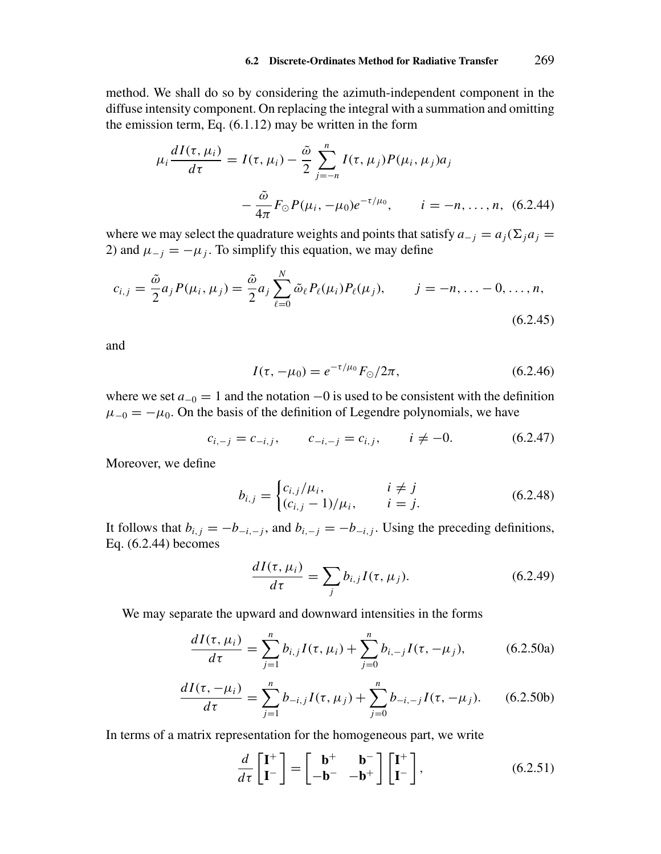method. We shall do so by considering the azimuth-independent component in the diffuse intensity component. On replacing the integral with a summation and omitting the emission term, Eq. (6.1.12) may be written in the form

$$
\mu_i \frac{dI(\tau, \mu_i)}{d\tau} = I(\tau, \mu_i) - \frac{\tilde{\omega}}{2} \sum_{j=-n}^n I(\tau, \mu_j) P(\mu_i, \mu_j) a_j - \frac{\tilde{\omega}}{4\pi} F_{\odot} P(\mu_i, -\mu_0) e^{-\tau/\mu_0}, \qquad i = -n, \dots, n, \tag{6.2.44}
$$

where we may select the quadrature weights and points that satisfy  $a_{-j} = a_j(\Sigma_j a_j)$ 2) and  $\mu_{-i} = -\mu_i$ . To simplify this equation, we may define

$$
c_{i,j} = \frac{\tilde{\omega}}{2} a_j P(\mu_i, \mu_j) = \frac{\tilde{\omega}}{2} a_j \sum_{\ell=0}^N \tilde{\omega}_{\ell} P_{\ell}(\mu_i) P_{\ell}(\mu_j), \qquad j = -n, \dots - 0, \dots, n,
$$
\n(6.2.45)

and

$$
I(\tau, -\mu_0) = e^{-\tau/\mu_0} F_{\odot}/2\pi, \qquad (6.2.46)
$$

where we set  $a_{-0} = 1$  and the notation  $-0$  is used to be consistent with the definition  $\mu_{-0} = -\mu_0$ . On the basis of the definition of Legendre polynomials, we have

$$
c_{i,-j} = c_{-i,j}, \qquad c_{-i,-j} = c_{i,j}, \qquad i \neq -0. \tag{6.2.47}
$$

Moreover, we define

$$
b_{i,j} = \begin{cases} c_{i,j}/\mu_i, & i \neq j \\ (c_{i,j} - 1)/\mu_i, & i = j. \end{cases}
$$
 (6.2.48)

It follows that  $b_{i,j} = -b_{-i,-j}$ , and  $b_{i,-j} = -b_{-i,j}$ . Using the preceding definitions, Eq. (6.2.44) becomes

$$
\frac{dI(\tau,\mu_i)}{d\tau} = \sum_j b_{i,j} I(\tau,\mu_j). \tag{6.2.49}
$$

We may separate the upward and downward intensities in the forms

$$
\frac{dI(\tau,\mu_i)}{d\tau} = \sum_{j=1}^n b_{i,j} I(\tau,\mu_i) + \sum_{j=0}^n b_{i,-j} I(\tau,-\mu_j),
$$
(6.2.50a)

$$
\frac{dI(\tau, -\mu_i)}{d\tau} = \sum_{j=1}^n b_{-i,j} I(\tau, \mu_j) + \sum_{j=0}^n b_{-i,-j} I(\tau, -\mu_j). \tag{6.2.50b}
$$

In terms of a matrix representation for the homogeneous part, we write

$$
\frac{d}{d\tau} \begin{bmatrix} \mathbf{I}^+ \\ \mathbf{I}^- \end{bmatrix} = \begin{bmatrix} \mathbf{b}^+ & \mathbf{b}^- \\ -\mathbf{b}^- & -\mathbf{b}^+ \end{bmatrix} \begin{bmatrix} \mathbf{I}^+ \\ \mathbf{I}^- \end{bmatrix},\tag{6.2.51}
$$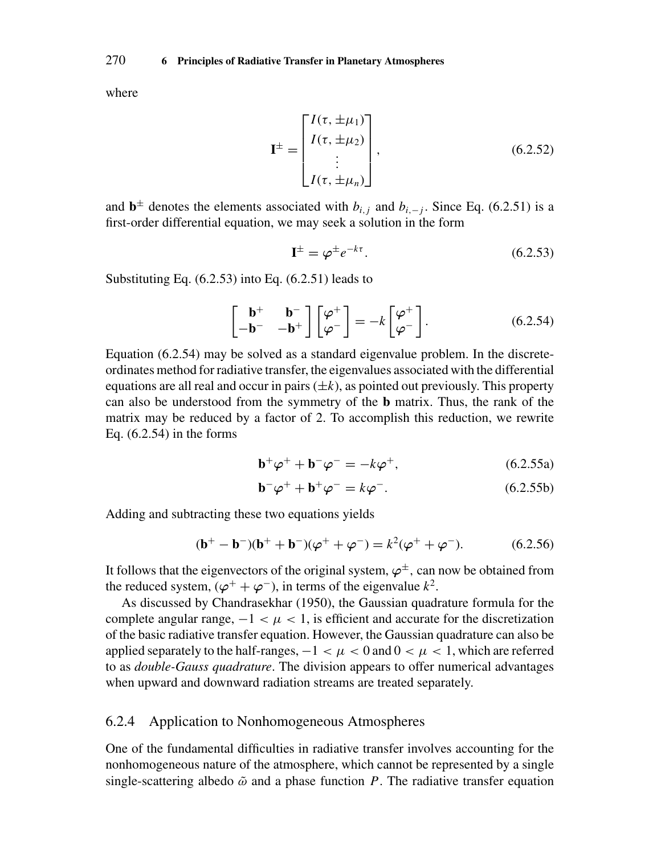where

$$
\mathbf{I}^{\pm} = \begin{bmatrix} I(\tau, \pm \mu_1) \\ I(\tau, \pm \mu_2) \\ \vdots \\ I(\tau, \pm \mu_n) \end{bmatrix}, \tag{6.2.52}
$$

and **b**<sup>±</sup> denotes the elements associated with  $b_{i,j}$  and  $b_{i,-j}$ . Since Eq. (6.2.51) is a first-order differential equation, we may seek a solution in the form

$$
\mathbf{I}^{\pm} = \varphi^{\pm} e^{-k\tau}.
$$
 (6.2.53)

Substituting Eq.  $(6.2.53)$  into Eq.  $(6.2.51)$  leads to

$$
\begin{bmatrix} \mathbf{b}^+ & \mathbf{b}^- \\ -\mathbf{b}^- & -\mathbf{b}^+ \end{bmatrix} \begin{bmatrix} \varphi^+ \\ \varphi^- \end{bmatrix} = -k \begin{bmatrix} \varphi^+ \\ \varphi^- \end{bmatrix}.
$$
 (6.2.54)

Equation (6.2.54) may be solved as a standard eigenvalue problem. In the discreteordinates method for radiative transfer, the eigenvalues associated with the differential equations are all real and occur in pairs  $(\pm k)$ , as pointed out previously. This property can also be understood from the symmetry of the **b** matrix. Thus, the rank of the matrix may be reduced by a factor of 2. To accomplish this reduction, we rewrite Eq. (6.2.54) in the forms

$$
\mathbf{b}^+\varphi^+ + \mathbf{b}^-\varphi^- = -k\varphi^+, \qquad (6.2.55a)
$$

$$
\mathbf{b}^- \boldsymbol{\varphi}^+ + \mathbf{b}^+ \boldsymbol{\varphi}^- = k \boldsymbol{\varphi}^-.
$$
 (6.2.55b)

Adding and subtracting these two equations yields

$$
(\mathbf{b}^+ - \mathbf{b}^-)(\mathbf{b}^+ + \mathbf{b}^-)(\varphi^+ + \varphi^-) = k^2(\varphi^+ + \varphi^-). \tag{6.2.56}
$$

It follows that the eigenvectors of the original system,  $\varphi^{\pm}$ , can now be obtained from the reduced system,  $(\varphi^+ + \varphi^-)$ , in terms of the eigenvalue  $k^2$ .

As discussed by Chandrasekhar (1950), the Gaussian quadrature formula for the complete angular range,  $-1 < \mu < 1$ , is efficient and accurate for the discretization of the basic radiative transfer equation. However, the Gaussian quadrature can also be applied separately to the half-ranges,  $-1 < \mu < 0$  and  $0 < \mu < 1$ , which are referred to as *double-Gauss quadrature*. The division appears to offer numerical advantages when upward and downward radiation streams are treated separately.

# 6.2.4 Application to Nonhomogeneous Atmospheres

One of the fundamental difficulties in radiative transfer involves accounting for the nonhomogeneous nature of the atmosphere, which cannot be represented by a single single-scattering albedo  $\tilde{\omega}$  and a phase function *P*. The radiative transfer equation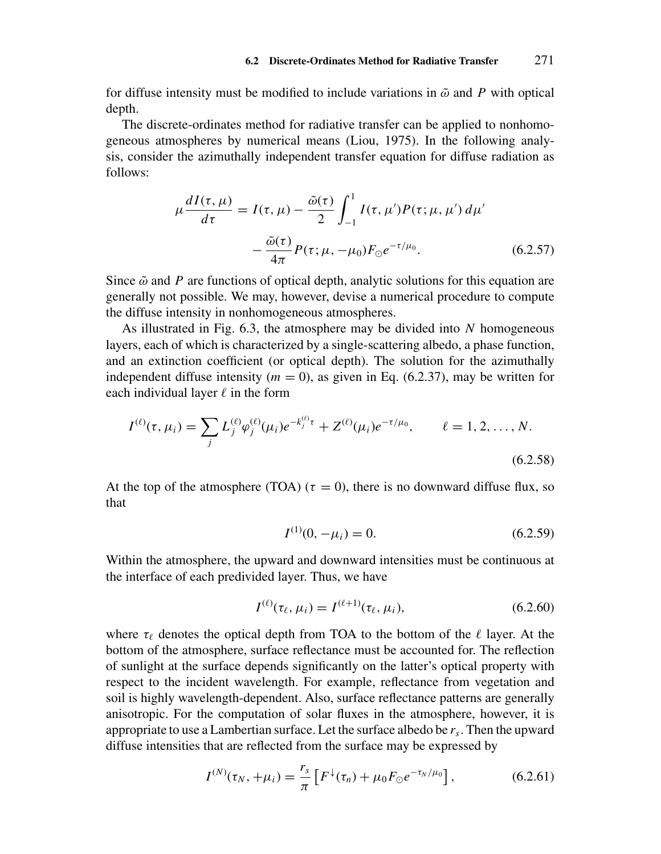for diffuse intensity must be modified to include variations in  $\tilde{\omega}$  and P with optical depth.

The discrete-ordinates method for radiative transfer can be applied to nonhomogeneous atmospheres by numerical means (Liou, 1975). In the following analysis, consider the azimuthally independent transfer equation for diffuse radiation as follows:

$$
\mu \frac{dI(\tau, \mu)}{d\tau} = I(\tau, \mu) - \frac{\tilde{\omega}(\tau)}{2} \int_{-1}^{1} I(\tau, \mu') P(\tau; \mu, \mu') d\mu'
$$

$$
- \frac{\tilde{\omega}(\tau)}{4\pi} P(\tau; \mu, -\mu_0) F_{\odot} e^{-\tau/\mu_0}.
$$
(6.2.57)

Since  $\tilde{\omega}$  and *P* are functions of optical depth, analytic solutions for this equation are generally not possible. We may, however, devise a numerical procedure to compute the diffuse intensity in nonhomogeneous atmospheres.

As illustrated in Fig. 6.3, the atmosphere may be divided into *N* homogeneous layers, each of which is characterized by a single-scattering albedo, a phase function, and an extinction coefficient (or optical depth). The solution for the azimuthally independent diffuse intensity ( $m = 0$ ), as given in Eq. (6.2.37), may be written for each individual layer  $\ell$  in the form

$$
I^{(\ell)}(\tau, \mu_i) = \sum_j L_j^{(\ell)} \varphi_j^{(\ell)}(\mu_i) e^{-k_j^{(\ell)} \tau} + Z^{(\ell)}(\mu_i) e^{-\tau/\mu_0}, \qquad \ell = 1, 2, ..., N.
$$
\n(6.2.58)

At the top of the atmosphere (TOA) ( $\tau = 0$ ), there is no downward diffuse flux, so that

$$
I^{(1)}(0, -\mu_i) = 0. \tag{6.2.59}
$$

Within the atmosphere, the upward and downward intensities must be continuous at the interface of each predivided layer. Thus, we have

$$
I^{(\ell)}(\tau_{\ell}, \mu_{i}) = I^{(\ell+1)}(\tau_{\ell}, \mu_{i}), \qquad (6.2.60)
$$

where  $\tau_{\ell}$  denotes the optical depth from TOA to the bottom of the  $\ell$  layer. At the bottom of the atmosphere, surface reflectance must be accounted for. The reflection of sunlight at the surface depends significantly on the latter's optical property with respect to the incident wavelength. For example, reflectance from vegetation and soil is highly wavelength-dependent. Also, surface reflectance patterns are generally anisotropic. For the computation of solar fluxes in the atmosphere, however, it is appropriate to use a Lambertian surface. Let the surface albedo be *rs*. Then the upward diffuse intensities that are reflected from the surface may be expressed by

$$
I^{(N)}(\tau_N, +\mu_i) = \frac{r_s}{\pi} \left[ F^{\downarrow}(\tau_n) + \mu_0 F_{\odot} e^{-\tau_N/\mu_0} \right], \tag{6.2.61}
$$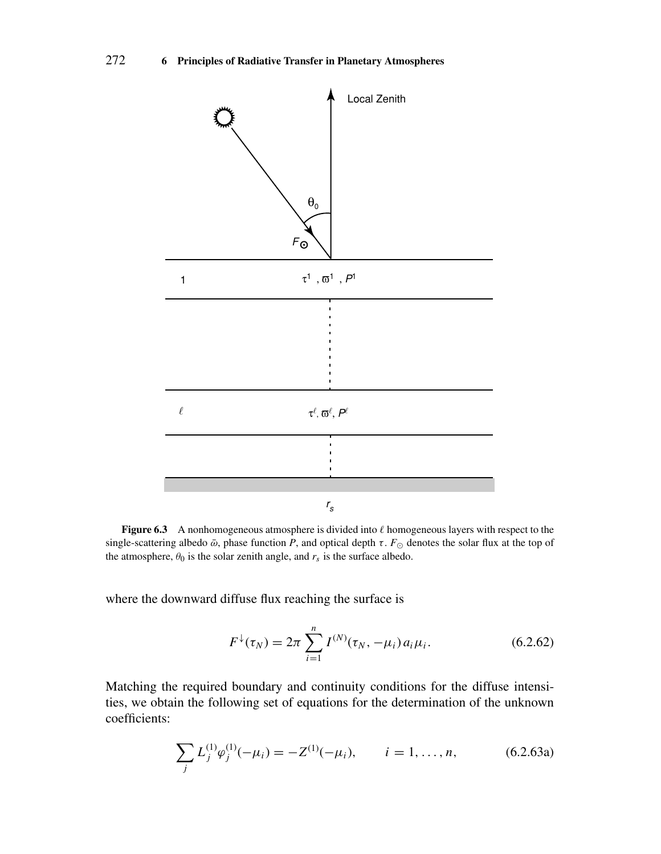

**Figure 6.3** A nonhomogeneous atmosphere is divided into ℓ homogeneous layers with respect to the single-scattering albedo  $\bar{\omega}$ , phase function *P*, and optical depth  $\tau$ .  $F_{\odot}$  denotes the solar flux at the top of the atmosphere,  $\theta_0$  is the solar zenith angle, and  $r_s$  is the surface albedo.

where the downward diffuse flux reaching the surface is

$$
F^{\downarrow}(\tau_N) = 2\pi \sum_{i=1}^{n} I^{(N)}(\tau_N, -\mu_i) a_i \mu_i.
$$
 (6.2.62)

Matching the required boundary and continuity conditions for the diffuse intensities, we obtain the following set of equations for the determination of the unknown coefficients:

$$
\sum_{j} L_j^{(1)} \varphi_j^{(1)}(-\mu_i) = -Z^{(1)}(-\mu_i), \qquad i = 1, \dots, n,
$$
 (6.2.63a)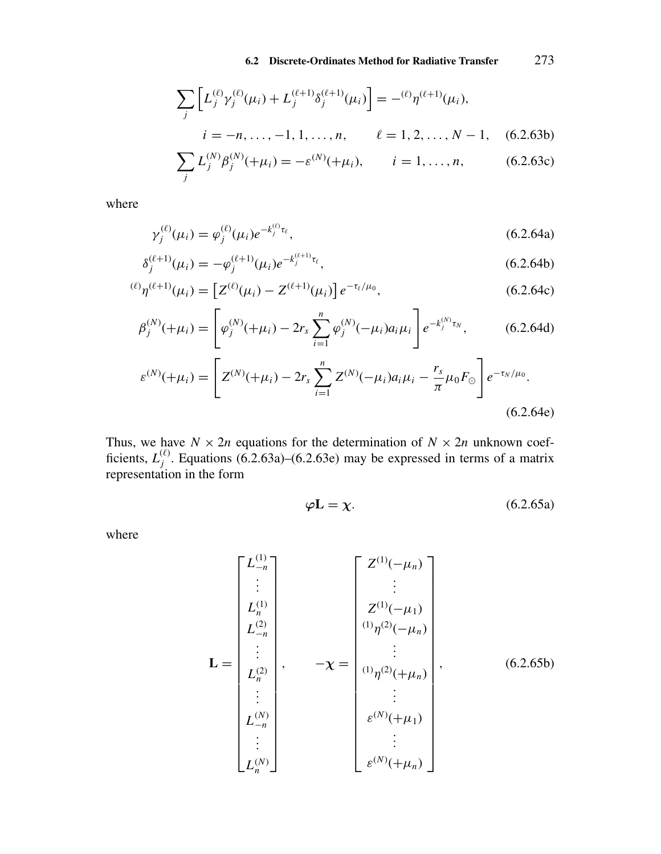$$
\sum_{j} \left[ L_{j}^{(\ell)} \gamma_{j}^{(\ell)}(\mu_{i}) + L_{j}^{(\ell+1)} \delta_{j}^{(\ell+1)}(\mu_{i}) \right] = -\frac{(\ell)}{\eta} \eta^{(\ell+1)}(\mu_{i}),
$$
\n
$$
i = -n, \dots, -1, 1, \dots, n, \qquad \ell = 1, 2, \dots, N - 1, \quad (6.2.63b)
$$
\n
$$
\sum L_{j}^{(N)} \beta_{j}^{(N)}(+\mu_{i}) = -\varepsilon^{(N)}(+\mu_{i}), \qquad i = 1, \dots, n, \qquad (6.2.63c)
$$

where

*j*

$$
\gamma_j^{(\ell)}(\mu_i) = \varphi_j^{(\ell)}(\mu_i) e^{-k_j^{(\ell)} \tau_\ell},\tag{6.2.64a}
$$

$$
\delta_j^{(\ell+1)}(\mu_i) = -\varphi_j^{(\ell+1)}(\mu_i)e^{-k_j^{(\ell+1)}\tau_\ell},\tag{6.2.64b}
$$

$$
^{(\ell)}\eta^{(\ell+1)}(\mu_i) = \left[Z^{(\ell)}(\mu_i) - Z^{(\ell+1)}(\mu_i)\right]e^{-\tau_{\ell}/\mu_0},\tag{6.2.64c}
$$

$$
\beta_j^{(N)}(+\mu_i) = \left[\varphi_j^{(N)}(+\mu_i) - 2r_s \sum_{i=1}^n \varphi_j^{(N)}(-\mu_i) a_i \mu_i\right] e^{-k_j^{(N)}\tau_N},\tag{6.2.64d}
$$

$$
\varepsilon^{(N)}(+\mu_i) = \left[Z^{(N)}(+\mu_i) - 2r_s \sum_{i=1}^n Z^{(N)}(-\mu_i) a_i \mu_i - \frac{r_s}{\pi} \mu_0 F_{\odot}\right] e^{-\tau_N/\mu_0}.
$$
\n(6.2.64e)

Thus, we have  $N \times 2n$  equations for the determination of  $N \times 2n$  unknown coefficients,  $L_j^{(\ell)}$ . Equations (6.2.63a)–(6.2.63e) may be expressed in terms of a matrix representation in the form

$$
\varphi \mathbf{L} = \chi. \tag{6.2.65a}
$$

where

$$
\mathbf{L} = \begin{bmatrix} L_{-n}^{(1)} \\ \vdots \\ L_{n}^{(1)} \\ L_{-n}^{(2)} \\ \vdots \\ L_{n}^{(N)} \\ \vdots \\ L_{n}^{(N)} \end{bmatrix}, \qquad -\chi = \begin{bmatrix} Z^{(1)}(-\mu_{n}) \\ \vdots \\ Z^{(1)}(-\mu_{1}) \\ \vdots \\ Z^{(1)}\eta^{(2)}(-\mu_{n}) \\ \vdots \\ Z^{(N)}(+\mu_{1}) \\ \vdots \\ Z^{(N)}(+\mu_{n}) \end{bmatrix}, \qquad (6.2.65b)
$$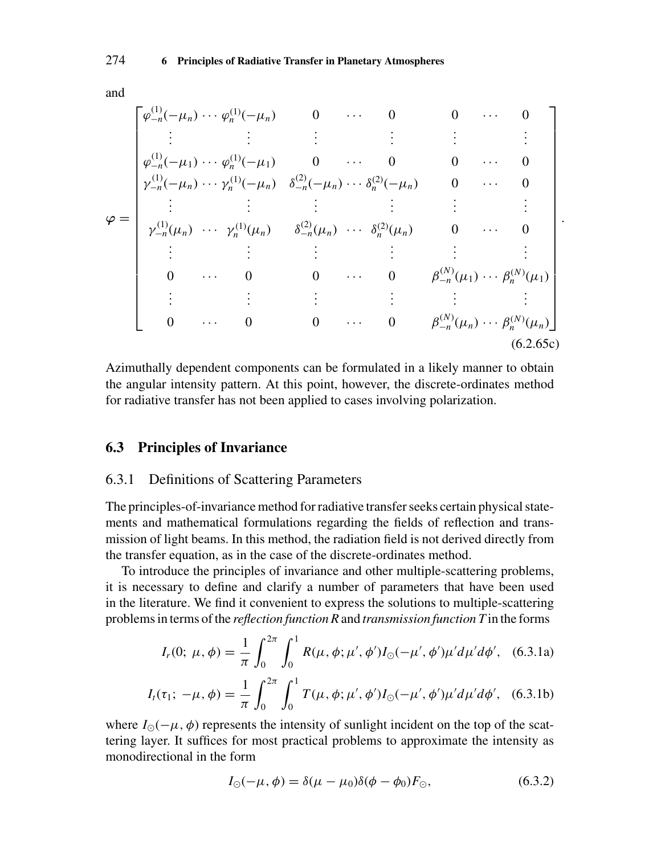and

$$
\varphi = \begin{bmatrix}\n\varphi_{-n}^{(1)}(-\mu_n) \cdots \varphi_n^{(1)}(-\mu_n) & 0 & \cdots & 0 & 0 & \cdots & 0 \\
\vdots & \vdots & \vdots & \vdots & \vdots & \vdots & \vdots \\
\varphi_{-n}^{(1)}(-\mu_1) \cdots \varphi_n^{(1)}(-\mu_1) & 0 & \cdots & 0 & 0 & \cdots & 0 \\
\gamma_{-n}^{(1)}(-\mu_n) \cdots \gamma_n^{(1)}(-\mu_n) & \delta_{-n}^{(2)}(-\mu_n) \cdots \delta_n^{(2)}(-\mu_n) & 0 & \cdots & 0 \\
\vdots & \vdots & \vdots & \vdots & \vdots & \vdots & \vdots \\
\gamma_{-n}^{(1)}(\mu_n) \cdots \gamma_n^{(1)}(\mu_n) & \delta_{-n}^{(2)}(\mu_n) \cdots \delta_n^{(2)}(\mu_n) & 0 & \cdots & 0 \\
\vdots & \vdots & \vdots & \vdots & \vdots & \vdots \\
0 & \cdots & 0 & 0 & \cdots & 0 & \beta_{-n}^{(N)}(\mu_1) \cdots \beta_n^{(N)}(\mu_1) \\
\vdots & \vdots & \vdots & \vdots & \vdots & \vdots \\
0 & \cdots & 0 & 0 & \cdots & 0 & \beta_{-n}^{(N)}(\mu_n) \cdots \beta_n^{(N)}(\mu_n)\n\end{bmatrix}
$$
\n(6.2.65c)

*.*

Azimuthally dependent components can be formulated in a likely manner to obtain the angular intensity pattern. At this point, however, the discrete-ordinates method for radiative transfer has not been applied to cases involving polarization.

# **6.3 Principles of Invariance**

# 6.3.1 Definitions of Scattering Parameters

The principles-of-invariance method for radiative transfer seeks certain physical statements and mathematical formulations regarding the fields of reflection and transmission of light beams. In this method, the radiation field is not derived directly from the transfer equation, as in the case of the discrete-ordinates method.

To introduce the principles of invariance and other multiple-scattering problems, it is necessary to define and clarify a number of parameters that have been used in the literature. We find it convenient to express the solutions to multiple-scattering problems in terms of the *reflection function R* and *transmission function T* in the forms

$$
I_r(0; \mu, \phi) = \frac{1}{\pi} \int_0^{2\pi} \int_0^1 R(\mu, \phi; \mu', \phi') I_{\odot}(-\mu', \phi') \mu' d\mu' d\phi', \quad (6.3.1a)
$$

$$
I_t(\tau_1; -\mu, \phi) = \frac{1}{\pi} \int_0^{2\pi} \int_0^1 T(\mu, \phi; \mu', \phi') I_{\odot}(-\mu', \phi') \mu' d\mu' d\phi', \quad (6.3.1b)
$$

where  $I_{\odot}(-\mu, \phi)$  represents the intensity of sunlight incident on the top of the scattering layer. It suffices for most practical problems to approximate the intensity as monodirectional in the form

$$
I_{\odot}(-\mu,\phi) = \delta(\mu - \mu_0)\delta(\phi - \phi_0)F_{\odot},\tag{6.3.2}
$$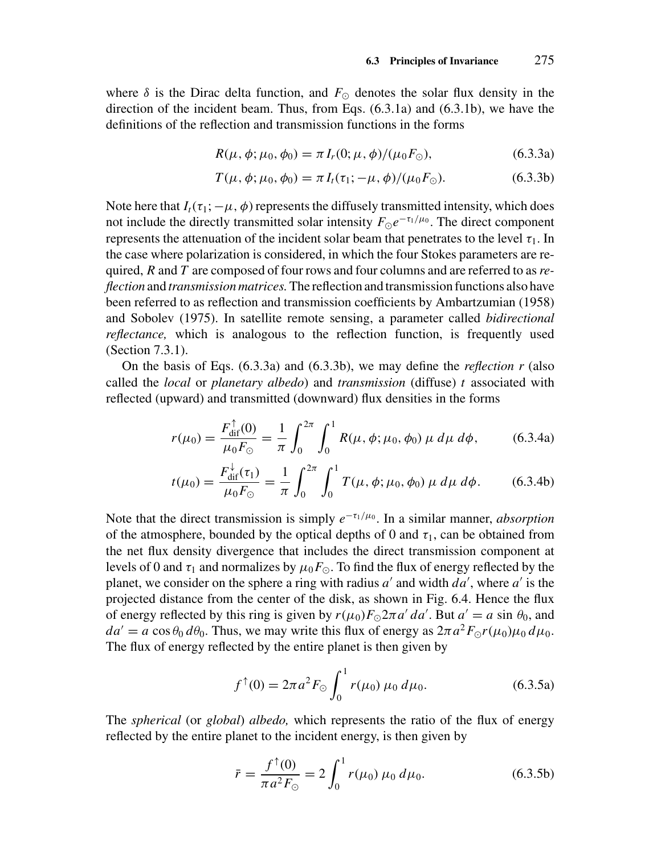where  $\delta$  is the Dirac delta function, and  $F_{\odot}$  denotes the solar flux density in the direction of the incident beam. Thus, from Eqs. (6.3.1a) and (6.3.1b), we have the definitions of the reflection and transmission functions in the forms

$$
R(\mu, \phi; \mu_0, \phi_0) = \pi I_r(0; \mu, \phi) / (\mu_0 F_{\odot}),
$$
\n(6.3.3a)

$$
T(\mu, \phi; \mu_0, \phi_0) = \pi I_t(\tau_1; -\mu, \phi) / (\mu_0 F_{\odot}).
$$
 (6.3.3b)

Note here that  $I_t(\tau_1; -\mu, \phi)$  represents the diffusely transmitted intensity, which does not include the directly transmitted solar intensity  $F_{\odot}e^{-\tau_1/\mu_0}$ . The direct component represents the attenuation of the incident solar beam that penetrates to the level  $\tau_1$ . In the case where polarization is considered, in which the four Stokes parameters are required, *R* and *T* are composed of four rows and four columns and are referred to as*reflection* and *transmission matrices.*The reflection and transmission functions also have been referred to as reflection and transmission coefficients by Ambartzumian (1958) and Sobolev (1975). In satellite remote sensing, a parameter called *bidirectional reflectance,* which is analogous to the reflection function, is frequently used (Section 7.3.1).

On the basis of Eqs. (6.3.3a) and (6.3.3b), we may define the *reflection r* (also called the *local* or *planetary albedo*) and *transmission* (diffuse) *t* associated with reflected (upward) and transmitted (downward) flux densities in the forms

$$
r(\mu_0) = \frac{F_{\text{dif}}^{\uparrow}(0)}{\mu_0 F_{\odot}} = \frac{1}{\pi} \int_0^{2\pi} \int_0^1 R(\mu, \phi; \mu_0, \phi_0) \mu \, d\mu \, d\phi, \tag{6.3.4a}
$$

$$
t(\mu_0) = \frac{F_{\text{dif}}^{\downarrow}(\tau_1)}{\mu_0 F_{\odot}} = \frac{1}{\pi} \int_0^{2\pi} \int_0^1 T(\mu, \phi; \mu_0, \phi_0) \mu \, d\mu \, d\phi. \tag{6.3.4b}
$$

Note that the direct transmission is simply  $e^{-\tau_1/\mu_0}$ . In a similar manner, *absorption* of the atmosphere, bounded by the optical depths of 0 and  $\tau_1$ , can be obtained from the net flux density divergence that includes the direct transmission component at levels of 0 and  $\tau_1$  and normalizes by  $\mu_0 F_{\odot}$ . To find the flux of energy reflected by the planet, we consider on the sphere a ring with radius *a*′ and width *da*′ , where *a*′ is the projected distance from the center of the disk, as shown in Fig. 6.4. Hence the flux of energy reflected by this ring is given by  $r(\mu_0)F_{\odot}2\pi a' da'$ . But  $a' = a \sin \theta_0$ , and  $da' = a \cos \theta_0 d\theta_0$ . Thus, we may write this flux of energy as  $2\pi a^2 F_{\odot} r(\mu_0) \mu_0 d\mu_0$ . The flux of energy reflected by the entire planet is then given by

$$
f^{\uparrow}(0) = 2\pi a^2 F_{\odot} \int_0^1 r(\mu_0) \mu_0 d\mu_0.
$$
 (6.3.5a)

The *spherical* (or *global*) *albedo,* which represents the ratio of the flux of energy reflected by the entire planet to the incident energy, is then given by

$$
\bar{r} = \frac{f^{\uparrow}(0)}{\pi a^2 F_{\odot}} = 2 \int_0^1 r(\mu_0) \mu_0 d\mu_0.
$$
 (6.3.5b)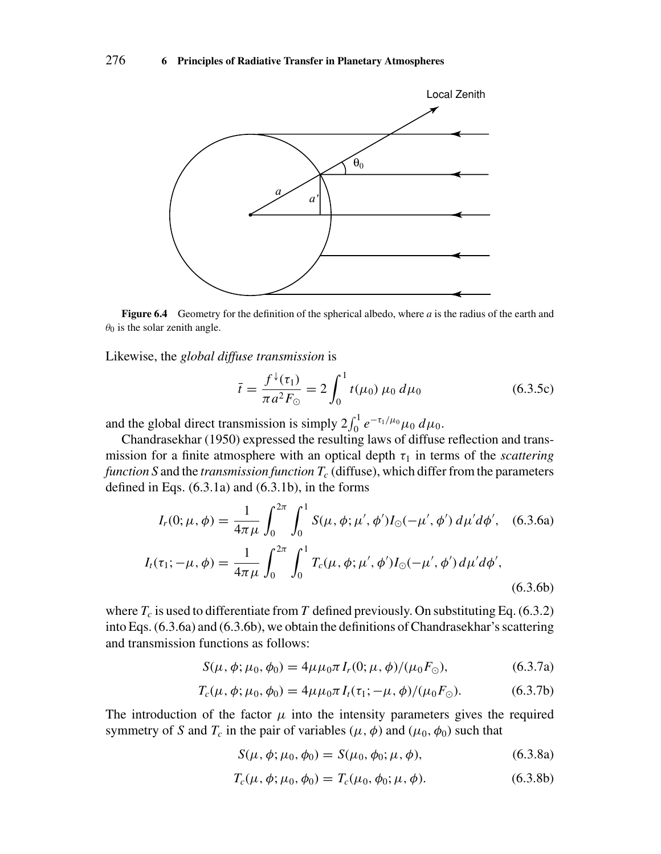

**Figure 6.4** Geometry for the definition of the spherical albedo, where *a* is the radius of the earth and  $\theta_0$  is the solar zenith angle.

Likewise, the *global diffuse transmission* is

$$
\bar{t} = \frac{f^{\downarrow}(\tau_1)}{\pi a^2 F_{\odot}} = 2 \int_0^1 t(\mu_0) \mu_0 d\mu_0
$$
 (6.3.5c)

and the global direct transmission is simply  $2 \int_0^1 e^{-\tau_1/\mu_0} \mu_0 d\mu_0$ .

Chandrasekhar (1950) expressed the resulting laws of diffuse reflection and transmission for a finite atmosphere with an optical depth  $\tau_1$  in terms of the *scattering function S* and the *transmission function*  $T_c$  (diffuse), which differ from the parameters defined in Eqs. (6.3.1a) and (6.3.1b), in the forms

$$
I_r(0; \mu, \phi) = \frac{1}{4\pi\mu} \int_0^{2\pi} \int_0^1 S(\mu, \phi; \mu', \phi') I_{\odot}(-\mu', \phi') d\mu' d\phi', \quad (6.3.6a)
$$

$$
I_t(\tau_1; -\mu, \phi) = \frac{1}{4\pi\mu} \int_0^{2\pi} \int_0^1 T_c(\mu, \phi; \mu', \phi') I_{\odot}(-\mu', \phi') d\mu' d\phi', \quad (6.3.6b)
$$

where  $T_c$  is used to differentiate from T defined previously. On substituting Eq. (6.3.2) into Eqs. (6.3.6a) and (6.3.6b), we obtain the definitions of Chandrasekhar's scattering and transmission functions as follows:

$$
S(\mu, \phi; \mu_0, \phi_0) = 4\mu \mu_0 \pi I_r(0; \mu, \phi) / (\mu_0 F_{\odot}), \tag{6.3.7a}
$$

$$
T_c(\mu, \phi; \mu_0, \phi_0) = 4\mu \mu_0 \pi I_t(\tau_1; -\mu, \phi) / (\mu_0 F_{\odot}).
$$
 (6.3.7b)

The introduction of the factor  $\mu$  into the intensity parameters gives the required symmetry of *S* and  $T_c$  in the pair of variables ( $\mu$ ,  $\phi$ ) and ( $\mu$ <sub>0</sub>,  $\phi$ <sub>0</sub>) such that

$$
S(\mu, \phi; \mu_0, \phi_0) = S(\mu_0, \phi_0; \mu, \phi), \tag{6.3.8a}
$$

$$
T_c(\mu, \phi; \mu_0, \phi_0) = T_c(\mu_0, \phi_0; \mu, \phi).
$$
 (6.3.8b)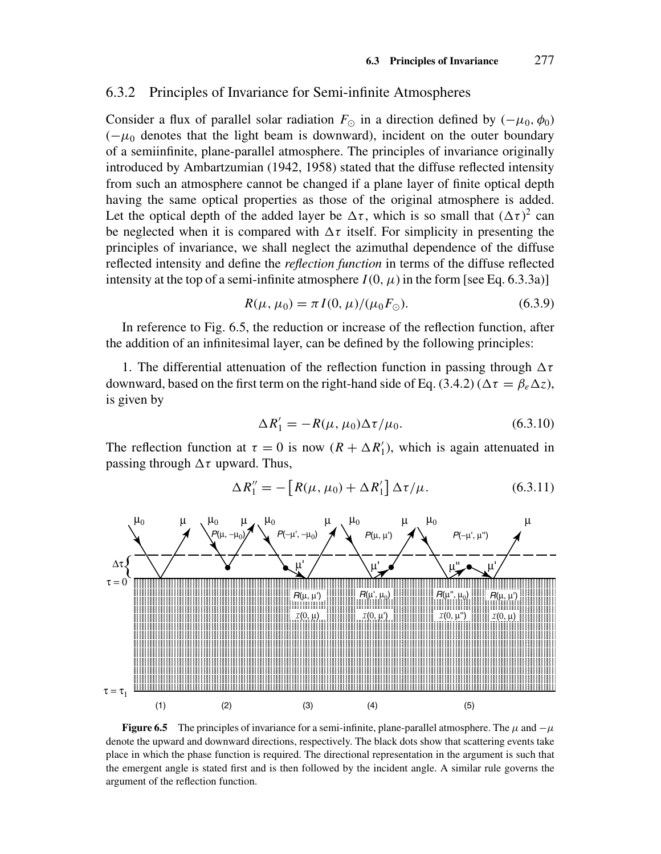# 6.3.2 Principles of Invariance for Semi-infinite Atmospheres

Consider a flux of parallel solar radiation  $F_{\odot}$  in a direction defined by ( $-\mu_0$ ,  $\phi_0$ )  $(-\mu_0)$  denotes that the light beam is downward), incident on the outer boundary of a semiinfinite, plane-parallel atmosphere. The principles of invariance originally introduced by Ambartzumian (1942, 1958) stated that the diffuse reflected intensity from such an atmosphere cannot be changed if a plane layer of finite optical depth having the same optical properties as those of the original atmosphere is added. Let the optical depth of the added layer be  $\Delta \tau$ , which is so small that  $(\Delta \tau)^2$  can be neglected when it is compared with  $\Delta \tau$  itself. For simplicity in presenting the principles of invariance, we shall neglect the azimuthal dependence of the diffuse reflected intensity and define the *reflection function* in terms of the diffuse reflected intensity at the top of a semi-infinite atmosphere  $I(0, \mu)$  in the form [see Eq. 6.3.3a)]

$$
R(\mu, \mu_0) = \pi I(0, \mu) / (\mu_0 F_{\odot}).
$$
\n(6.3.9)

In reference to Fig. 6.5, the reduction or increase of the reflection function, after the addition of an infinitesimal layer, can be defined by the following principles:

1. The differential attenuation of the reflection function in passing through  $\Delta \tau$ downward, based on the first term on the right-hand side of Eq. (3.4.2) ( $\Delta \tau = \beta_e \Delta z$ ), is given by

$$
\Delta R'_1 = -R(\mu, \mu_0) \Delta \tau / \mu_0. \tag{6.3.10}
$$

The reflection function at  $\tau = 0$  is now  $(R + \Delta R'_1)$ , which is again attenuated in passing through  $\Delta \tau$  upward. Thus,





**Figure 6.5** The principles of invariance for a semi-infinite, plane-parallel atmosphere. The  $\mu$  and  $-\mu$ denote the upward and downward directions, respectively. The black dots show that scattering events take place in which the phase function is required. The directional representation in the argument is such that the emergent angle is stated first and is then followed by the incident angle. A similar rule governs the argument of the reflection function.

 $(1)$   $(2)$   $(3)$   $(4)$   $(5)$ 

 $\tau = \tau_1$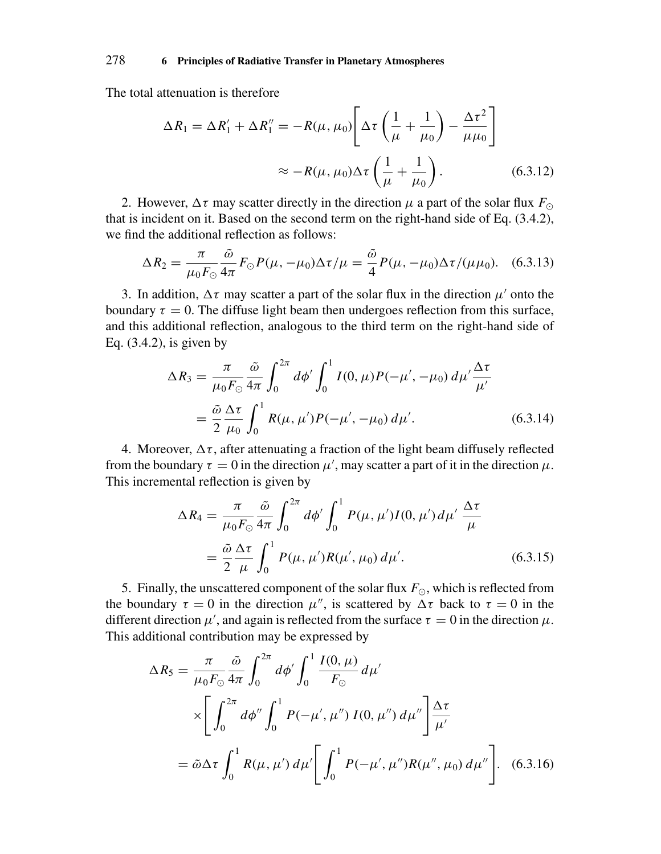The total attenuation is therefore

$$
\Delta R_1 = \Delta R_1' + \Delta R_1'' = -R(\mu, \mu_0) \left[ \Delta \tau \left( \frac{1}{\mu} + \frac{1}{\mu_0} \right) - \frac{\Delta \tau^2}{\mu \mu_0} \right]
$$

$$
\approx -R(\mu, \mu_0) \Delta \tau \left( \frac{1}{\mu} + \frac{1}{\mu_0} \right). \tag{6.3.12}
$$

2. However,  $\Delta \tau$  may scatter directly in the direction  $\mu$  a part of the solar flux  $F_{\odot}$ that is incident on it. Based on the second term on the right-hand side of Eq. (3.4.2), we find the additional reflection as follows:

$$
\Delta R_2 = \frac{\pi}{\mu_0 F_\odot} \frac{\tilde{\omega}}{4\pi} F_\odot P(\mu, -\mu_0) \Delta \tau / \mu = \frac{\tilde{\omega}}{4} P(\mu, -\mu_0) \Delta \tau / (\mu \mu_0). \quad (6.3.13)
$$

3. In addition,  $\Delta \tau$  may scatter a part of the solar flux in the direction  $\mu'$  onto the boundary  $\tau = 0$ . The diffuse light beam then undergoes reflection from this surface, and this additional reflection, analogous to the third term on the right-hand side of Eq. (3.4.2), is given by

$$
\Delta R_3 = \frac{\pi}{\mu_0 F_\odot} \frac{\tilde{\omega}}{4\pi} \int_0^{2\pi} d\phi' \int_0^1 I(0, \mu) P(-\mu', -\mu_0) d\mu' \frac{\Delta \tau}{\mu'}
$$
  
=  $\frac{\tilde{\omega}}{2} \frac{\Delta \tau}{\mu_0} \int_0^1 R(\mu, \mu') P(-\mu', -\mu_0) d\mu'.$  (6.3.14)

4. Moreover,  $\Delta \tau$ , after attenuating a fraction of the light beam diffusely reflected from the boundary  $\tau = 0$  in the direction  $\mu'$ , may scatter a part of it in the direction  $\mu$ . This incremental reflection is given by

$$
\Delta R_4 = \frac{\pi}{\mu_0 F_\odot} \frac{\tilde{\omega}}{4\pi} \int_0^{2\pi} d\phi' \int_0^1 P(\mu, \mu') I(0, \mu') d\mu' \frac{\Delta \tau}{\mu}
$$
  
=  $\frac{\tilde{\omega}}{2} \frac{\Delta \tau}{\mu} \int_0^1 P(\mu, \mu') R(\mu', \mu_0) d\mu'.$  (6.3.15)

5. Finally, the unscattered component of the solar flux  $F_{\odot}$ , which is reflected from the boundary  $\tau = 0$  in the direction  $\mu''$ , is scattered by  $\Delta \tau$  back to  $\tau = 0$  in the different direction  $\mu'$ , and again is reflected from the surface  $\tau = 0$  in the direction  $\mu$ . This additional contribution may be expressed by

$$
\Delta R_5 = \frac{\pi}{\mu_0 F_{\odot}} \frac{\tilde{\omega}}{4\pi} \int_0^{2\pi} d\phi' \int_0^1 \frac{I(0,\mu)}{F_{\odot}} d\mu'
$$
  
\n
$$
\times \left[ \int_0^{2\pi} d\phi'' \int_0^1 P(-\mu', \mu'') I(0, \mu'') d\mu'' \right] \frac{\Delta \tau}{\mu'}
$$
  
\n
$$
= \tilde{\omega} \Delta \tau \int_0^1 R(\mu, \mu') d\mu' \left[ \int_0^1 P(-\mu', \mu'') R(\mu'', \mu_0) d\mu'' \right]. \quad (6.3.16)
$$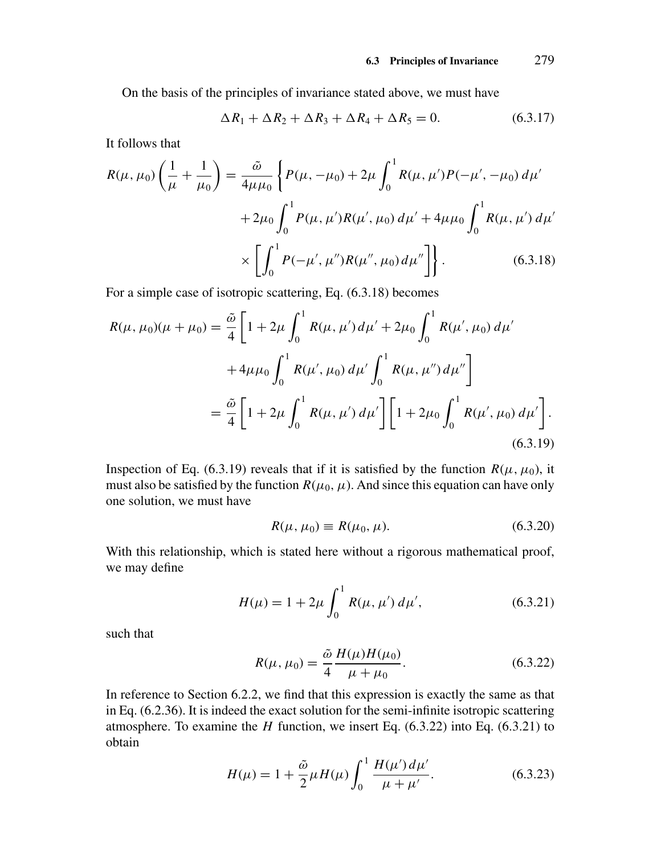On the basis of the principles of invariance stated above, we must have

$$
\Delta R_1 + \Delta R_2 + \Delta R_3 + \Delta R_4 + \Delta R_5 = 0. \tag{6.3.17}
$$

It follows that

$$
R(\mu, \mu_0) \left( \frac{1}{\mu} + \frac{1}{\mu_0} \right) = \frac{\tilde{\omega}}{4\mu\mu_0} \left\{ P(\mu, -\mu_0) + 2\mu \int_0^1 R(\mu, \mu') P(-\mu', -\mu_0) d\mu' \right.+ 2\mu_0 \int_0^1 P(\mu, \mu') R(\mu', \mu_0) d\mu' + 4\mu\mu_0 \int_0^1 R(\mu, \mu') d\mu' \right.\times \left[ \int_0^1 P(-\mu', \mu'') R(\mu'', \mu_0) d\mu'' \right]. \tag{6.3.18}
$$

For a simple case of isotropic scattering, Eq. (6.3.18) becomes

$$
R(\mu, \mu_0)(\mu + \mu_0) = \frac{\tilde{\omega}}{4} \left[ 1 + 2\mu \int_0^1 R(\mu, \mu') d\mu' + 2\mu_0 \int_0^1 R(\mu', \mu_0) d\mu' \right. \\
\left. + 4\mu\mu_0 \int_0^1 R(\mu', \mu_0) d\mu' \int_0^1 R(\mu, \mu'') d\mu'' \right] \\
= \frac{\tilde{\omega}}{4} \left[ 1 + 2\mu \int_0^1 R(\mu, \mu') d\mu' \right] \left[ 1 + 2\mu_0 \int_0^1 R(\mu', \mu_0) d\mu' \right].\n\tag{6.3.19}
$$

Inspection of Eq. (6.3.19) reveals that if it is satisfied by the function  $R(\mu, \mu_0)$ , it must also be satisfied by the function  $R(\mu_0, \mu)$ . And since this equation can have only one solution, we must have

$$
R(\mu, \mu_0) \equiv R(\mu_0, \mu). \tag{6.3.20}
$$

With this relationship, which is stated here without a rigorous mathematical proof, we may define

$$
H(\mu) = 1 + 2\mu \int_0^1 R(\mu, \mu') d\mu', \qquad (6.3.21)
$$

such that

$$
R(\mu, \mu_0) = \frac{\tilde{\omega}}{4} \frac{H(\mu)H(\mu_0)}{\mu + \mu_0}.
$$
 (6.3.22)

In reference to Section 6.2.2, we find that this expression is exactly the same as that in Eq. (6.2.36). It is indeed the exact solution for the semi-infinite isotropic scattering atmosphere. To examine the *H* function, we insert Eq. (6.3.22) into Eq. (6.3.21) to obtain

$$
H(\mu) = 1 + \frac{\tilde{\omega}}{2} \mu H(\mu) \int_0^1 \frac{H(\mu') d\mu'}{\mu + \mu'}.
$$
 (6.3.23)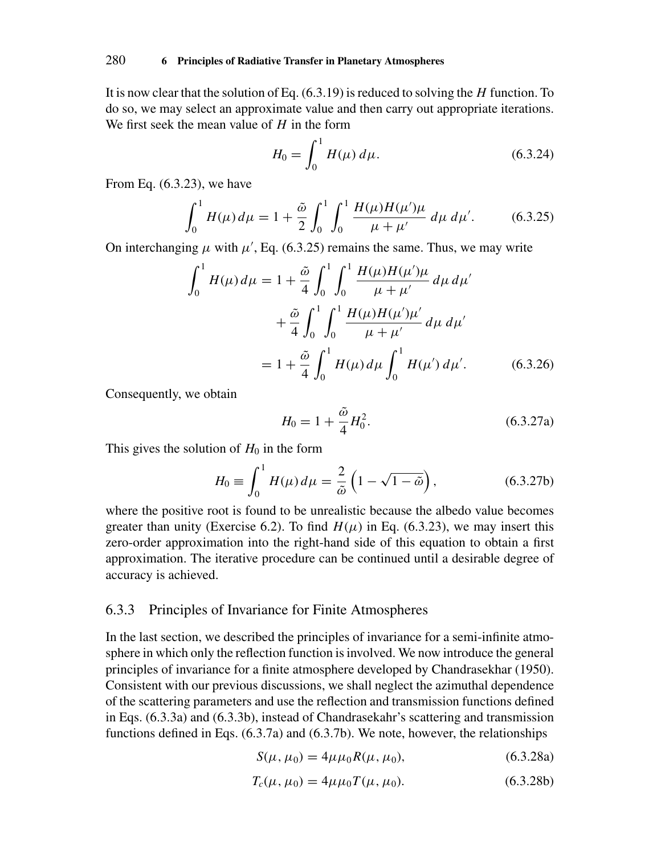It is now clear that the solution of Eq. (6.3.19) is reduced to solving the *H* function. To do so, we may select an approximate value and then carry out appropriate iterations. We first seek the mean value of *H* in the form

$$
H_0 = \int_0^1 H(\mu) \, d\mu. \tag{6.3.24}
$$

From Eq. (6.3.23), we have

$$
\int_0^1 H(\mu) d\mu = 1 + \frac{\tilde{\omega}}{2} \int_0^1 \int_0^1 \frac{H(\mu)H(\mu')\mu}{\mu + \mu'} d\mu d\mu'.
$$
 (6.3.25)

On interchanging  $\mu$  with  $\mu'$ , Eq. (6.3.25) remains the same. Thus, we may write

$$
\int_0^1 H(\mu) d\mu = 1 + \frac{\tilde{\omega}}{4} \int_0^1 \int_0^1 \frac{H(\mu)H(\mu')\mu}{\mu + \mu'} d\mu d\mu'
$$
  
+ 
$$
\frac{\tilde{\omega}}{4} \int_0^1 \int_0^1 \frac{H(\mu)H(\mu')\mu'}{\mu + \mu'} d\mu d\mu'
$$
  
= 
$$
1 + \frac{\tilde{\omega}}{4} \int_0^1 H(\mu) d\mu \int_0^1 H(\mu') d\mu'.
$$
 (6.3.26)

Consequently, we obtain

$$
H_0 = 1 + \frac{\tilde{\omega}}{4} H_0^2. \tag{6.3.27a}
$$

This gives the solution of  $H_0$  in the form

$$
H_0 \equiv \int_0^1 H(\mu) d\mu = \frac{2}{\tilde{\omega}} \left( 1 - \sqrt{1 - \tilde{\omega}} \right), \tag{6.3.27b}
$$

where the positive root is found to be unrealistic because the albedo value becomes greater than unity (Exercise 6.2). To find  $H(\mu)$  in Eq. (6.3.23), we may insert this zero-order approximation into the right-hand side of this equation to obtain a first approximation. The iterative procedure can be continued until a desirable degree of accuracy is achieved.

# 6.3.3 Principles of Invariance for Finite Atmospheres

In the last section, we described the principles of invariance for a semi-infinite atmosphere in which only the reflection function is involved. We now introduce the general principles of invariance for a finite atmosphere developed by Chandrasekhar (1950). Consistent with our previous discussions, we shall neglect the azimuthal dependence of the scattering parameters and use the reflection and transmission functions defined in Eqs. (6.3.3a) and (6.3.3b), instead of Chandrasekahr's scattering and transmission functions defined in Eqs. (6.3.7a) and (6.3.7b). We note, however, the relationships

$$
S(\mu, \mu_0) = 4\mu\mu_0 R(\mu, \mu_0), \tag{6.3.28a}
$$

$$
T_c(\mu, \mu_0) = 4\mu\mu_0 T(\mu, \mu_0).
$$
 (6.3.28b)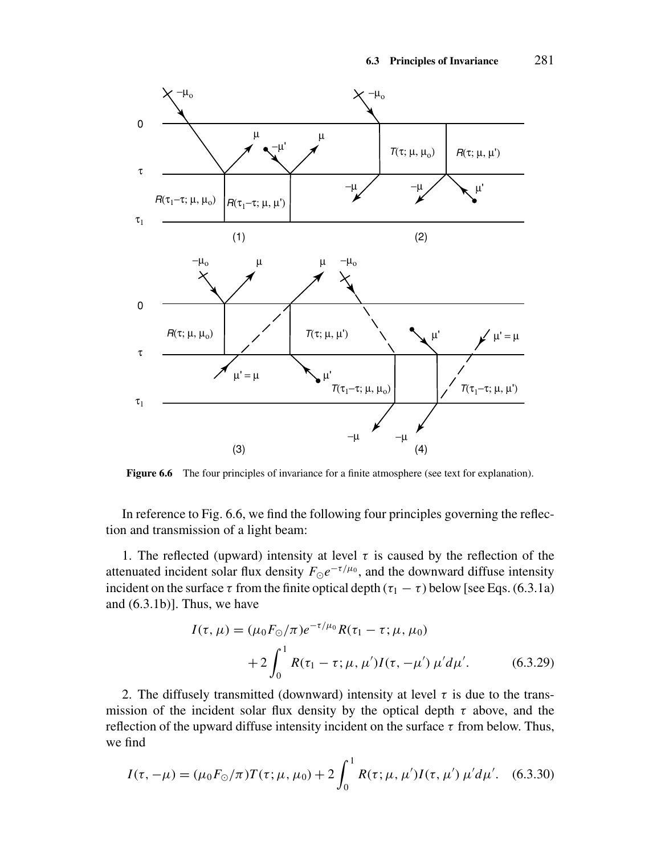

Figure 6.6 The four principles of invariance for a finite atmosphere (see text for explanation).

In reference to Fig. 6.6, we find the following four principles governing the reflection and transmission of a light beam:

1. The reflected (upward) intensity at level  $\tau$  is caused by the reflection of the attenuated incident solar flux density  $F_{\odot}e^{-\tau/\mu_0}$ , and the downward diffuse intensity incident on the surface  $\tau$  from the finite optical depth  $(\tau_1 - \tau)$  below [see Eqs. (6.3.1a) and (6.3.1b)]. Thus, we have

$$
I(\tau, \mu) = (\mu_0 F_{\odot}/\pi) e^{-\tau/\mu_0} R(\tau_1 - \tau; \mu, \mu_0)
$$
  
+2\int\_0^1 R(\tau\_1 - \tau; \mu, \mu') I(\tau, -\mu') \mu' d\mu'. (6.3.29)

2. The diffusely transmitted (downward) intensity at level  $\tau$  is due to the transmission of the incident solar flux density by the optical depth  $\tau$  above, and the reflection of the upward diffuse intensity incident on the surface  $\tau$  from below. Thus, we find

$$
I(\tau, -\mu) = (\mu_0 F_{\odot}/\pi) T(\tau; \mu, \mu_0) + 2 \int_0^1 R(\tau; \mu, \mu') I(\tau, \mu') \mu' d\mu'. \quad (6.3.30)
$$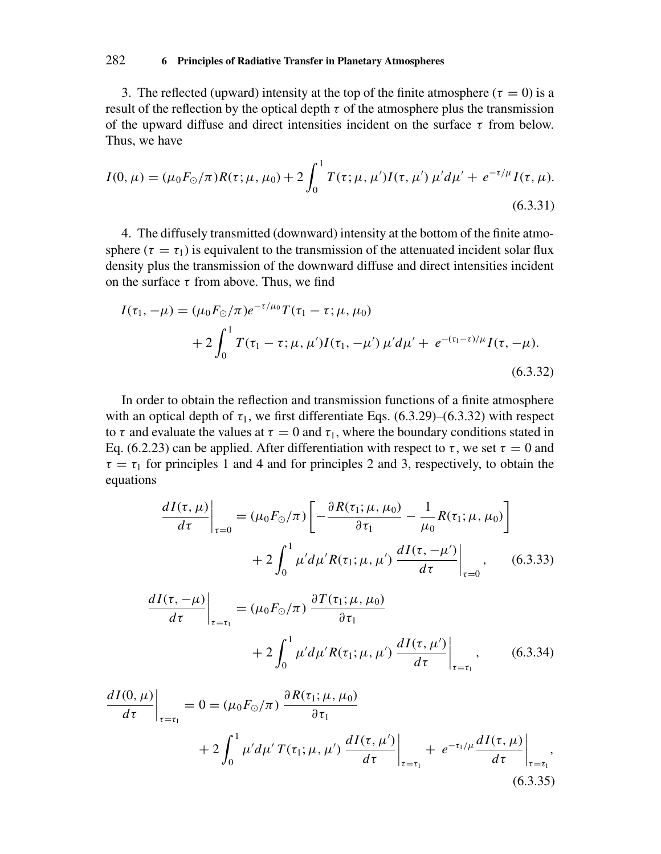3. The reflected (upward) intensity at the top of the finite atmosphere ( $\tau = 0$ ) is a result of the reflection by the optical depth  $\tau$  of the atmosphere plus the transmission of the upward diffuse and direct intensities incident on the surface  $\tau$  from below. Thus, we have

$$
I(0, \mu) = (\mu_0 F_{\odot}/\pi) R(\tau; \mu, \mu_0) + 2 \int_0^1 T(\tau; \mu, \mu') I(\tau, \mu') \mu' d\mu' + e^{-\tau/\mu} I(\tau, \mu).
$$
\n(6.3.31)

4. The diffusely transmitted (downward) intensity at the bottom of the finite atmosphere ( $\tau = \tau_1$ ) is equivalent to the transmission of the attenuated incident solar flux density plus the transmission of the downward diffuse and direct intensities incident on the surface  $\tau$  from above. Thus, we find

$$
I(\tau_1, -\mu) = (\mu_0 F_{\odot}/\pi) e^{-\tau/\mu_0} T(\tau_1 - \tau; \mu, \mu_0)
$$
  
+  $2 \int_0^1 T(\tau_1 - \tau; \mu, \mu') I(\tau_1, -\mu') \mu' d\mu' + e^{-(\tau_1 - \tau)/\mu} I(\tau, -\mu).$  (6.3.32)

In order to obtain the reflection and transmission functions of a finite atmosphere with an optical depth of  $\tau_1$ , we first differentiate Eqs. (6.3.29)–(6.3.32) with respect to  $\tau$  and evaluate the values at  $\tau = 0$  and  $\tau_1$ , where the boundary conditions stated in Eq. (6.2.23) can be applied. After differentiation with respect to  $\tau$ , we set  $\tau = 0$  and  $\tau = \tau_1$  for principles 1 and 4 and for principles 2 and 3, respectively, to obtain the equations

$$
\frac{dI(\tau,\mu)}{d\tau}\bigg|_{\tau=0} = (\mu_0 F_\odot/\pi) \left[ -\frac{\partial R(\tau_1;\mu,\mu_0)}{\partial \tau_1} - \frac{1}{\mu_0} R(\tau_1;\mu,\mu_0) \right]
$$

$$
+ 2 \int_0^1 \mu' d\mu' R(\tau_1;\mu,\mu') \left. \frac{dI(\tau,-\mu')}{d\tau} \right|_{\tau=0}, \quad (6.3.33)
$$

$$
\left. \frac{dI(\tau, -\mu)}{d\tau} \right|_{\tau = \tau_1} = (\mu_0 F_{\odot}/\pi) \left. \frac{\partial T(\tau_1; \mu, \mu_0)}{\partial \tau_1} \right|_{\tau = \tau_1},
$$
\n
$$
+ 2 \int_0^1 \mu' d\mu' R(\tau_1; \mu, \mu') \left. \frac{dI(\tau, \mu')}{d\tau} \right|_{\tau = \tau_1}, \quad (6.3.34)
$$

$$
\frac{dI(0,\mu)}{d\tau}\Big|_{\tau=\tau_1} = 0 = (\mu_0 F_\odot/\pi) \frac{\partial R(\tau_1;\mu,\mu_0)}{\partial \tau_1} + 2\int_0^1 \mu' d\mu' T(\tau_1;\mu,\mu') \frac{dI(\tau,\mu')}{d\tau}\Big|_{\tau=\tau_1} + e^{-\tau_1/\mu} \frac{dI(\tau,\mu)}{d\tau}\Big|_{\tau=\tau_1},
$$
\n(6.3.35)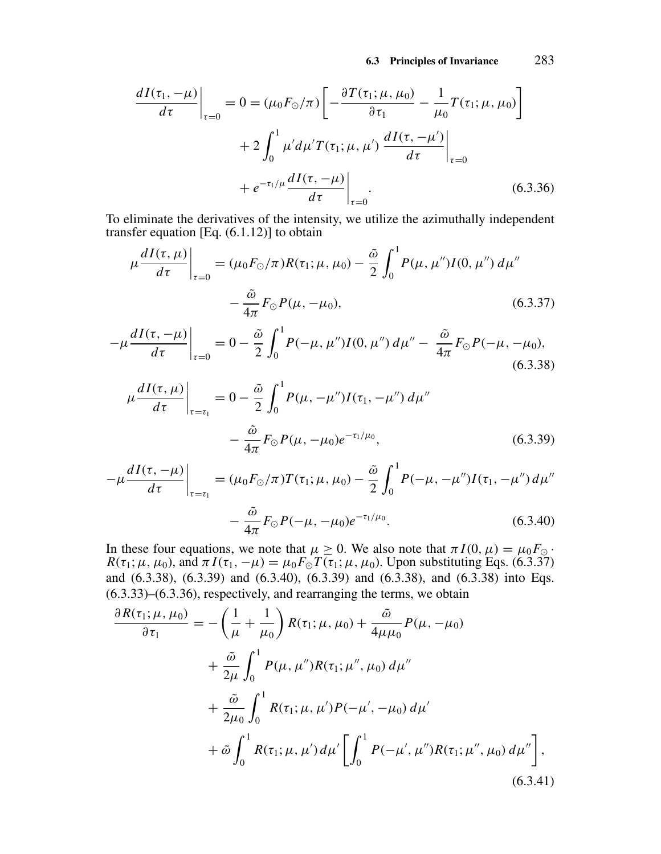**6.3 Principles of Invariance** 283

$$
\frac{dI(\tau_1, -\mu)}{d\tau}\Big|_{\tau=0} = 0 = (\mu_0 F_\odot/\pi) \left[ -\frac{\partial T(\tau_1; \mu, \mu_0)}{\partial \tau_1} - \frac{1}{\mu_0} T(\tau_1; \mu, \mu_0) \right]
$$

$$
+ 2 \int_0^1 \mu' d\mu' T(\tau_1; \mu, \mu') \left. \frac{dI(\tau, -\mu')}{d\tau} \right|_{\tau=0}
$$

$$
+ e^{-\tau_1/\mu} \frac{dI(\tau, -\mu)}{d\tau} \Big|_{\tau=0}.
$$
(6.3.36)

To eliminate the derivatives of the intensity, we utilize the azimuthally independent transfer equation [Eq. (6.1.12)] to obtain

$$
\mu \frac{dI(\tau, \mu)}{d\tau}\Big|_{\tau=0} = (\mu_0 F_{\odot}/\pi)R(\tau_1; \mu, \mu_0) - \frac{\tilde{\omega}}{2} \int_0^1 P(\mu, \mu'')I(0, \mu'') d\mu'' - \frac{\tilde{\omega}}{4\pi} F_{\odot} P(\mu, -\mu_0),
$$
\n(6.3.37)

$$
-\mu \frac{dI(\tau, -\mu)}{d\tau}\Big|_{\tau=0} = 0 - \frac{\tilde{\omega}}{2} \int_0^1 P(-\mu, \mu'') I(0, \mu'') d\mu'' - \frac{\tilde{\omega}}{4\pi} F_{\odot} P(-\mu, -\mu_0),
$$
\n(6.3.38)

$$
\mu \frac{dI(\tau, \mu)}{d\tau}\Big|_{\tau=\tau_1} = 0 - \frac{\tilde{\omega}}{2} \int_0^1 P(\mu, -\mu'') I(\tau_1, -\mu'') d\mu'' - \frac{\tilde{\omega}}{4\pi} F_{\odot} P(\mu, -\mu_0) e^{-\tau_1/\mu_0}, \tag{6.3.39}
$$

$$
-\mu \frac{dI(\tau, -\mu)}{d\tau}\Big|_{\tau=\tau_1} = (\mu_0 F_{\odot}/\pi)T(\tau_1; \mu, \mu_0) - \frac{\tilde{\omega}}{2} \int_0^1 P(-\mu, -\mu'')I(\tau_1, -\mu'') d\mu'' - \frac{\tilde{\omega}}{4\pi} F_{\odot}P(-\mu, -\mu_0)e^{-\tau_1/\mu_0}.
$$
 (6.3.40)

In these four equations, we note that  $\mu \ge 0$ . We also note that  $\pi I(0, \mu) = \mu_0 F_{\odot}$ .<br> $R(\tau_1; \mu, \mu_0)$ , and  $\pi I(\tau_1, -\mu) = \mu_0 F_{\odot} T(\tau_1; \mu, \mu_0)$ . Upon substituting Eqs. (6.3.37) and (6.3.38), (6.3.39) and (6.3.40), (6.3.39) and (6.3.38), and (6.3.38) into Eqs. (6.3.33)–(6.3.36), respectively, and rearranging the terms, we obtain

$$
\frac{\partial R(\tau_1; \mu, \mu_0)}{\partial \tau_1} = -\left(\frac{1}{\mu} + \frac{1}{\mu_0}\right) R(\tau_1; \mu, \mu_0) + \frac{\tilde{\omega}}{4\mu\mu_0} P(\mu, -\mu_0)
$$
  
+  $\frac{\tilde{\omega}}{2\mu} \int_0^1 P(\mu, \mu'') R(\tau_1; \mu'', \mu_0) d\mu''$   
+  $\frac{\tilde{\omega}}{2\mu_0} \int_0^1 R(\tau_1; \mu, \mu') P(-\mu', -\mu_0) d\mu'$   
+  $\tilde{\omega} \int_0^1 R(\tau_1; \mu, \mu') d\mu' \left[\int_0^1 P(-\mu', \mu'') R(\tau_1; \mu'', \mu_0) d\mu''\right],$  (6.3.41)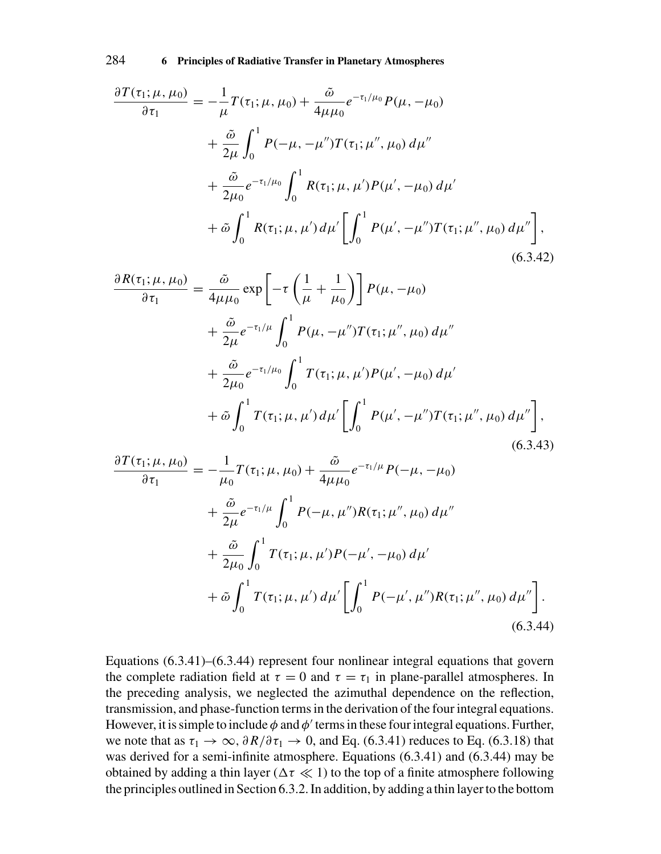$$
\frac{\partial T(\tau_1; \mu, \mu_0)}{\partial \tau_1} = -\frac{1}{\mu} T(\tau_1; \mu, \mu_0) + \frac{\tilde{\omega}}{4\mu\mu_0} e^{-\tau_1/\mu_0} P(\mu, -\mu_0) \n+ \frac{\tilde{\omega}}{2\mu} \int_0^1 P(-\mu, -\mu'') T(\tau_1; \mu'', \mu_0) d\mu'' \n+ \frac{\tilde{\omega}}{2\mu_0} e^{-\tau_1/\mu_0} \int_0^1 R(\tau_1; \mu, \mu') P(\mu', -\mu_0) d\mu' \n+ \tilde{\omega} \int_0^1 R(\tau_1; \mu, \mu') d\mu' \left[ \int_0^1 P(\mu', -\mu'') T(\tau_1; \mu'', \mu_0) d\mu'' \right],
$$
\n(6.3.42)

$$
\frac{\partial R(\tau_1; \mu, \mu_0)}{\partial \tau_1} = \frac{\tilde{\omega}}{4\mu\mu_0} \exp\left[-\tau \left(\frac{1}{\mu} + \frac{1}{\mu_0}\right)\right] P(\mu, -\mu_0) \n+ \frac{\tilde{\omega}}{2\mu} e^{-\tau_1/\mu} \int_0^1 P(\mu, -\mu'') T(\tau_1; \mu'', \mu_0) d\mu'' \n+ \frac{\tilde{\omega}}{2\mu_0} e^{-\tau_1/\mu_0} \int_0^1 T(\tau_1; \mu, \mu') P(\mu', -\mu_0) d\mu' \n+ \tilde{\omega} \int_0^1 T(\tau_1; \mu, \mu') d\mu' \left[\int_0^1 P(\mu', -\mu'') T(\tau_1; \mu'', \mu_0) d\mu''\right],
$$
\n(6.3.43)

$$
\frac{\partial T(\tau_1; \mu, \mu_0)}{\partial \tau_1} = -\frac{1}{\mu_0} T(\tau_1; \mu, \mu_0) + \frac{\tilde{\omega}}{4\mu\mu_0} e^{-\tau_1/\mu} P(-\mu, -\mu_0) \n+ \frac{\tilde{\omega}}{2\mu} e^{-\tau_1/\mu} \int_0^1 P(-\mu, \mu'') R(\tau_1; \mu'', \mu_0) d\mu'' \n+ \frac{\tilde{\omega}}{2\mu_0} \int_0^1 T(\tau_1; \mu, \mu') P(-\mu', -\mu_0) d\mu' \n+ \tilde{\omega} \int_0^1 T(\tau_1; \mu, \mu') d\mu' \left[ \int_0^1 P(-\mu', \mu'') R(\tau_1; \mu'', \mu_0) d\mu'' \right].
$$
\n(6.3.44)

Equations (6.3.41)–(6.3.44) represent four nonlinear integral equations that govern the complete radiation field at  $\tau = 0$  and  $\tau = \tau_1$  in plane-parallel atmospheres. In the preceding analysis, we neglected the azimuthal dependence on the reflection, transmission, and phase-function terms in the derivation of the four integral equations. However, it is simple to include  $\phi$  and  $\phi'$  terms in these four integral equations. Further, we note that as  $\tau_1 \to \infty$ ,  $\partial R/\partial \tau_1 \to 0$ , and Eq. (6.3.41) reduces to Eq. (6.3.18) that was derived for a semi-infinite atmosphere. Equations (6.3.41) and (6.3.44) may be obtained by adding a thin layer ( $\Delta \tau \ll 1$ ) to the top of a finite atmosphere following the principles outlined in Section 6.3.2. In addition, by adding a thin layer to the bottom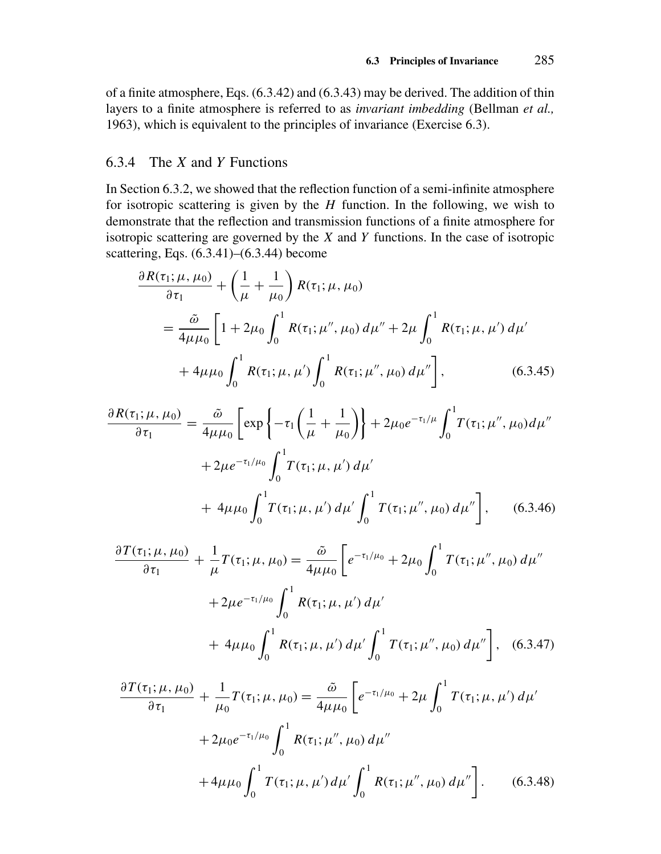of a finite atmosphere, Eqs. (6.3.42) and (6.3.43) may be derived. The addition of thin layers to a finite atmosphere is referred to as *invariant imbedding* (Bellman *et al.,* 1963), which is equivalent to the principles of invariance (Exercise 6.3).

# 6.3.4 The *X* and *Y* Functions

In Section 6.3.2, we showed that the reflection function of a semi-infinite atmosphere for isotropic scattering is given by the *H* function. In the following, we wish to demonstrate that the reflection and transmission functions of a finite atmosphere for isotropic scattering are governed by the *X* and *Y* functions. In the case of isotropic scattering, Eqs. (6.3.41)–(6.3.44) become

$$
\frac{\partial R(\tau_1; \mu, \mu_0)}{\partial \tau_1} + \left(\frac{1}{\mu} + \frac{1}{\mu_0}\right) R(\tau_1; \mu, \mu_0)
$$
\n
$$
= \frac{\tilde{\omega}}{4\mu\mu_0} \left[1 + 2\mu_0 \int_0^1 R(\tau_1; \mu'', \mu_0) d\mu'' + 2\mu \int_0^1 R(\tau_1; \mu, \mu') d\mu' + 4\mu\mu_0 \int_0^1 R(\tau_1; \mu, \mu') \int_0^1 R(\tau_1; \mu'', \mu_0) d\mu''\right],
$$
\n(6.3.45)

$$
\frac{\partial R(\tau_1; \mu, \mu_0)}{\partial \tau_1} = \frac{\tilde{\omega}}{4\mu\mu_0} \left[ \exp\left\{-\tau_1 \left(\frac{1}{\mu} + \frac{1}{\mu_0}\right)\right\} + 2\mu_0 e^{-\tau_1/\mu} \int_0^1 T(\tau_1; \mu'', \mu_0) d\mu'' \right.\left. + 2\mu e^{-\tau_1/\mu_0} \int_0^1 T(\tau_1; \mu, \mu') d\mu' \right.\left. + 4\mu\mu_0 \int_0^1 T(\tau_1; \mu, \mu') d\mu' \int_0^1 T(\tau_1; \mu'', \mu_0) d\mu'' \right], \quad (6.3.46)
$$

$$
\frac{\partial T(\tau_1; \mu, \mu_0)}{\partial \tau_1} + \frac{1}{\mu} T(\tau_1; \mu, \mu_0) = \frac{\tilde{\omega}}{4\mu\mu_0} \left[ e^{-\tau_1/\mu_0} + 2\mu_0 \int_0^1 T(\tau_1; \mu'', \mu_0) d\mu'' + 2\mu e^{-\tau_1/\mu_0} \int_0^1 R(\tau_1; \mu, \mu') d\mu' + 4\mu\mu_0 \int_0^1 R(\tau_1; \mu, \mu') d\mu' \int_0^1 T(\tau_1; \mu'', \mu_0) d\mu'' \right], \quad (6.3.47)
$$

$$
\frac{\partial T(\tau_1; \mu, \mu_0)}{\partial \tau_1} + \frac{1}{\mu_0} T(\tau_1; \mu, \mu_0) = \frac{\tilde{\omega}}{4\mu\mu_0} \left[ e^{-\tau_1/\mu_0} + 2\mu \int_0^1 T(\tau_1; \mu, \mu') d\mu' + 2\mu_0 e^{-\tau_1/\mu_0} \int_0^1 R(\tau_1; \mu'', \mu_0) d\mu'' + 4\mu\mu_0 \int_0^1 T(\tau_1; \mu, \mu') d\mu' \int_0^1 R(\tau_1; \mu'', \mu_0) d\mu'' \right].
$$
 (6.3.48)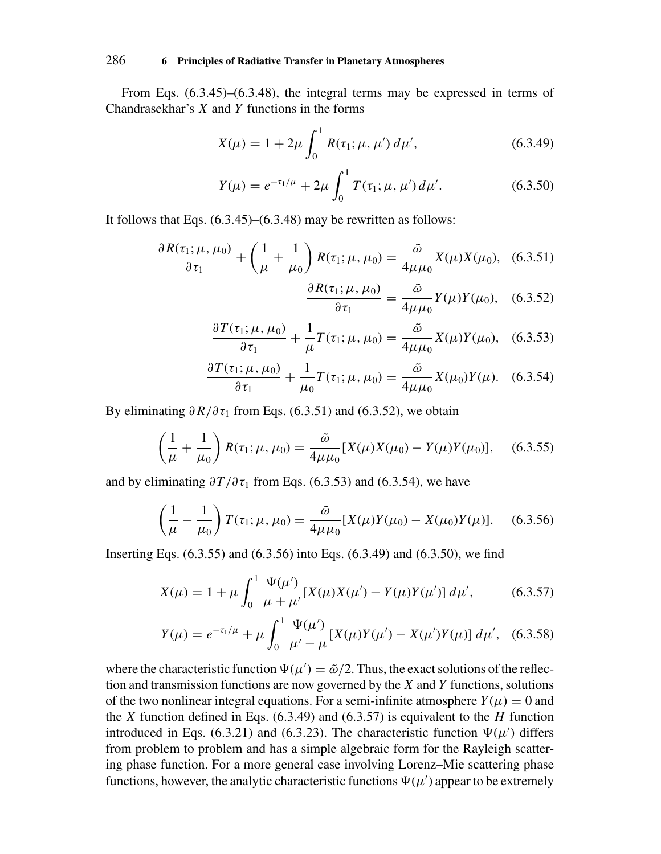From Eqs. (6.3.45)–(6.3.48), the integral terms may be expressed in terms of Chandrasekhar's *X* and *Y* functions in the forms

$$
X(\mu) = 1 + 2\mu \int_0^1 R(\tau_1; \mu, \mu') d\mu', \qquad (6.3.49)
$$

$$
Y(\mu) = e^{-\tau_1/\mu} + 2\mu \int_0^1 T(\tau_1; \mu, \mu') d\mu'. \tag{6.3.50}
$$

It follows that Eqs.  $(6.3.45)$ – $(6.3.48)$  may be rewritten as follows:

$$
\frac{\partial R(\tau_1; \mu, \mu_0)}{\partial \tau_1} + \left(\frac{1}{\mu} + \frac{1}{\mu_0}\right) R(\tau_1; \mu, \mu_0) = \frac{\tilde{\omega}}{4\mu\mu_0} X(\mu) X(\mu_0), \quad (6.3.51)
$$

$$
\frac{\partial R(\tau_1; \mu, \mu_0)}{\partial \tau_1} = \frac{\tilde{\omega}}{4\mu\mu_0} Y(\mu) Y(\mu_0), \quad (6.3.52)
$$

$$
\frac{\partial T(\tau_1; \mu, \mu_0)}{\partial \tau_1} + \frac{1}{\mu} T(\tau_1; \mu, \mu_0) = \frac{\tilde{\omega}}{4\mu\mu_0} X(\mu) Y(\mu_0), \quad (6.3.53)
$$

$$
\frac{\partial T(\tau_1; \mu, \mu_0)}{\partial \tau_1} + \frac{1}{\mu_0} T(\tau_1; \mu, \mu_0) = \frac{\tilde{\omega}}{4\mu\mu_0} X(\mu_0) Y(\mu). \quad (6.3.54)
$$

By eliminating  $\partial R/\partial \tau_1$  from Eqs. (6.3.51) and (6.3.52), we obtain

$$
\left(\frac{1}{\mu} + \frac{1}{\mu_0}\right) R(\tau_1; \mu, \mu_0) = \frac{\tilde{\omega}}{4\mu\mu_0} [X(\mu)X(\mu_0) - Y(\mu)Y(\mu_0)], \quad (6.3.55)
$$

and by eliminating  $\partial T/\partial \tau_1$  from Eqs. (6.3.53) and (6.3.54), we have

$$
\left(\frac{1}{\mu} - \frac{1}{\mu_0}\right) T(\tau_1; \mu, \mu_0) = \frac{\tilde{\omega}}{4\mu\mu_0} [X(\mu)Y(\mu_0) - X(\mu_0)Y(\mu)]. \quad (6.3.56)
$$

Inserting Eqs. (6.3.55) and (6.3.56) into Eqs. (6.3.49) and (6.3.50), we find

$$
X(\mu) = 1 + \mu \int_0^1 \frac{\Psi(\mu')}{\mu + \mu'} [X(\mu)X(\mu') - Y(\mu)Y(\mu')] d\mu', \qquad (6.3.57)
$$

$$
Y(\mu) = e^{-\tau_1/\mu} + \mu \int_0^1 \frac{\Psi(\mu')}{\mu' - \mu} [X(\mu)Y(\mu') - X(\mu')Y(\mu)] d\mu', \quad (6.3.58)
$$

where the characteristic function  $\Psi(\mu') = \tilde{\omega}/2$ . Thus, the exact solutions of the reflection and transmission functions are now governed by the *X* and *Y* functions, solutions of the two nonlinear integral equations. For a semi-infinite atmosphere  $Y(\mu) = 0$  and the *X* function defined in Eqs. (6.3.49) and (6.3.57) is equivalent to the *H* function introduced in Eqs. (6.3.21) and (6.3.23). The characteristic function  $\Psi(\mu')$  differs from problem to problem and has a simple algebraic form for the Rayleigh scattering phase function. For a more general case involving Lorenz–Mie scattering phase functions, however, the analytic characteristic functions  $\Psi(\mu')$  appear to be extremely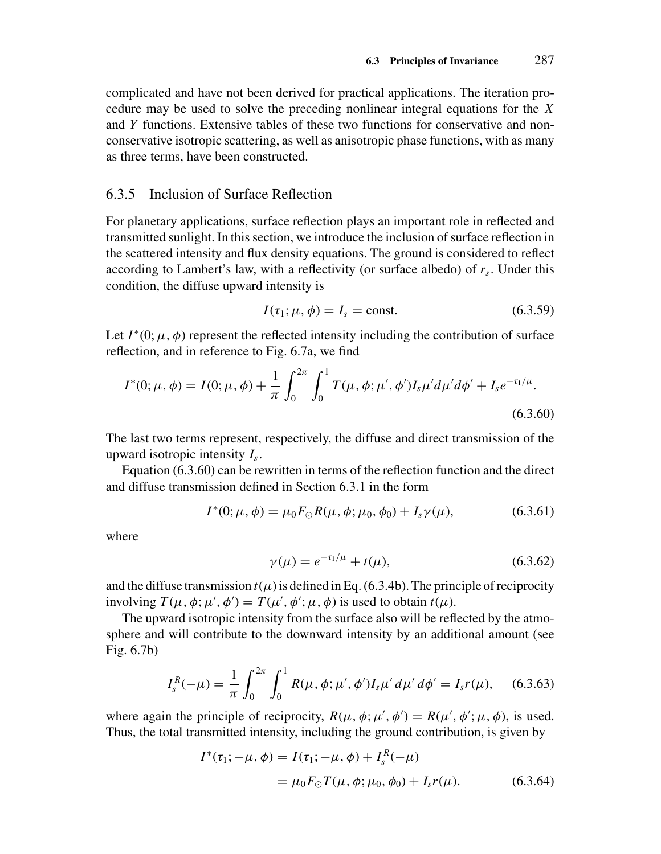complicated and have not been derived for practical applications. The iteration procedure may be used to solve the preceding nonlinear integral equations for the *X* and *Y* functions. Extensive tables of these two functions for conservative and nonconservative isotropic scattering, as well as anisotropic phase functions, with as many as three terms, have been constructed.

# 6.3.5 Inclusion of Surface Reflection

For planetary applications, surface reflection plays an important role in reflected and transmitted sunlight. In this section, we introduce the inclusion of surface reflection in the scattered intensity and flux density equations. The ground is considered to reflect according to Lambert's law, with a reflectivity (or surface albedo) of  $r_s$ . Under this condition, the diffuse upward intensity is

$$
I(\tau_1; \mu, \phi) = I_s = \text{const.}
$$
 (6.3.59)

Let  $I^*(0; \mu, \phi)$  represent the reflected intensity including the contribution of surface reflection, and in reference to Fig. 6.7a, we find

$$
I^*(0; \mu, \phi) = I(0; \mu, \phi) + \frac{1}{\pi} \int_0^{2\pi} \int_0^1 T(\mu, \phi; \mu', \phi') I_s \mu' d\mu' d\phi' + I_s e^{-\tau_1/\mu}.
$$
\n(6.3.60)

The last two terms represent, respectively, the diffuse and direct transmission of the upward isotropic intensity *Is*.

Equation (6.3.60) can be rewritten in terms of the reflection function and the direct and diffuse transmission defined in Section 6.3.1 in the form

$$
I^*(0; \mu, \phi) = \mu_0 F_{\odot} R(\mu, \phi; \mu_0, \phi_0) + I_s \gamma(\mu), \tag{6.3.61}
$$

where

$$
\gamma(\mu) = e^{-\tau_1/\mu} + t(\mu),\tag{6.3.62}
$$

and the diffuse transmission  $t(\mu)$  is defined in Eq. (6.3.4b). The principle of reciprocity involving  $T(\mu, \phi; \mu', \phi') = T(\mu', \phi'; \mu, \phi)$  is used to obtain  $t(\mu)$ .

The upward isotropic intensity from the surface also will be reflected by the atmosphere and will contribute to the downward intensity by an additional amount (see Fig. 6.7b)

$$
I_s^R(-\mu) = \frac{1}{\pi} \int_0^{2\pi} \int_0^1 R(\mu, \phi; \mu', \phi') I_s \mu' d\mu' d\phi' = I_s r(\mu), \quad (6.3.63)
$$

where again the principle of reciprocity,  $R(\mu, \phi; \mu', \phi') = R(\mu', \phi'; \mu, \phi)$ , is used. Thus, the total transmitted intensity, including the ground contribution, is given by

$$
I^*(\tau_1; -\mu, \phi) = I(\tau_1; -\mu, \phi) + I_s^R(-\mu)
$$
  
=  $\mu_0 F_{\odot} T(\mu, \phi; \mu_0, \phi_0) + I_s r(\mu).$  (6.3.64)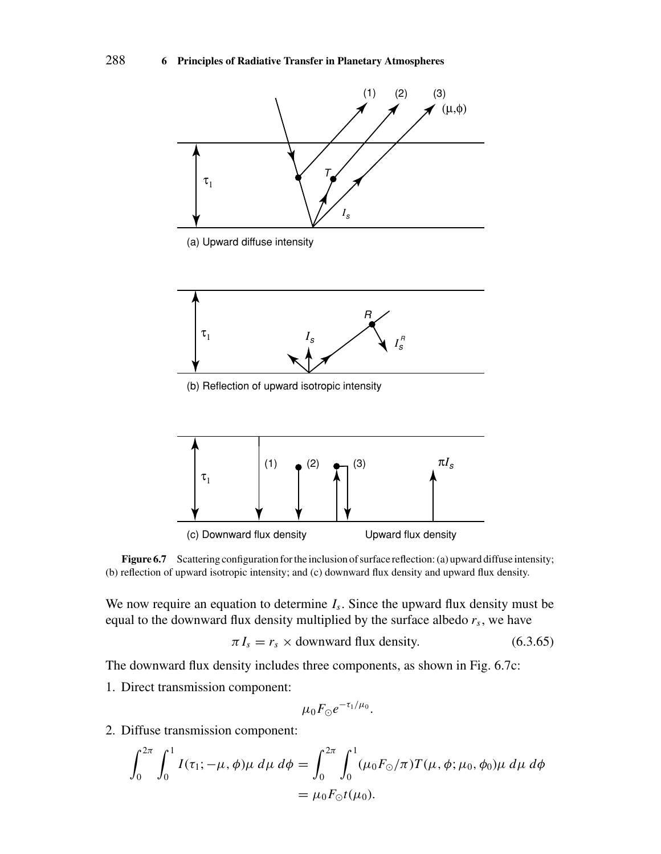

**Figure 6.7** Scattering configuration for the inclusion of surface reflection: (a) upward diffuse intensity; (b) reflection of upward isotropic intensity; and (c) downward flux density and upward flux density.

We now require an equation to determine *Is*. Since the upward flux density must be equal to the downward flux density multiplied by the surface albedo  $r<sub>s</sub>$ , we have

$$
\pi I_s = r_s \times \text{downward flux density.} \tag{6.3.65}
$$

The downward flux density includes three components, as shown in Fig. 6.7c:

1. Direct transmission component:

$$
\mu_0 F_\odot e^{-\tau_1/\mu_0}.
$$

2. Diffuse transmission component:

$$
\int_0^{2\pi} \int_0^1 I(\tau_1; -\mu, \phi) \mu \, d\mu \, d\phi = \int_0^{2\pi} \int_0^1 (\mu_0 F_{\odot}/\pi) T(\mu, \phi; \mu_0, \phi_0) \mu \, d\mu \, d\phi
$$
  
=  $\mu_0 F_{\odot} t(\mu_0).$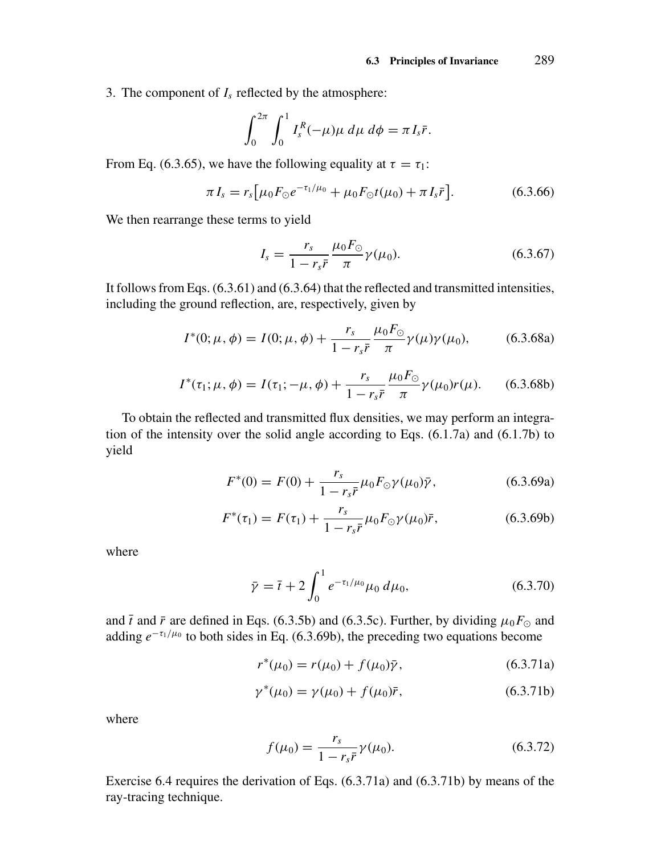3. The component of  $I_s$  reflected by the atmosphere:

$$
\int_0^{2\pi} \int_0^1 I_s^R(-\mu)\mu \ d\mu \ d\phi = \pi I_s \bar{r}.
$$

From Eq. (6.3.65), we have the following equality at  $\tau = \tau_1$ :

$$
\pi I_s = r_s \big[ \mu_0 F_\odot e^{-\tau_1/\mu_0} + \mu_0 F_\odot t(\mu_0) + \pi I_s \bar{r} \big]. \tag{6.3.66}
$$

We then rearrange these terms to yield

$$
I_s = \frac{r_s}{1 - r_s \bar{r}} \frac{\mu_0 F_\odot}{\pi} \gamma(\mu_0). \tag{6.3.67}
$$

It follows from Eqs. (6.3.61) and (6.3.64) that the reflected and transmitted intensities, including the ground reflection, are, respectively, given by

$$
I^*(0; \mu, \phi) = I(0; \mu, \phi) + \frac{r_s}{1 - r_s \bar{r}} \frac{\mu_0 F_\odot}{\pi} \gamma(\mu) \gamma(\mu_0), \quad (6.3.68a)
$$

$$
I^*(\tau_1; \mu, \phi) = I(\tau_1; -\mu, \phi) + \frac{r_s}{1 - r_s \bar{r}} \frac{\mu_0 F_{\odot}}{\pi} \gamma(\mu_0) r(\mu). \qquad (6.3.68b)
$$

To obtain the reflected and transmitted flux densities, we may perform an integration of the intensity over the solid angle according to Eqs. (6.1.7a) and (6.1.7b) to yield

$$
F^*(0) = F(0) + \frac{r_s}{1 - r_s \bar{r}} \mu_0 F_{\odot} \gamma(\mu_0) \bar{\gamma},
$$
 (6.3.69a)

$$
F^*(\tau_1) = F(\tau_1) + \frac{r_s}{1 - r_s \bar{r}} \mu_0 F_{\odot} \gamma(\mu_0) \bar{r}, \qquad (6.3.69b)
$$

where

$$
\bar{\gamma} = \bar{t} + 2 \int_0^1 e^{-\tau_1/\mu_0} \mu_0 \, d\mu_0,\tag{6.3.70}
$$

and  $\bar{t}$  and  $\bar{r}$  are defined in Eqs. (6.3.5b) and (6.3.5c). Further, by dividing  $\mu_0 F_{\odot}$  and adding  $e^{-\tau_1/\mu_0}$  to both sides in Eq. (6.3.69b), the preceding two equations become

$$
r^*(\mu_0) = r(\mu_0) + f(\mu_0)\bar{\gamma}, \qquad (6.3.71a)
$$

$$
\gamma^*(\mu_0) = \gamma(\mu_0) + f(\mu_0)\bar{r}, \qquad (6.3.71b)
$$

where

$$
f(\mu_0) = \frac{r_s}{1 - r_s \bar{r}} \gamma(\mu_0).
$$
 (6.3.72)

Exercise 6.4 requires the derivation of Eqs. (6.3.71a) and (6.3.71b) by means of the ray-tracing technique.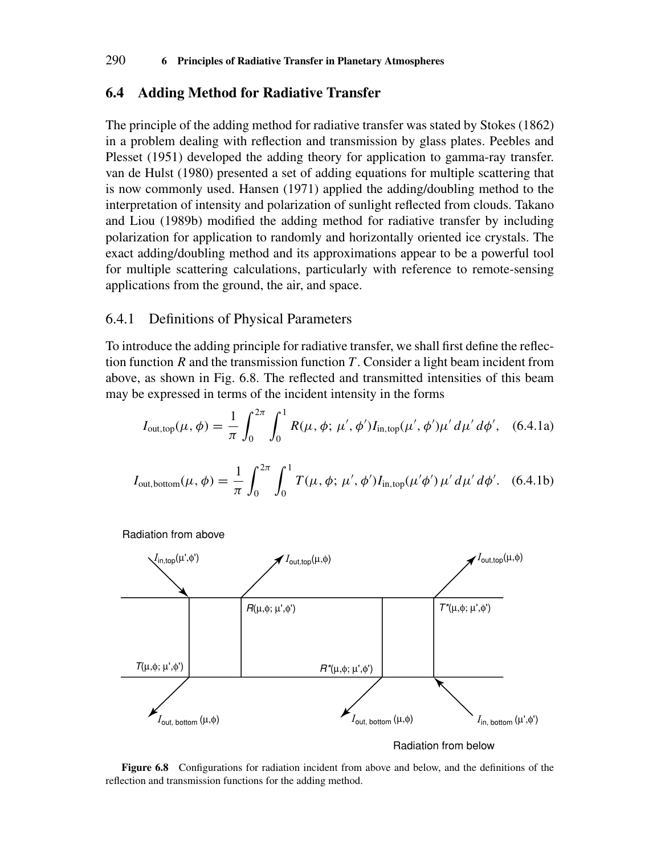# **6.4 Adding Method for Radiative Transfer**

The principle of the adding method for radiative transfer was stated by Stokes (1862) in a problem dealing with reflection and transmission by glass plates. Peebles and Plesset (1951) developed the adding theory for application to gamma-ray transfer. van de Hulst (1980) presented a set of adding equations for multiple scattering that is now commonly used. Hansen (1971) applied the adding/doubling method to the interpretation of intensity and polarization of sunlight reflected from clouds. Takano and Liou (1989b) modified the adding method for radiative transfer by including polarization for application to randomly and horizontally oriented ice crystals. The exact adding/doubling method and its approximations appear to be a powerful tool for multiple scattering calculations, particularly with reference to remote-sensing applications from the ground, the air, and space.

# 6.4.1 Definitions of Physical Parameters

To introduce the adding principle for radiative transfer, we shall first define the reflection function *R* and the transmission function *T.* Consider a light beam incident from above, as shown in Fig. 6.8. The reflected and transmitted intensities of this beam may be expressed in terms of the incident intensity in the forms

$$
I_{\text{out,top}}(\mu,\phi) = \frac{1}{\pi} \int_0^{2\pi} \int_0^1 R(\mu,\phi;\,\mu',\phi') I_{\text{in,top}}(\mu',\phi') \mu' d\mu' d\phi', \quad (6.4.1a)
$$

$$
I_{\text{out}, \text{bottom}}(\mu, \phi) = \frac{1}{\pi} \int_0^{2\pi} \int_0^1 T(\mu, \phi; \mu', \phi') I_{\text{in}, \text{top}}(\mu' \phi') \mu' d\mu' d\phi'. \quad (6.4.1b)
$$

 $I_{\text{in,top}}(\mu^{\prime},\phi^{\prime})$   $\blacktriangleright$   $I_{\text{out,top}}(\mu,\phi)$  $I_{\text{out. bottom}}(\mu, \phi)$  *I*<sub>out, bottom  $(\mu, \phi)$  *I*<sub>in, bottom  $(\mu', \phi')$ </sub></sub> *I*<sub>out,top</sub>( $\mu$ ,φ) *T*(µ,φ; µ',φ') *R*(µ,φ; µ',φ') *R\**(µ,φ; µ',φ') *T\**(µ,φ; µ',φ')

Radiation from above



**Figure 6.8** Configurations for radiation incident from above and below, and the definitions of the reflection and transmission functions for the adding method.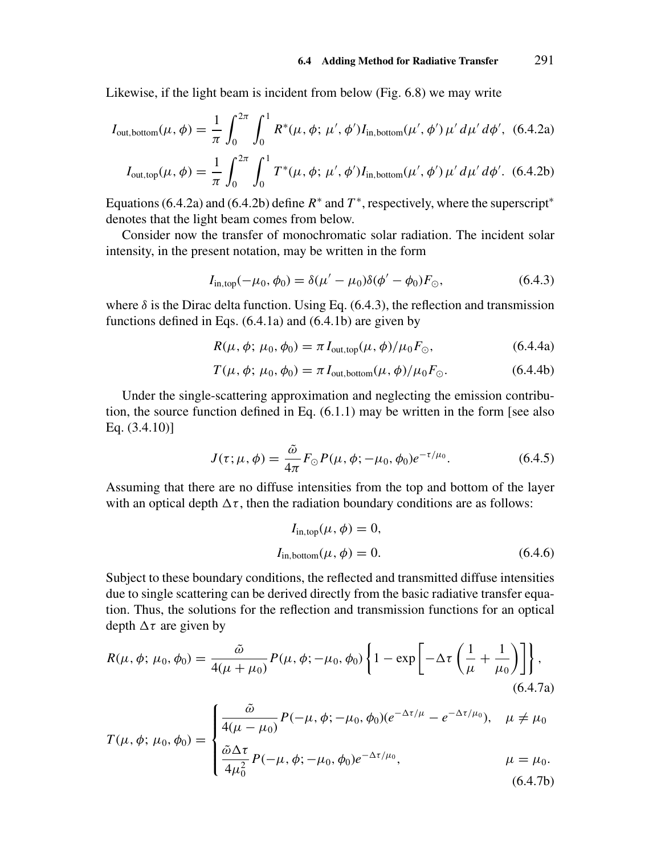Likewise, if the light beam is incident from below (Fig. 6.8) we may write

$$
I_{\text{out},\text{bottom}}(\mu,\phi) = \frac{1}{\pi} \int_0^{2\pi} \int_0^1 R^*(\mu,\phi;\,\mu',\phi') I_{\text{in},\text{bottom}}(\mu',\phi') \,\mu' \,d\mu' \,d\phi',\tag{6.4.2a}
$$

$$
I_{\text{out,top}}(\mu,\phi) = \frac{1}{\pi} \int_0^{2\pi} \int_0^1 T^*(\mu,\phi;\,\mu',\phi') I_{\text{in},\text{bottom}}(\mu',\phi') \,\mu' \,d\mu' \,d\phi'.\tag{6.4.2b}
$$

Equations (6.4.2a) and (6.4.2b) define  $R^*$  and  $T^*$ , respectively, where the superscript<sup>\*</sup> denotes that the light beam comes from below.

Consider now the transfer of monochromatic solar radiation. The incident solar intensity, in the present notation, may be written in the form

$$
I_{\text{in,top}}(-\mu_0, \phi_0) = \delta(\mu' - \mu_0)\delta(\phi' - \phi_0)F_{\odot},
$$
\n(6.4.3)

where  $\delta$  is the Dirac delta function. Using Eq. (6.4.3), the reflection and transmission functions defined in Eqs. (6.4.1a) and (6.4.1b) are given by

$$
R(\mu, \phi; \mu_0, \phi_0) = \pi I_{\text{out,top}}(\mu, \phi) / \mu_0 F_{\odot},
$$
 (6.4.4a)

$$
T(\mu, \phi; \mu_0, \phi_0) = \pi I_{\text{out}, \text{bottom}}(\mu, \phi) / \mu_0 F_{\odot}.
$$
 (6.4.4b)

Under the single-scattering approximation and neglecting the emission contribution, the source function defined in Eq. (6.1.1) may be written in the form [see also Eq. (3.4.10)]

$$
J(\tau; \mu, \phi) = \frac{\tilde{\omega}}{4\pi} F_{\odot} P(\mu, \phi; -\mu_0, \phi_0) e^{-\tau/\mu_0}.
$$
 (6.4.5)

Assuming that there are no diffuse intensities from the top and bottom of the layer with an optical depth  $\Delta \tau$ , then the radiation boundary conditions are as follows:

$$
I_{\text{in, top}}(\mu, \phi) = 0,
$$
  

$$
I_{\text{in, bottom}}(\mu, \phi) = 0.
$$
 (6.4.6)

Subject to these boundary conditions, the reflected and transmitted diffuse intensities due to single scattering can be derived directly from the basic radiative transfer equation. Thus, the solutions for the reflection and transmission functions for an optical depth  $\Delta \tau$  are given by

$$
R(\mu, \phi; \mu_0, \phi_0) = \frac{\tilde{\omega}}{4(\mu + \mu_0)} P(\mu, \phi; -\mu_0, \phi_0) \left\{ 1 - \exp \left[ -\Delta \tau \left( \frac{1}{\mu} + \frac{1}{\mu_0} \right) \right] \right\},\tag{6.4.7a}
$$

$$
T(\mu, \phi; \mu_0, \phi_0) = \begin{cases} \frac{\tilde{\omega}}{4(\mu - \mu_0)} P(-\mu, \phi; -\mu_0, \phi_0) (e^{-\Delta \tau/\mu} - e^{-\Delta \tau/\mu_0}), & \mu \neq \mu_0 \\ \frac{\tilde{\omega} \Delta \tau}{4\mu_0^2} P(-\mu, \phi; -\mu_0, \phi_0) e^{-\Delta \tau/\mu_0}, & \mu = \mu_0. \end{cases}
$$
(6.4.7b)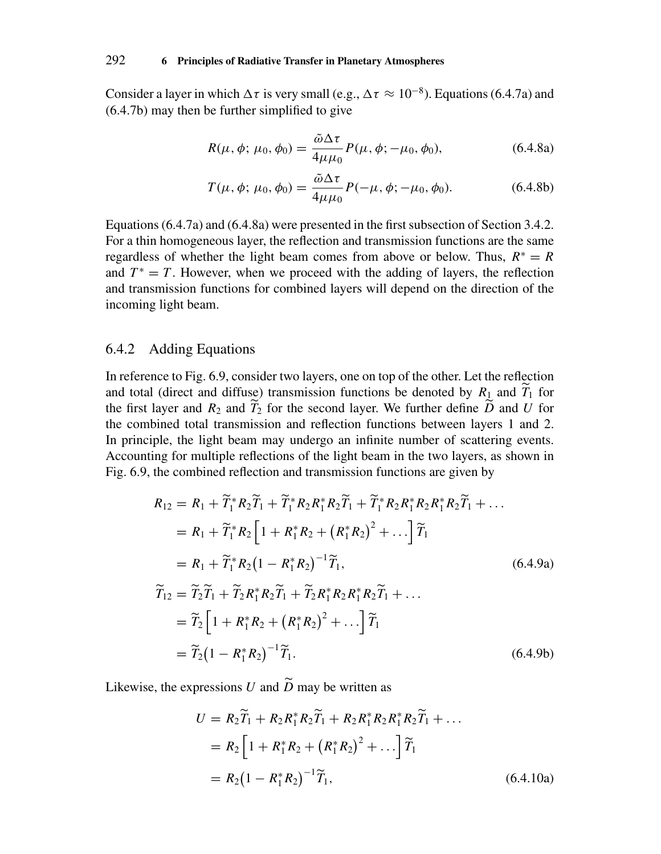Consider a layer in which  $\Delta \tau$  is very small (e.g.,  $\Delta \tau \approx 10^{-8}$ ). Equations (6.4.7a) and (6.4.7b) may then be further simplified to give

$$
R(\mu, \phi; \mu_0, \phi_0) = \frac{\tilde{\omega} \Delta \tau}{4\mu \mu_0} P(\mu, \phi; -\mu_0, \phi_0),
$$
 (6.4.8a)

$$
T(\mu, \phi; \mu_0, \phi_0) = \frac{\tilde{\omega} \Delta \tau}{4 \mu \mu_0} P(-\mu, \phi; -\mu_0, \phi_0).
$$
 (6.4.8b)

Equations (6.4.7a) and (6.4.8a) were presented in the first subsection of Section 3.4.2. For a thin homogeneous layer, the reflection and transmission functions are the same regardless of whether the light beam comes from above or below. Thus,  $R^* = R$ and  $T^* = T$ . However, when we proceed with the adding of layers, the reflection and transmission functions for combined layers will depend on the direction of the incoming light beam.

# 6.4.2 Adding Equations

In reference to Fig. 6.9, consider two layers, one on top of the other. Let the reflection and total (direct and diffuse) transmission functions be denoted by  $R_1$  and  $\widetilde{T}_1$  for the first layer and  $R_2$  and  $T_2$  for the second layer. We further define *D* and *U* for the combined total transmission and reflection functions between layers 1 and 2. In principle, the light beam may undergo an infinite number of scattering events. Accounting for multiple reflections of the light beam in the two layers, as shown in Fig. 6.9, the combined reflection and transmission functions are given by

$$
R_{12} = R_1 + \widetilde{T}_1^* R_2 \widetilde{T}_1 + \widetilde{T}_1^* R_2 R_1^* R_2 \widetilde{T}_1 + \widetilde{T}_1^* R_2 R_1^* R_2 R_1^* R_2 \widetilde{T}_1 + \dots
$$
  
\n
$$
= R_1 + \widetilde{T}_1^* R_2 \left[ 1 + R_1^* R_2 + (R_1^* R_2)^2 + \dots \right] \widetilde{T}_1
$$
  
\n
$$
= R_1 + \widetilde{T}_1^* R_2 (1 - R_1^* R_2)^{-1} \widetilde{T}_1,
$$
  
\n
$$
\widetilde{T}_{12} = \widetilde{T}_2 \widetilde{T}_1 + \widetilde{T}_2 R_1^* R_2 \widetilde{T}_1 + \widetilde{T}_2 R_1^* R_2 R_1^* R_2 \widetilde{T}_1 + \dots
$$
  
\n
$$
= \widetilde{T}_2 \left[ 1 + R_1^* R_2 + (R_1^* R_2)^2 + \dots \right] \widetilde{T}_1
$$
  
\n
$$
= \widetilde{T}_2 (1 - R_1^* R_2)^{-1} \widetilde{T}_1.
$$
  
\n(6.4.9b)

Likewise, the expressions  $U$  and  $\overline{D}$  may be written as

$$
U = R_2 \widetilde{T}_1 + R_2 R_1^* R_2 \widetilde{T}_1 + R_2 R_1^* R_2 R_1^* R_2 \widetilde{T}_1 + \dots
$$
  
=  $R_2 \left[ 1 + R_1^* R_2 + (R_1^* R_2)^2 + \dots \right] \widetilde{T}_1$   
=  $R_2 \left( 1 - R_1^* R_2 \right)^{-1} \widetilde{T}_1,$  (6.4.10a)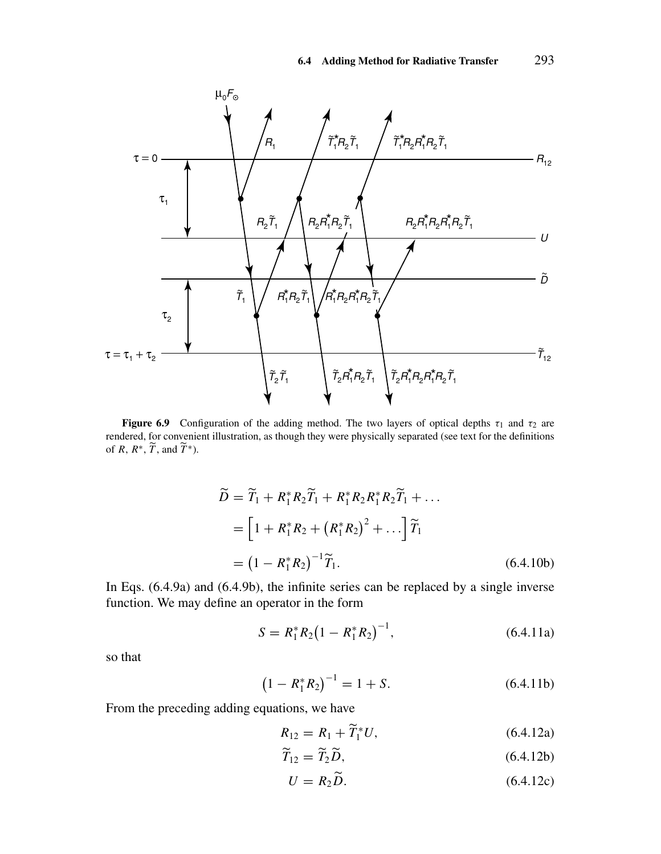

**Figure 6.9** Configuration of the adding method. The two layers of optical depths  $\tau_1$  and  $\tau_2$  are rendered, for convenient illustration, as though they were physically separated (see text for the definitions of *R*,  $R^*$ ,  $\widetilde{T}$ , and  $\widetilde{T}^*$ ).

$$
\widetilde{D} = \widetilde{T}_1 + R_1^* R_2 \widetilde{T}_1 + R_1^* R_2 R_1^* R_2 \widetilde{T}_1 + \dots
$$
  
=  $\left[ 1 + R_1^* R_2 + (R_1^* R_2)^2 + \dots \right] \widetilde{T}_1$   
=  $(1 - R_1^* R_2)^{-1} \widetilde{T}_1.$  (6.4.10b)

In Eqs. (6.4.9a) and (6.4.9b), the infinite series can be replaced by a single inverse function. We may define an operator in the form

$$
S = R_1^* R_2 (1 - R_1^* R_2)^{-1}, \tag{6.4.11a}
$$

so that

$$
(1 - R_1^* R_2)^{-1} = 1 + S. \t\t(6.4.11b)
$$

From the preceding adding equations, we have

$$
R_{12} = R_1 + \widetilde{T}_1^* U, \tag{6.4.12a}
$$

$$
\widetilde{T}_{12} = \widetilde{T}_2 \widetilde{D},\tag{6.4.12b}
$$

$$
U = R_2 \widetilde{D}.\tag{6.4.12c}
$$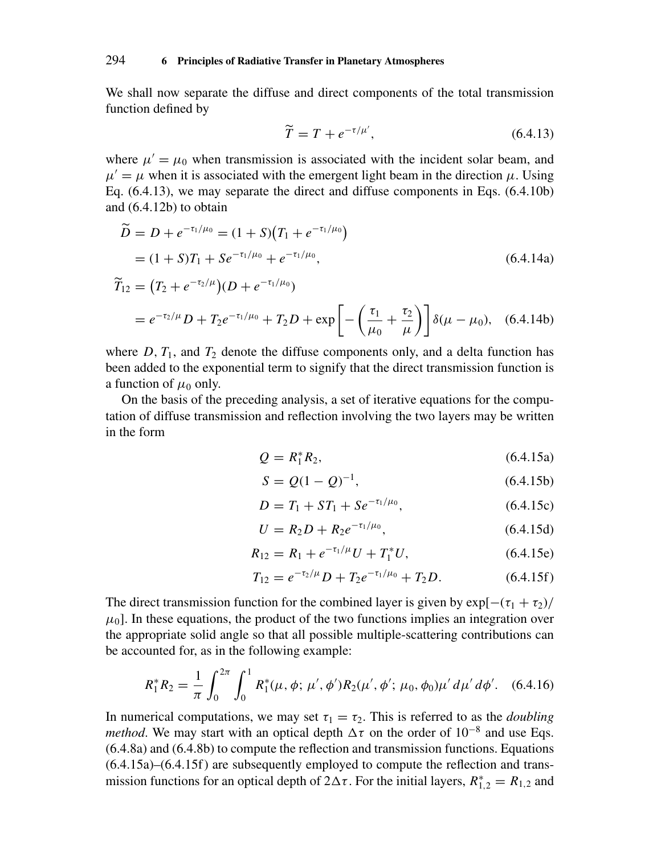We shall now separate the diffuse and direct components of the total transmission function defined by

$$
\widetilde{T} = T + e^{-\tau/\mu'},\tag{6.4.13}
$$

where  $\mu' = \mu_0$  when transmission is associated with the incident solar beam, and  $\mu' = \mu$  when it is associated with the emergent light beam in the direction  $\mu$ . Using Eq. (6.4.13), we may separate the direct and diffuse components in Eqs. (6.4.10b) and (6.4.12b) to obtain

$$
\widetilde{D} = D + e^{-\tau_1/\mu_0} = (1 + S)(T_1 + e^{-\tau_1/\mu_0})
$$
\n
$$
= (1 + S)T_1 + Se^{-\tau_1/\mu_0} + e^{-\tau_1/\mu_0},
$$
\n(6.4.14a)\n
$$
\widetilde{T}_{12} = (T_2 + e^{-\tau_2/\mu})(D + e^{-\tau_1/\mu_0})
$$
\n
$$
= e^{-\tau_2/\mu}D + T_2e^{-\tau_1/\mu_0} + T_2D + \exp\left[-\left(\frac{\tau_1}{\mu_0} + \frac{\tau_2}{\mu}\right)\right]\delta(\mu - \mu_0),
$$
\n(6.4.14b)

where  $D$ ,  $T_1$ , and  $T_2$  denote the diffuse components only, and a delta function has been added to the exponential term to signify that the direct transmission function is a function of  $\mu_0$  only.

On the basis of the preceding analysis, a set of iterative equations for the computation of diffuse transmission and reflection involving the two layers may be written in the form

$$
Q = R_1^* R_2, \t\t(6.4.15a)
$$

$$
S = Q(1 - Q)^{-1}, \tag{6.4.15b}
$$

$$
D = T_1 + ST_1 + Se^{-\tau_1/\mu_0}, \tag{6.4.15c}
$$

$$
U = R_2 D + R_2 e^{-\tau_1/\mu_0}, \tag{6.4.15d}
$$

$$
R_{12} = R_1 + e^{-\tau_1/\mu} U + T_1^* U, \tag{6.4.15e}
$$

$$
T_{12} = e^{-\tau_2/\mu} D + T_2 e^{-\tau_1/\mu_0} + T_2 D.
$$
 (6.4.15f)

The direct transmission function for the combined layer is given by  $\exp[-(\tau_1 + \tau_2)/\pi]$  $\mu_0$ ]. In these equations, the product of the two functions implies an integration over the appropriate solid angle so that all possible multiple-scattering contributions can be accounted for, as in the following example:

$$
R_1^* R_2 = \frac{1}{\pi} \int_0^{2\pi} \int_0^1 R_1^* (\mu, \phi; \mu', \phi') R_2(\mu', \phi'; \mu_0, \phi_0) \mu' d\mu' d\phi'.
$$
 (6.4.16)

In numerical computations, we may set  $\tau_1 = \tau_2$ . This is referred to as the *doubling method*. We may start with an optical depth  $\Delta \tau$  on the order of 10<sup>-8</sup> and use Eqs. (6.4.8a) and (6.4.8b) to compute the reflection and transmission functions. Equations (6.4.15a)–(6.4.15f) are subsequently employed to compute the reflection and transmission functions for an optical depth of  $2\Delta\tau$ . For the initial layers,  $R_{1,2}^* = R_{1,2}$  and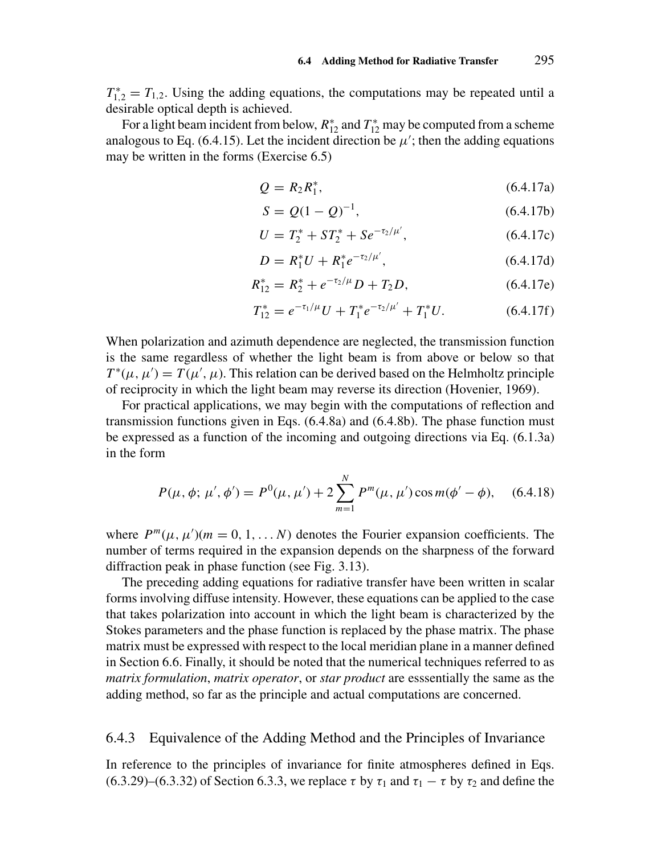$T_{1,2}^* = T_{1,2}$ . Using the adding equations, the computations may be repeated until a desirable optical depth is achieved.

For a light beam incident from below,  $R_{12}^*$  and  $T_{12}^*$  may be computed from a scheme analogous to Eq.  $(6.4.15)$ . Let the incident direction be  $\mu'$ ; then the adding equations may be written in the forms (Exercise 6.5)

$$
Q = R_2 R_1^*, \t\t(6.4.17a)
$$

$$
S = Q(1 - Q)^{-1}, \tag{6.4.17b}
$$

$$
U = T_2^* + ST_2^* + Se^{-\tau_2/\mu'}, \tag{6.4.17c}
$$

$$
D = R_1^* U + R_1^* e^{-\tau_2/\mu'}, \tag{6.4.17d}
$$

$$
R_{12}^* = R_2^* + e^{-\tau_2/\mu} D + T_2 D, \tag{6.4.17e}
$$

$$
T_{12}^* = e^{-\tau_1/\mu} U + T_1^* e^{-\tau_2/\mu'} + T_1^* U. \tag{6.4.17f}
$$

When polarization and azimuth dependence are neglected, the transmission function is the same regardless of whether the light beam is from above or below so that  $T^*(\mu, \mu') = T(\mu', \mu)$ . This relation can be derived based on the Helmholtz principle of reciprocity in which the light beam may reverse its direction (Hovenier, 1969).

For practical applications, we may begin with the computations of reflection and transmission functions given in Eqs. (6.4.8a) and (6.4.8b). The phase function must be expressed as a function of the incoming and outgoing directions via Eq. (6.1.3a) in the form

$$
P(\mu, \phi; \mu', \phi') = P^{0}(\mu, \mu') + 2 \sum_{m=1}^{N} P^{m}(\mu, \mu') \cos m(\phi' - \phi), \quad (6.4.18)
$$

where  $P^m(\mu, \mu')$ (*m* = 0, 1, ... *N*) denotes the Fourier expansion coefficients. The number of terms required in the expansion depends on the sharpness of the forward diffraction peak in phase function (see Fig. 3.13).

The preceding adding equations for radiative transfer have been written in scalar forms involving diffuse intensity. However, these equations can be applied to the case that takes polarization into account in which the light beam is characterized by the Stokes parameters and the phase function is replaced by the phase matrix. The phase matrix must be expressed with respect to the local meridian plane in a manner defined in Section 6.6. Finally, it should be noted that the numerical techniques referred to as *matrix formulation*, *matrix operator*, or *star product* are esssentially the same as the adding method, so far as the principle and actual computations are concerned.

## 6.4.3 Equivalence of the Adding Method and the Principles of Invariance

In reference to the principles of invariance for finite atmospheres defined in Eqs. (6.3.29)–(6.3.32) of Section 6.3.3, we replace  $\tau$  by  $\tau_1$  and  $\tau_1 - \tau$  by  $\tau_2$  and define the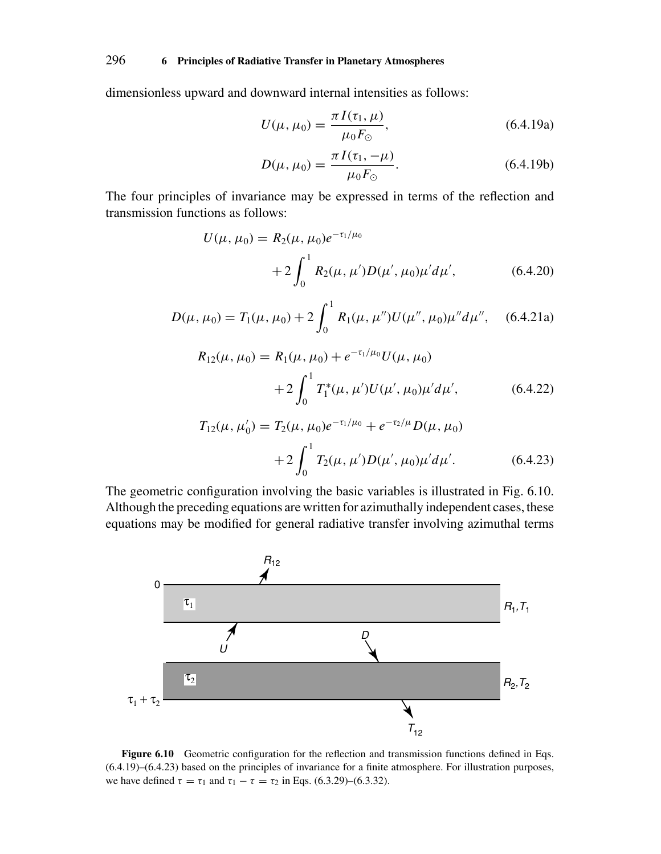dimensionless upward and downward internal intensities as follows:

$$
U(\mu, \mu_0) = \frac{\pi I(\tau_1, \mu)}{\mu_0 F_{\odot}},
$$
\n(6.4.19a)

$$
D(\mu, \mu_0) = \frac{\pi I(\tau_1, -\mu)}{\mu_0 F_{\odot}}.
$$
 (6.4.19b)

The four principles of invariance may be expressed in terms of the reflection and transmission functions as follows:

$$
U(\mu, \mu_0) = R_2(\mu, \mu_0) e^{-\tau_1/\mu_0}
$$
  
+2\int\_0^1 R\_2(\mu, \mu') D(\mu', \mu\_0) \mu' d\mu', \t(6.4.20)

$$
D(\mu, \mu_0) = T_1(\mu, \mu_0) + 2 \int_0^1 R_1(\mu, \mu'') U(\mu'', \mu_0) \mu'' d\mu'', \quad (6.4.21a)
$$

$$
R_{12}(\mu, \mu_0) = R_1(\mu, \mu_0) + e^{-\tau_1/\mu_0} U(\mu, \mu_0)
$$
  
+2\int\_0^1 T\_1^\*(\mu, \mu')U(\mu', \mu\_0)\mu'd\mu', \t(6.4.22)

$$
T_{12}(\mu, \mu'_0) = T_2(\mu, \mu_0) e^{-\tau_1/\mu_0} + e^{-\tau_2/\mu} D(\mu, \mu_0)
$$
  
+ 
$$
2 \int_0^1 T_2(\mu, \mu') D(\mu', \mu_0) \mu' d\mu'.
$$
 (6.4.23)

The geometric configuration involving the basic variables is illustrated in Fig. 6.10. Although the preceding equations are written for azimuthally independent cases, these equations may be modified for general radiative transfer involving azimuthal terms



**Figure 6.10** Geometric configuration for the reflection and transmission functions defined in Eqs. (6.4.19)–(6.4.23) based on the principles of invariance for a finite atmosphere. For illustration purposes, we have defined  $\tau = \tau_1$  and  $\tau_1 - \tau = \tau_2$  in Eqs. (6.3.29)–(6.3.32).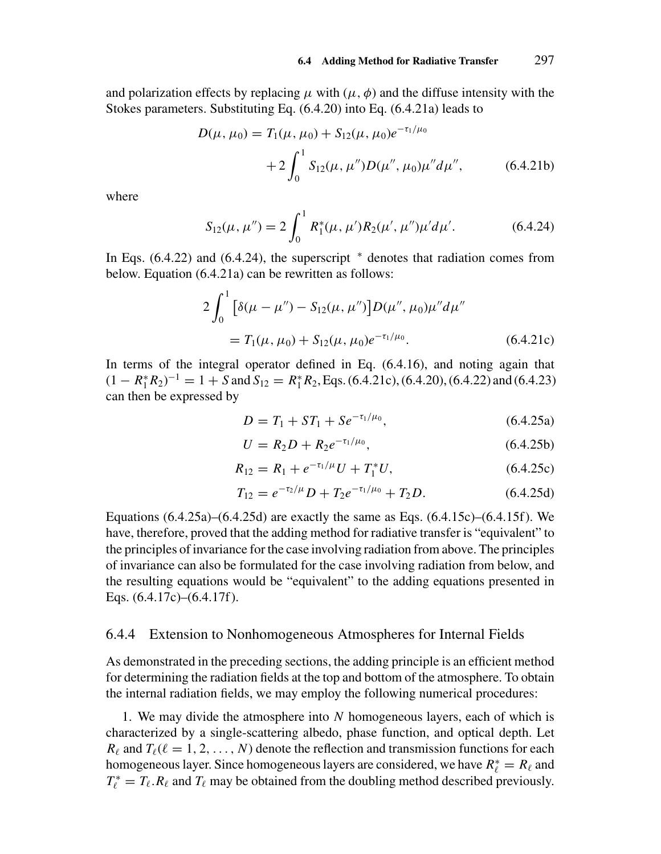and polarization effects by replacing  $\mu$  with  $(\mu, \phi)$  and the diffuse intensity with the Stokes parameters. Substituting Eq. (6.4.20) into Eq. (6.4.21a) leads to

$$
D(\mu, \mu_0) = T_1(\mu, \mu_0) + S_{12}(\mu, \mu_0) e^{-\tau_1/\mu_0}
$$
  
+2\int\_0^1 S\_{12}(\mu, \mu'') D(\mu'', \mu\_0) \mu'' d\mu'', \t(6.4.21b)

where

$$
S_{12}(\mu, \mu'') = 2 \int_0^1 R_1^*(\mu, \mu') R_2(\mu', \mu'') \mu' d\mu'.
$$
 (6.4.24)

In Eqs.  $(6.4.22)$  and  $(6.4.24)$ , the superscript  $*$  denotes that radiation comes from below. Equation (6.4.21a) can be rewritten as follows:

$$
2\int_0^1 \left[\delta(\mu - \mu'') - S_{12}(\mu, \mu'')\right] D(\mu'', \mu_0) \mu'' d\mu''
$$
  
=  $T_1(\mu, \mu_0) + S_{12}(\mu, \mu_0) e^{-\tau_1/\mu_0}.$  (6.4.21c)

In terms of the integral operator defined in Eq. (6.4.16), and noting again that  $(1 - R_1^* R_2)^{-1} = 1 + S$  and  $S_{12} = R_1^* R_2$ , Eqs. (6.4.21c), (6.4.20), (6.4.22) and (6.4.23) can then be expressed by

$$
D = T_1 + ST_1 + Se^{-\tau_1/\mu_0}, \tag{6.4.25a}
$$

$$
U = R_2 D + R_2 e^{-\tau_1/\mu_0}, \tag{6.4.25b}
$$

$$
R_{12} = R_1 + e^{-\tau_1/\mu} U + T_1^* U, \tag{6.4.25c}
$$

$$
T_{12} = e^{-\tau_2/\mu} D + T_2 e^{-\tau_1/\mu_0} + T_2 D.
$$
 (6.4.25d)

Equations  $(6.4.25a)$ – $(6.4.25d)$  are exactly the same as Eqs.  $(6.4.15c)$ – $(6.4.15f)$ . We have, therefore, proved that the adding method for radiative transfer is "equivalent" to the principles of invariance for the case involving radiation from above. The principles of invariance can also be formulated for the case involving radiation from below, and the resulting equations would be "equivalent" to the adding equations presented in Eqs. (6.4.17c)–(6.4.17f).

#### 6.4.4 Extension to Nonhomogeneous Atmospheres for Internal Fields

As demonstrated in the preceding sections, the adding principle is an efficient method for determining the radiation fields at the top and bottom of the atmosphere. To obtain the internal radiation fields, we may employ the following numerical procedures:

1. We may divide the atmosphere into *N* homogeneous layers, each of which is characterized by a single-scattering albedo, phase function, and optical depth. Let  $R_{\ell}$  and  $T_{\ell}(\ell = 1, 2, ..., N)$  denote the reflection and transmission functions for each homogeneous layer. Since homogeneous layers are considered, we have  $R^*_{\ell} = R_{\ell}$  and  $T_{\ell}^* = T_{\ell}.R_{\ell}$  and  $T_{\ell}$  may be obtained from the doubling method described previously.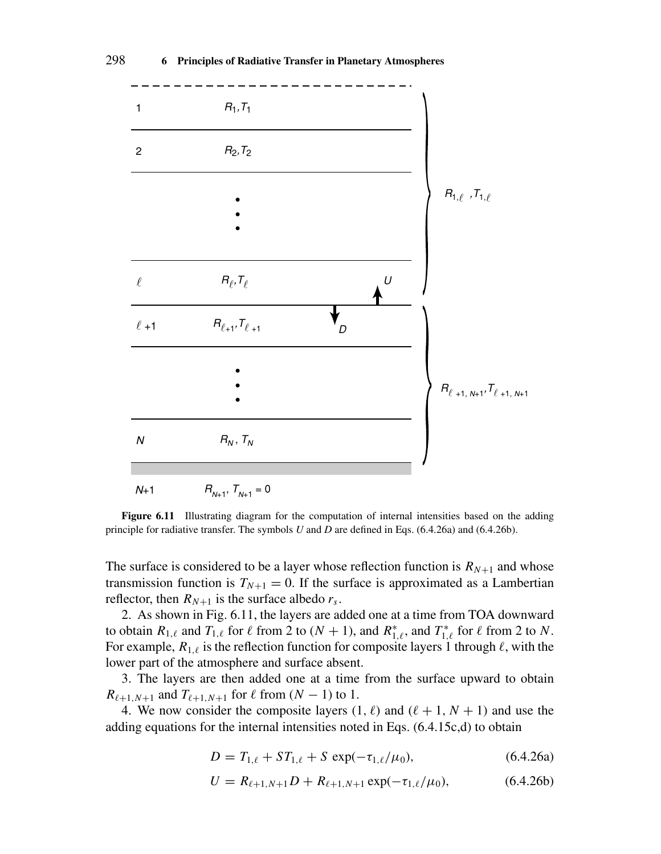

Figure 6.11 Illustrating diagram for the computation of internal intensities based on the adding principle for radiative transfer. The symbols *U* and *D* are defined in Eqs. (6.4.26a) and (6.4.26b).

The surface is considered to be a layer whose reflection function is  $R_{N+1}$  and whose transmission function is  $T_{N+1} = 0$ . If the surface is approximated as a Lambertian reflector, then  $R_{N+1}$  is the surface albedo  $r_s$ .

2. As shown in Fig. 6.11, the layers are added one at a time from TOA downward to obtain  $R_{1,\ell}$  and  $T_{1,\ell}$  for  $\ell$  from 2 to  $(N + 1)$ , and  $R_{1,\ell}^*$ , and  $T_{1,\ell}^*$  for  $\ell$  from 2 to  $N$ . For example,  $R_{1,\ell}$  is the reflection function for composite layers 1 through  $\ell$ , with the lower part of the atmosphere and surface absent.

3. The layers are then added one at a time from the surface upward to obtain *R*<sub> $\ell+1,N+1$ </sub> and  $T_{\ell+1,N+1}$  for  $\ell$  from  $(N-1)$  to 1.

4. We now consider the composite layers  $(1, \ell)$  and  $(\ell + 1, N + 1)$  and use the adding equations for the internal intensities noted in Eqs. (6.4.15c,d) to obtain

$$
D = T_{1,\ell} + ST_{1,\ell} + S \exp(-\tau_{1,\ell}/\mu_0), \tag{6.4.26a}
$$

$$
U = R_{\ell+1,N+1}D + R_{\ell+1,N+1} \exp(-\tau_{1,\ell}/\mu_0), \tag{6.4.26b}
$$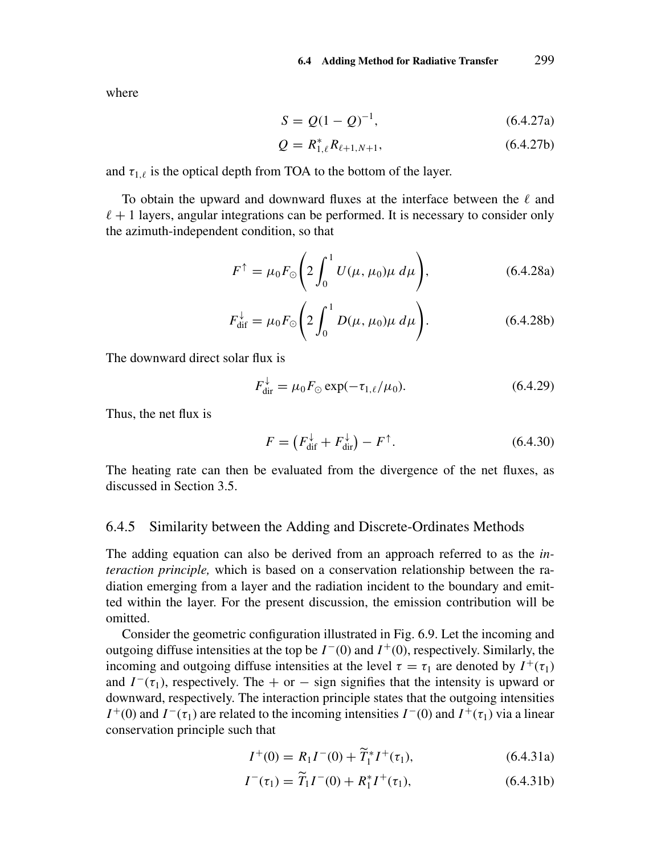where

$$
S = Q(1 - Q)^{-1}, \tag{6.4.27a}
$$

$$
Q = R_{1,\ell}^* R_{\ell+1,N+1}, \tag{6.4.27b}
$$

and  $\tau_{1,\ell}$  is the optical depth from TOA to the bottom of the layer.

To obtain the upward and downward fluxes at the interface between the  $\ell$  and  $\ell + 1$  layers, angular integrations can be performed. It is necessary to consider only the azimuth-independent condition, so that

$$
F^{\uparrow} = \mu_0 F_{\odot} \left( 2 \int_0^1 U(\mu, \mu_0) \mu \, d\mu \right), \tag{6.4.28a}
$$

$$
F_{\text{dif}}^{\downarrow} = \mu_0 F_{\odot} \left( 2 \int_0^1 D(\mu, \mu_0) \mu \, d\mu \right). \tag{6.4.28b}
$$

The downward direct solar flux is

$$
F_{\text{dir}}^{\downarrow} = \mu_0 F_{\odot} \exp(-\tau_{1,\ell}/\mu_0). \tag{6.4.29}
$$

Thus, the net flux is

$$
F = \left(F_{\text{dif}}^{\downarrow} + F_{\text{dir}}^{\downarrow}\right) - F^{\uparrow}.
$$
\n(6.4.30)

The heating rate can then be evaluated from the divergence of the net fluxes, as discussed in Section 3.5.

#### 6.4.5 Similarity between the Adding and Discrete-Ordinates Methods

The adding equation can also be derived from an approach referred to as the *interaction principle,* which is based on a conservation relationship between the radiation emerging from a layer and the radiation incident to the boundary and emitted within the layer. For the present discussion, the emission contribution will be omitted.

Consider the geometric configuration illustrated in Fig. 6.9. Let the incoming and outgoing diffuse intensities at the top be  $I^-(0)$  and  $I^+(0)$ , respectively. Similarly, the incoming and outgoing diffuse intensities at the level  $\tau = \tau_1$  are denoted by  $I^+(\tau_1)$ and  $I^-(\tau_1)$ , respectively. The + or − sign signifies that the intensity is upward or downward, respectively. The interaction principle states that the outgoing intensities *I*<sup>+</sup>(0) and *I* <sup>−</sup>( $\tau_1$ ) are related to the incoming intensities *I*<sup>−</sup>(0) and *I*<sup>+</sup>( $\tau_1$ ) via a linear conservation principle such that

$$
I^{+}(0) = R_1 I^{-}(0) + \tilde{T}_1^* I^{+}(\tau_1), \qquad (6.4.31a)
$$

$$
I^{-}(\tau_{1}) = T_{1}I^{-}(0) + R_{1}^{*}I^{+}(\tau_{1}), \qquad (6.4.31b)
$$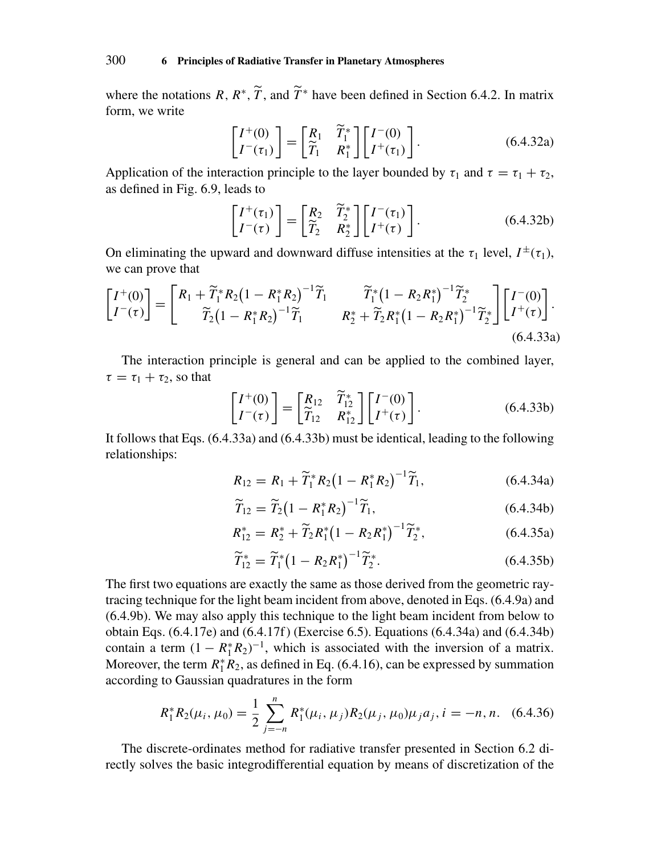where the notations *R*,  $R^*$ ,  $\widetilde{T}$ , and  $\widetilde{T}^*$  have been defined in Section 6.4.2. In matrix form, we write

$$
\begin{bmatrix} I^+(0) \\ I^-(\tau_1) \end{bmatrix} = \begin{bmatrix} R_1 & \widetilde{T}_1^* \\ \widetilde{T}_1 & R_1^* \end{bmatrix} \begin{bmatrix} I^-(0) \\ I^+(\tau_1) \end{bmatrix} . \tag{6.4.32a}
$$

Application of the interaction principle to the layer bounded by  $\tau_1$  and  $\tau = \tau_1 + \tau_2$ , as defined in Fig. 6.9, leads to

$$
\begin{bmatrix} I^+(\tau_1) \\ I^-(\tau) \end{bmatrix} = \begin{bmatrix} R_2 & \widetilde{T}_2^* \\ \widetilde{T}_2 & R_2^* \end{bmatrix} \begin{bmatrix} I^-(\tau_1) \\ I^+(\tau) \end{bmatrix} . \tag{6.4.32b}
$$

On eliminating the upward and downward diffuse intensities at the  $\tau_1$  level,  $I^{\pm}(\tau_1)$ , we can prove that

$$
\begin{bmatrix} I^{+}(0) \\ I^{-}(\tau) \end{bmatrix} = \begin{bmatrix} R_1 + \widetilde{T}_1^* R_2 (1 - R_1^* R_2)^{-1} \widetilde{T}_1 & \widetilde{T}_1^* (1 - R_2 R_1^*)^{-1} \widetilde{T}_2^* \\ \widetilde{T}_2 (1 - R_1^* R_2)^{-1} \widetilde{T}_1 & R_2^* + \widetilde{T}_2 R_1^* (1 - R_2 R_1^*)^{-1} \widetilde{T}_2^* \end{bmatrix} \begin{bmatrix} I^{-}(0) \\ I^{+}(\tau) \end{bmatrix}.
$$
\n(6.4.33a)

The interaction principle is general and can be applied to the combined layer,  $\tau = \tau_1 + \tau_2$ , so that

$$
\begin{bmatrix} I^+(0) \\ I^-(\tau) \end{bmatrix} = \begin{bmatrix} R_{12} & \widetilde{T}_{12}^* \\ \widetilde{T}_{12} & R_{12}^* \end{bmatrix} \begin{bmatrix} I^-(0) \\ I^+(\tau) \end{bmatrix} . \tag{6.4.33b}
$$

It follows that Eqs. (6.4.33a) and (6.4.33b) must be identical, leading to the following relationships:

$$
R_{12} = R_1 + \widetilde{T}_1^* R_2 (1 - R_1^* R_2)^{-1} \widetilde{T}_1, \qquad (6.4.34a)
$$

$$
\widetilde{T}_{12} = \widetilde{T}_2 \big( 1 - R_1^* R_2 \big)^{-1} \widetilde{T}_1,\tag{6.4.34b}
$$

$$
R_{12}^* = R_2^* + \widetilde{T}_2 R_1^* \left(1 - R_2 R_1^*\right)^{-1} \widetilde{T}_2^*,
$$
\n(6.4.35a)

$$
\widetilde{T}_{12}^* = \widetilde{T}_1^* \left( 1 - R_2 R_1^* \right)^{-1} \widetilde{T}_2^*.
$$
\n(6.4.35b)

The first two equations are exactly the same as those derived from the geometric raytracing technique for the light beam incident from above, denoted in Eqs. (6.4.9a) and (6.4.9b). We may also apply this technique to the light beam incident from below to obtain Eqs. (6.4.17e) and (6.4.17f) (Exercise 6.5). Equations (6.4.34a) and (6.4.34b) contain a term  $(1 - R_1^* R_2)^{-1}$ , which is associated with the inversion of a matrix. Moreover, the term  $R_1^* R_2$ , as defined in Eq. (6.4.16), can be expressed by summation according to Gaussian quadratures in the form

$$
R_1^* R_2(\mu_i, \mu_0) = \frac{1}{2} \sum_{j=-n}^n R_1^* (\mu_i, \mu_j) R_2(\mu_j, \mu_0) \mu_j a_j, i = -n, n. \quad (6.4.36)
$$

The discrete-ordinates method for radiative transfer presented in Section 6.2 directly solves the basic integrodifferential equation by means of discretization of the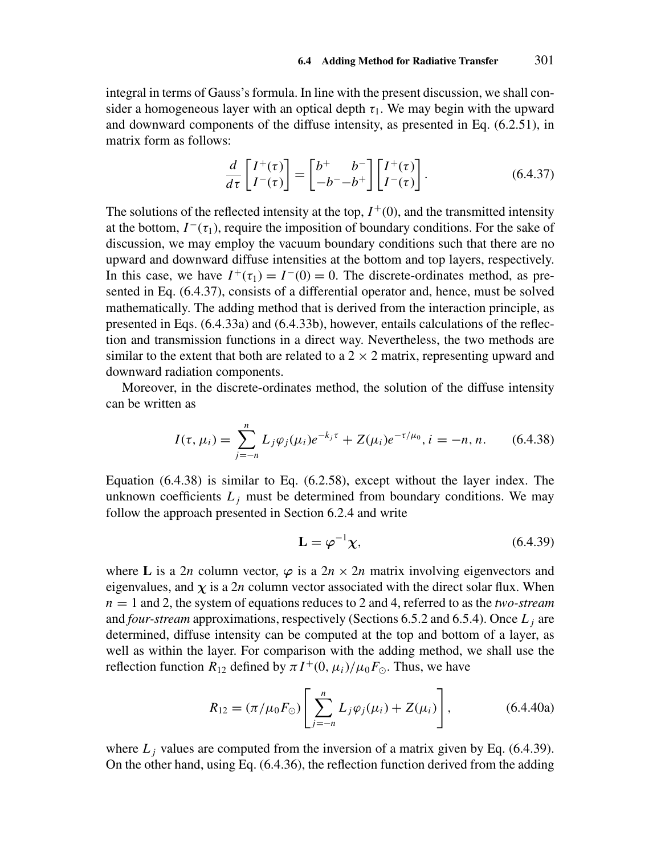integral in terms of Gauss's formula. In line with the present discussion, we shall consider a homogeneous layer with an optical depth  $\tau_1$ . We may begin with the upward and downward components of the diffuse intensity, as presented in Eq. (6.2.51), in matrix form as follows:

$$
\frac{d}{d\tau} \begin{bmatrix} I^+(\tau) \\ I^-(\tau) \end{bmatrix} = \begin{bmatrix} b^+ & b^- \\ -b^- - b^+ \end{bmatrix} \begin{bmatrix} I^+(\tau) \\ I^-(\tau) \end{bmatrix}.
$$
\n(6.4.37)

The solutions of the reflected intensity at the top,  $I^+(0)$ , and the transmitted intensity at the bottom,  $I^-(\tau_1)$ , require the imposition of boundary conditions. For the sake of discussion, we may employ the vacuum boundary conditions such that there are no upward and downward diffuse intensities at the bottom and top layers, respectively. In this case, we have  $I^+(\tau_1) = I^-(0) = 0$ . The discrete-ordinates method, as presented in Eq. (6.4.37), consists of a differential operator and, hence, must be solved mathematically. The adding method that is derived from the interaction principle, as presented in Eqs. (6.4.33a) and (6.4.33b), however, entails calculations of the reflection and transmission functions in a direct way. Nevertheless, the two methods are similar to the extent that both are related to a  $2 \times 2$  matrix, representing upward and downward radiation components.

Moreover, in the discrete-ordinates method, the solution of the diffuse intensity can be written as

$$
I(\tau, \mu_i) = \sum_{j=-n}^{n} L_j \varphi_j(\mu_i) e^{-k_j \tau} + Z(\mu_i) e^{-\tau/\mu_0}, i = -n, n. \quad (6.4.38)
$$

Equation (6.4.38) is similar to Eq. (6.2.58), except without the layer index. The unknown coefficients  $L_j$  must be determined from boundary conditions. We may follow the approach presented in Section 6.2.4 and write

$$
\mathbf{L} = \boldsymbol{\varphi}^{-1} \boldsymbol{\chi},\tag{6.4.39}
$$

where **L** is a 2*n* column vector,  $\varphi$  is a 2*n* × 2*n* matrix involving eigenvectors and eigenvalues, and  $\chi$  is a 2*n* column vector associated with the direct solar flux. When *n* = 1 and 2, the system of equations reduces to 2 and 4, referred to as the *two-stream* and *four-stream* approximations, respectively (Sections 6.5.2 and 6.5.4). Once *L <sup>j</sup>* are determined, diffuse intensity can be computed at the top and bottom of a layer, as well as within the layer. For comparison with the adding method, we shall use the reflection function  $R_{12}$  defined by  $\pi I^+(0, \mu_i)/\mu_0 F_{\odot}$ . Thus, we have

$$
R_{12} = (\pi/\mu_0 F_{\odot}) \left[ \sum_{j=-n}^{n} L_j \varphi_j(\mu_i) + Z(\mu_i) \right],
$$
 (6.4.40a)

where  $L_i$  values are computed from the inversion of a matrix given by Eq. (6.4.39). On the other hand, using Eq. (6.4.36), the reflection function derived from the adding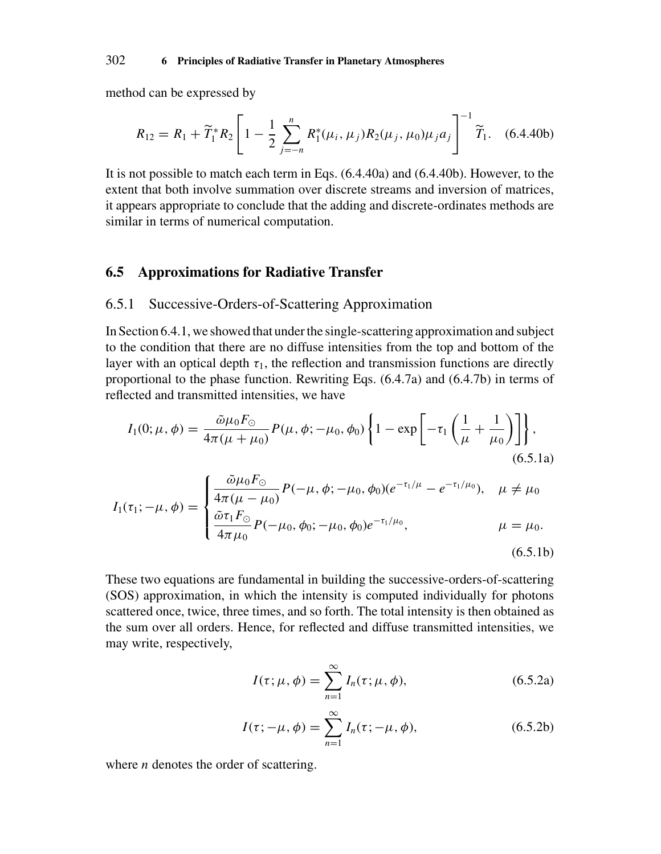method can be expressed by

$$
R_{12} = R_1 + \widetilde{T}_1^* R_2 \left[ 1 - \frac{1}{2} \sum_{j=-n}^n R_1^* (\mu_i, \mu_j) R_2(\mu_j, \mu_0) \mu_j a_j \right]^{-1} \widetilde{T}_1. \quad (6.4.40b)
$$

It is not possible to match each term in Eqs. (6.4.40a) and (6.4.40b). However, to the extent that both involve summation over discrete streams and inversion of matrices, it appears appropriate to conclude that the adding and discrete-ordinates methods are similar in terms of numerical computation.

## **6.5 Approximations for Radiative Transfer**

## 6.5.1 Successive-Orders-of-Scattering Approximation

In Section 6.4.1, we showed that under the single-scattering approximation and subject to the condition that there are no diffuse intensities from the top and bottom of the layer with an optical depth  $\tau_1$ , the reflection and transmission functions are directly proportional to the phase function. Rewriting Eqs. (6.4.7a) and (6.4.7b) in terms of reflected and transmitted intensities, we have

$$
I_1(0; \mu, \phi) = \frac{\tilde{\omega}\mu_0 F_{\odot}}{4\pi(\mu + \mu_0)} P(\mu, \phi; -\mu_0, \phi_0) \left\{ 1 - \exp\left[ -\tau_1 \left( \frac{1}{\mu} + \frac{1}{\mu_0} \right) \right] \right\},\tag{6.5.1a}
$$

$$
I_1(\tau_1; -\mu, \phi) = \begin{cases} \frac{\tilde{\omega}\mu_0 F_{\odot}}{4\pi(\mu - \mu_0)} P(-\mu, \phi; -\mu_0, \phi_0) (e^{-\tau_1/\mu} - e^{-\tau_1/\mu_0}), & \mu \neq \mu_0 \\ \frac{\tilde{\omega}\tau_1 F_{\odot}}{4\pi\mu_0} P(-\mu_0, \phi_0; -\mu_0, \phi_0) e^{-\tau_1/\mu_0}, & \mu = \mu_0. \end{cases}
$$
(6.5.1b)

These two equations are fundamental in building the successive-orders-of-scattering (SOS) approximation, in which the intensity is computed individually for photons scattered once, twice, three times, and so forth. The total intensity is then obtained as the sum over all orders. Hence, for reflected and diffuse transmitted intensities, we may write, respectively,

$$
I(\tau; \mu, \phi) = \sum_{n=1}^{\infty} I_n(\tau; \mu, \phi), \qquad (6.5.2a)
$$

$$
I(\tau; -\mu, \phi) = \sum_{n=1}^{\infty} I_n(\tau; -\mu, \phi),
$$
 (6.5.2b)

where *n* denotes the order of scattering.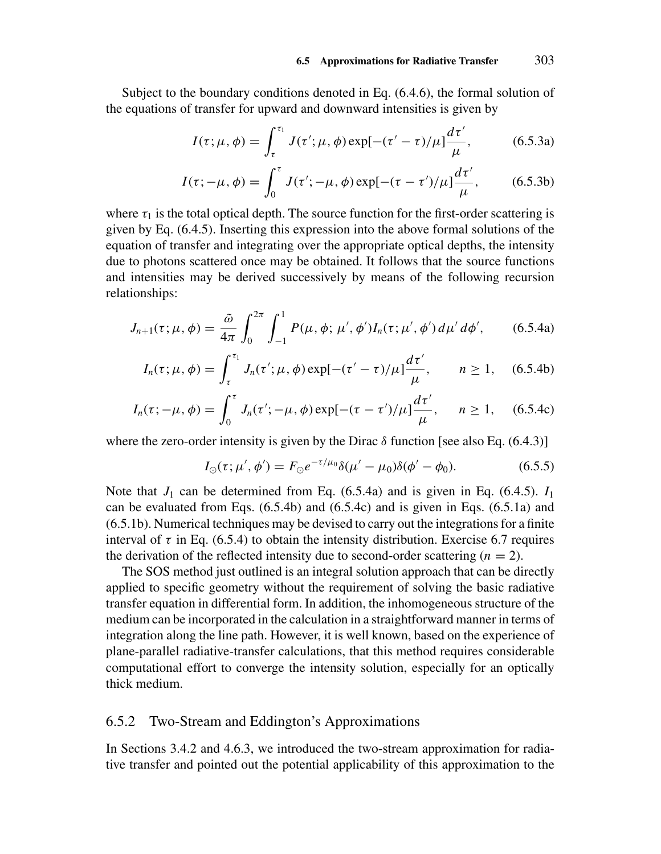Subject to the boundary conditions denoted in Eq. (6.4.6), the formal solution of the equations of transfer for upward and downward intensities is given by

$$
I(\tau; \mu, \phi) = \int_{\tau}^{\tau_1} J(\tau'; \mu, \phi) \exp[-(\tau' - \tau) / \mu] \frac{d\tau'}{\mu}, \quad (6.5.3a)
$$

$$
I(\tau; -\mu, \phi) = \int_0^{\tau} J(\tau'; -\mu, \phi) \exp[-(\tau - \tau')/\mu] \frac{d\tau'}{\mu}, \quad (6.5.3b)
$$

where  $\tau_1$  is the total optical depth. The source function for the first-order scattering is given by Eq. (6.4.5). Inserting this expression into the above formal solutions of the equation of transfer and integrating over the appropriate optical depths, the intensity due to photons scattered once may be obtained. It follows that the source functions and intensities may be derived successively by means of the following recursion relationships:

$$
J_{n+1}(\tau;\mu,\phi) = \frac{\tilde{\omega}}{4\pi} \int_0^{2\pi} \int_{-1}^1 P(\mu,\phi;\mu',\phi') I_n(\tau;\mu',\phi') d\mu' d\phi', \qquad (6.5.4a)
$$

$$
I_n(\tau; \mu, \phi) = \int_{\tau}^{\tau_1} J_n(\tau'; \mu, \phi) \exp[-(\tau' - \tau)/\mu] \frac{d\tau'}{\mu}, \qquad n \ge 1, \quad (6.5.4b)
$$

$$
I_n(\tau; -\mu, \phi) = \int_0^{\tau} J_n(\tau'; -\mu, \phi) \exp[-(\tau - \tau')/\mu] \frac{d\tau'}{\mu}, \quad n \ge 1, \quad (6.5.4c)
$$

where the zero-order intensity is given by the Dirac  $\delta$  function [see also Eq. (6.4.3)]

$$
I_{\odot}(\tau;\mu',\phi') = F_{\odot}e^{-\tau/\mu_0}\delta(\mu'-\mu_0)\delta(\phi'-\phi_0). \tag{6.5.5}
$$

Note that  $J_1$  can be determined from Eq. (6.5.4a) and is given in Eq. (6.4.5).  $I_1$ can be evaluated from Eqs. (6.5.4b) and (6.5.4c) and is given in Eqs. (6.5.1a) and (6.5.1b). Numerical techniques may be devised to carry out the integrations for a finite interval of  $\tau$  in Eq. (6.5.4) to obtain the intensity distribution. Exercise 6.7 requires the derivation of the reflected intensity due to second-order scattering  $(n = 2)$ .

The SOS method just outlined is an integral solution approach that can be directly applied to specific geometry without the requirement of solving the basic radiative transfer equation in differential form. In addition, the inhomogeneous structure of the medium can be incorporated in the calculation in a straightforward manner in terms of integration along the line path. However, it is well known, based on the experience of plane-parallel radiative-transfer calculations, that this method requires considerable computational effort to converge the intensity solution, especially for an optically thick medium.

#### 6.5.2 Two-Stream and Eddington's Approximations

In Sections 3.4.2 and 4.6.3, we introduced the two-stream approximation for radiative transfer and pointed out the potential applicability of this approximation to the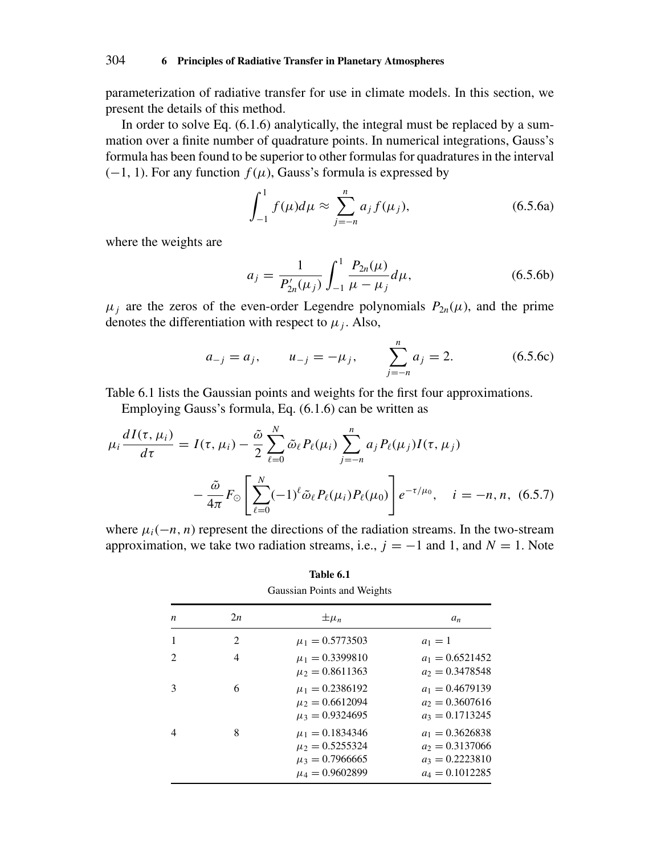parameterization of radiative transfer for use in climate models. In this section, we present the details of this method.

In order to solve Eq. (6.1.6) analytically, the integral must be replaced by a summation over a finite number of quadrature points. In numerical integrations, Gauss's formula has been found to be superior to other formulas for quadratures in the interval  $(-1, 1)$ . For any function  $f(\mu)$ , Gauss's formula is expressed by

$$
\int_{-1}^{1} f(\mu)d\mu \approx \sum_{j=-n}^{n} a_j f(\mu_j),
$$
\n(6.5.6a)

where the weights are

$$
a_j = \frac{1}{P'_{2n}(\mu_j)} \int_{-1}^{1} \frac{P_{2n}(\mu)}{\mu - \mu_j} d\mu,
$$
 (6.5.6b)

 $\mu_j$  are the zeros of the even-order Legendre polynomials  $P_{2n}(\mu)$ , and the prime denotes the differentiation with respect to  $\mu_j$ . Also,

$$
a_{-j} = a_j
$$
,  $u_{-j} = -\mu_j$ ,  $\sum_{j=-n}^{n} a_j = 2$ . (6.5.6c)

Table 6.1 lists the Gaussian points and weights for the first four approximations.

Employing Gauss's formula, Eq. (6.1.6) can be written as

$$
\mu_i \frac{dI(\tau, \mu_i)}{d\tau} = I(\tau, \mu_i) - \frac{\tilde{\omega}}{2} \sum_{\ell=0}^N \tilde{\omega}_{\ell} P_{\ell}(\mu_i) \sum_{j=-n}^n a_j P_{\ell}(\mu_j) I(\tau, \mu_j) -\frac{\tilde{\omega}}{4\pi} F_{\odot} \left[ \sum_{\ell=0}^N (-1)^{\ell} \tilde{\omega}_{\ell} P_{\ell}(\mu_i) P_{\ell}(\mu_0) \right] e^{-\tau/\mu_0}, \quad i = -n, n, (6.5.7)
$$

where  $\mu_i(-n, n)$  represent the directions of the radiation streams. In the two-stream approximation, we take two radiation streams, i.e.,  $j = -1$  and 1, and  $N = 1$ . Note

| Gaussian Points and Weights |    |                                                                                          |                                                                                  |
|-----------------------------|----|------------------------------------------------------------------------------------------|----------------------------------------------------------------------------------|
| n                           | 2n | $\pm\mu_n$                                                                               | $a_n$                                                                            |
|                             | 2  | $\mu_1 = 0.5773503$                                                                      | $a_1 = 1$                                                                        |
| $\mathfrak{D}$              | 4  | $\mu_1 = 0.3399810$<br>$\mu_2 = 0.8611363$                                               | $a_1 = 0.6521452$<br>$a_2 = 0.3478548$                                           |
| 3                           | 6  | $\mu_1 = 0.2386192$<br>$\mu_2 = 0.6612094$<br>$\mu_3 = 0.9324695$                        | $a_1 = 0.4679139$<br>$a_2 = 0.3607616$<br>$a_3 = 0.1713245$                      |
| 4                           | 8  | $\mu_1 = 0.1834346$<br>$\mu_2 = 0.5255324$<br>$\mu_3 = 0.7966665$<br>$\mu_4 = 0.9602899$ | $a_1 = 0.3626838$<br>$a_2 = 0.3137066$<br>$a_3 = 0.2223810$<br>$a_4 = 0.1012285$ |

# **Table 6.1**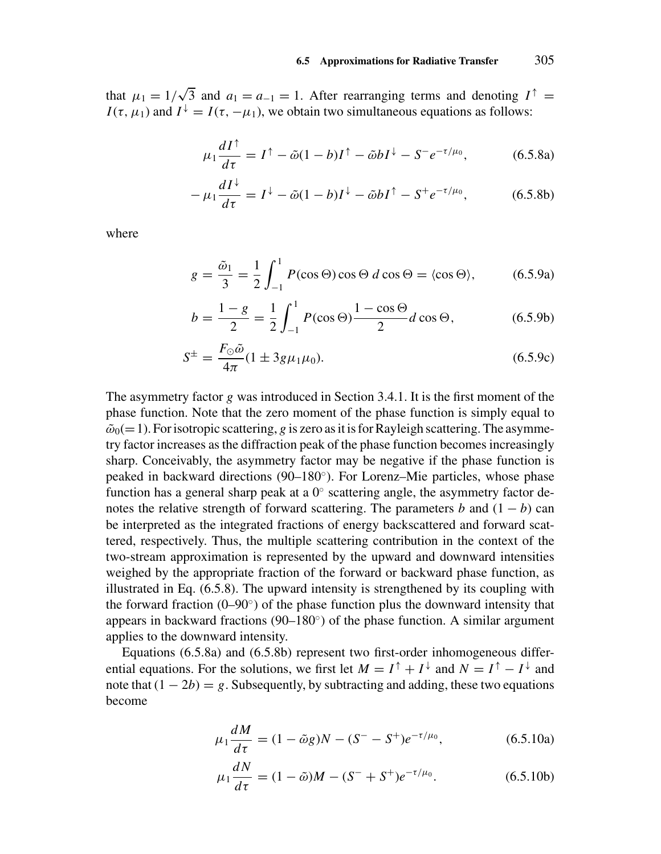that  $\mu_1 = 1/\sqrt{3}$  and  $a_1 = a_{-1} = 1$ . After rearranging terms and denoting  $I^{\uparrow}$  $I(\tau, \mu_1)$  and  $I^{\downarrow} = I(\tau, -\mu_1)$ , we obtain two simultaneous equations as follows:

$$
\mu_1 \frac{dI^{\uparrow}}{d\tau} = I^{\uparrow} - \tilde{\omega}(1 - b)I^{\uparrow} - \tilde{\omega}bI^{\downarrow} - S^- e^{-\tau/\mu_0}, \tag{6.5.8a}
$$

$$
-\mu_1 \frac{dI^{\downarrow}}{d\tau} = I^{\downarrow} - \tilde{\omega}(1-b)I^{\downarrow} - \tilde{\omega}bI^{\uparrow} - S^{\dagger}e^{-\tau/\mu_0}, \tag{6.5.8b}
$$

where

$$
g = \frac{\tilde{\omega}_1}{3} = \frac{1}{2} \int_{-1}^{1} P(\cos \Theta) \cos \Theta \, d \cos \Theta = \langle \cos \Theta \rangle, \tag{6.5.9a}
$$

$$
b = \frac{1 - g}{2} = \frac{1}{2} \int_{-1}^{1} P(\cos \Theta) \frac{1 - \cos \Theta}{2} d \cos \Theta, \tag{6.5.9b}
$$

$$
S^{\pm} = \frac{F_{\odot}\tilde{\omega}}{4\pi} (1 \pm 3g\mu_1\mu_0).
$$
 (6.5.9c)

The asymmetry factor *g* was introduced in Section 3.4.1. It is the first moment of the phase function. Note that the zero moment of the phase function is simply equal to  $\tilde{\omega}_0(=1)$ . For isotropic scattering, g is zero as it is for Rayleigh scattering. The asymmetry factor increases as the diffraction peak of the phase function becomes increasingly sharp. Conceivably, the asymmetry factor may be negative if the phase function is peaked in backward directions (90–180◦). For Lorenz–Mie particles, whose phase function has a general sharp peak at a  $0°$  scattering angle, the asymmetry factor denotes the relative strength of forward scattering. The parameters *b* and  $(1 - b)$  can be interpreted as the integrated fractions of energy backscattered and forward scattered, respectively. Thus, the multiple scattering contribution in the context of the two-stream approximation is represented by the upward and downward intensities weighed by the appropriate fraction of the forward or backward phase function, as illustrated in Eq. (6.5.8). The upward intensity is strengthened by its coupling with the forward fraction  $(0-90°)$  of the phase function plus the downward intensity that appears in backward fractions (90–180◦) of the phase function. A similar argument applies to the downward intensity.

Equations (6.5.8a) and (6.5.8b) represent two first-order inhomogeneous differential equations. For the solutions, we first let  $M = I^{\uparrow} + I^{\downarrow}$  and  $N = I^{\uparrow} - I^{\downarrow}$  and note that  $(1 - 2b) = g$ . Subsequently, by subtracting and adding, these two equations become

$$
\mu_1 \frac{dM}{d\tau} = (1 - \tilde{\omega}g)N - (S^- - S^+)e^{-\tau/\mu_0},\tag{6.5.10a}
$$

$$
\mu_1 \frac{dN}{d\tau} = (1 - \tilde{\omega})M - (S^- + S^+)e^{-\tau/\mu_0}.
$$
 (6.5.10b)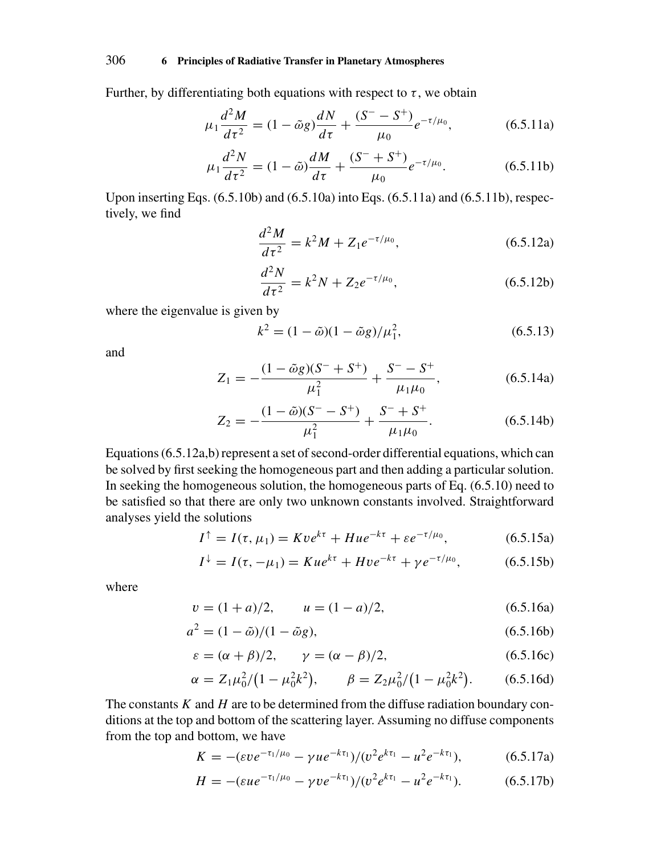Further, by differentiating both equations with respect to  $\tau$ , we obtain

$$
\mu_1 \frac{d^2 M}{d\tau^2} = (1 - \tilde{\omega}g) \frac{dN}{d\tau} + \frac{(S^- - S^+)}{\mu_0} e^{-\tau/\mu_0},
$$
(6.5.11a)

$$
\mu_1 \frac{d^2 N}{d\tau^2} = (1 - \tilde{\omega}) \frac{dM}{d\tau} + \frac{(S^- + S^+)}{\mu_0} e^{-\tau/\mu_0}.
$$
 (6.5.11b)

Upon inserting Eqs.  $(6.5.10b)$  and  $(6.5.10a)$  into Eqs.  $(6.5.11a)$  and  $(6.5.11b)$ , respectively, we find

$$
\frac{d^2M}{d\tau^2} = k^2M + Z_1 e^{-\tau/\mu_0},\tag{6.5.12a}
$$

$$
\frac{d^2N}{d\tau^2} = k^2N + Z_2 e^{-\tau/\mu_0},\tag{6.5.12b}
$$

where the eigenvalue is given by

$$
k^2 = (1 - \tilde{\omega})(1 - \tilde{\omega}g)/\mu_1^2,
$$
\n(6.5.13)

and

$$
Z_1 = -\frac{(1 - \tilde{\omega}g)(S^- + S^+)}{\mu_1^2} + \frac{S^- - S^+}{\mu_1 \mu_0},
$$
(6.5.14a)

$$
Z_2 = -\frac{(1 - \tilde{\omega})(S^- - S^+)}{\mu_1^2} + \frac{S^- + S^+}{\mu_1 \mu_0}.
$$
 (6.5.14b)

Equations (6.5.12a,b) represent a set of second-order differential equations, which can be solved by first seeking the homogeneous part and then adding a particular solution. In seeking the homogeneous solution, the homogeneous parts of Eq. (6.5.10) need to be satisfied so that there are only two unknown constants involved. Straightforward analyses yield the solutions

$$
I^{\uparrow} = I(\tau, \mu_1) = K v e^{k\tau} + H u e^{-k\tau} + \varepsilon e^{-\tau/\mu_0}, \tag{6.5.15a}
$$

$$
I^{\downarrow} = I(\tau, -\mu_1) = K u e^{k\tau} + H v e^{-k\tau} + \gamma e^{-\tau/\mu_0}, \tag{6.5.15b}
$$

where

$$
v = (1 + a)/2, \qquad u = (1 - a)/2, \tag{6.5.16a}
$$

$$
a^2 = (1 - \tilde{\omega})/(1 - \tilde{\omega}g),\tag{6.5.16b}
$$

$$
\varepsilon = (\alpha + \beta)/2, \qquad \gamma = (\alpha - \beta)/2, \tag{6.5.16c}
$$

$$
\alpha = Z_1 \mu_0^2 / (1 - \mu_0^2 k^2), \qquad \beta = Z_2 \mu_0^2 / (1 - \mu_0^2 k^2). \tag{6.5.16d}
$$

The constants *K* and *H* are to be determined from the diffuse radiation boundary conditions at the top and bottom of the scattering layer. Assuming no diffuse components from the top and bottom, we have

$$
K = -(\varepsilon v e^{-\tau_1/\mu_0} - \gamma u e^{-k\tau_1})/(v^2 e^{k\tau_1} - u^2 e^{-k\tau_1}), \qquad (6.5.17a)
$$

$$
H = -(\varepsilon u e^{-\tau_1/\mu_0} - \gamma v e^{-k\tau_1})/(v^2 e^{k\tau_1} - u^2 e^{-k\tau_1}).
$$
 (6.5.17b)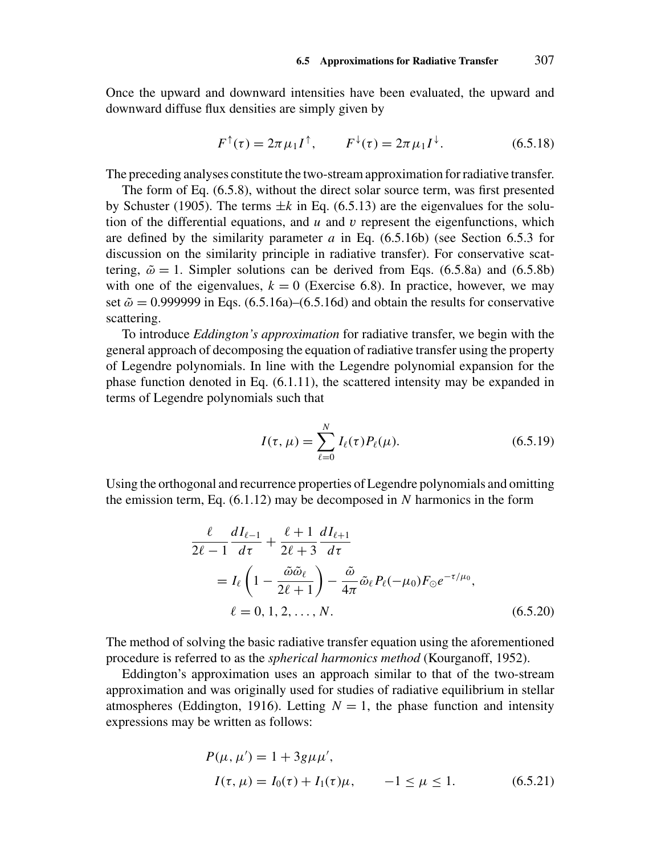Once the upward and downward intensities have been evaluated, the upward and downward diffuse flux densities are simply given by

$$
F^{\uparrow}(\tau) = 2\pi \mu_1 I^{\uparrow}, \qquad F^{\downarrow}(\tau) = 2\pi \mu_1 I^{\downarrow}.
$$
 (6.5.18)

The preceding analyses constitute the two-stream approximation for radiative transfer.

The form of Eq. (6.5.8), without the direct solar source term, was first presented by Schuster (1905). The terms  $\pm k$  in Eq. (6.5.13) are the eigenvalues for the solution of the differential equations, and *u* and *v* represent the eigenfunctions, which are defined by the similarity parameter *a* in Eq. (6.5.16b) (see Section 6.5.3 for discussion on the similarity principle in radiative transfer). For conservative scattering,  $\tilde{\omega} = 1$ . Simpler solutions can be derived from Eqs. (6.5.8a) and (6.5.8b) with one of the eigenvalues,  $k = 0$  (Exercise 6.8). In practice, however, we may set  $\tilde{\omega} = 0.999999$  in Eqs. (6.5.16a)–(6.5.16d) and obtain the results for conservative scattering.

To introduce *Eddington's approximation* for radiative transfer, we begin with the general approach of decomposing the equation of radiative transfer using the property of Legendre polynomials. In line with the Legendre polynomial expansion for the phase function denoted in Eq. (6.1.11), the scattered intensity may be expanded in terms of Legendre polynomials such that

$$
I(\tau, \mu) = \sum_{\ell=0}^{N} I_{\ell}(\tau) P_{\ell}(\mu).
$$
 (6.5.19)

Using the orthogonal and recurrence properties of Legendre polynomials and omitting the emission term, Eq. (6.1.12) may be decomposed in *N* harmonics in the form

$$
\frac{\ell}{2\ell - 1} \frac{dI_{\ell-1}}{d\tau} + \frac{\ell + 1}{2\ell + 3} \frac{dI_{\ell+1}}{d\tau}
$$
\n
$$
= I_{\ell} \left( 1 - \frac{\tilde{\omega}\tilde{\omega}_{\ell}}{2\ell + 1} \right) - \frac{\tilde{\omega}}{4\pi} \tilde{\omega}_{\ell} P_{\ell}(-\mu_0) F_{\odot} e^{-\tau/\mu_0},
$$
\n
$$
\ell = 0, 1, 2, ..., N. \tag{6.5.20}
$$

The method of solving the basic radiative transfer equation using the aforementioned procedure is referred to as the *spherical harmonics method* (Kourganoff, 1952).

Eddington's approximation uses an approach similar to that of the two-stream approximation and was originally used for studies of radiative equilibrium in stellar atmospheres (Eddington, 1916). Letting  $N = 1$ , the phase function and intensity expressions may be written as follows:

$$
P(\mu, \mu') = 1 + 3g\mu\mu',
$$
  
\n
$$
I(\tau, \mu) = I_0(\tau) + I_1(\tau)\mu, \qquad -1 \le \mu \le 1.
$$
 (6.5.21)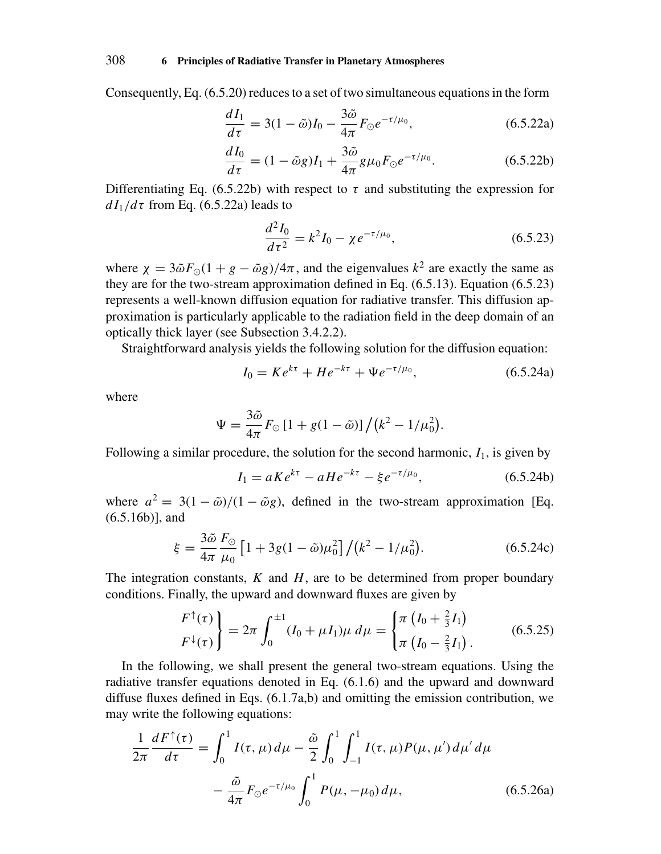Consequently, Eq. (6.5.20) reduces to a set of two simultaneous equations in the form

$$
\frac{dI_1}{d\tau} = 3(1 - \tilde{\omega})I_0 - \frac{3\tilde{\omega}}{4\pi}F_{\odot}e^{-\tau/\mu_0},
$$
\n(6.5.22a)

$$
\frac{dI_0}{d\tau} = (1 - \tilde{\omega}g)I_1 + \frac{3\tilde{\omega}}{4\pi}g\mu_0 F_{\odot}e^{-\tau/\mu_0}.\tag{6.5.22b}
$$

Differentiating Eq. (6.5.22b) with respect to  $\tau$  and substituting the expression for  $dI_1/d\tau$  from Eq. (6.5.22a) leads to

$$
\frac{d^2 I_0}{d\tau^2} = k^2 I_0 - \chi e^{-\tau/\mu_0},\tag{6.5.23}
$$

where  $\chi = 3\tilde{\omega}F_{\odot}(1 + g - \tilde{\omega}g)/4\pi$ , and the eigenvalues  $k^2$  are exactly the same as they are for the two-stream approximation defined in Eq. (6.5.13). Equation (6.5.23) represents a well-known diffusion equation for radiative transfer. This diffusion approximation is particularly applicable to the radiation field in the deep domain of an optically thick layer (see Subsection 3.4.2.2).

Straightforward analysis yields the following solution for the diffusion equation:

$$
I_0 = Ke^{k\tau} + He^{-k\tau} + \Psi e^{-\tau/\mu_0}, \tag{6.5.24a}
$$

where

$$
\Psi = \frac{3\tilde{\omega}}{4\pi} F_{\odot} [1 + g(1 - \tilde{\omega})] / (k^2 - 1/\mu_0^2).
$$

Following a similar procedure, the solution for the second harmonic,  $I_1$ , is given by

$$
I_1 = aKe^{k\tau} - aHe^{-k\tau} - \xi e^{-\tau/\mu_0},
$$
\n(6.5.24b)

where  $a^2 = 3(1 - \tilde{\omega})/(1 - \tilde{\omega}g)$ , defined in the two-stream approximation [Eq. (6.5.16b)], and

$$
\xi = \frac{3\tilde{\omega}}{4\pi} \frac{F_{\odot}}{\mu_0} \left[ 1 + 3g(1 - \tilde{\omega})\mu_0^2 \right] / \left(k^2 - 1/\mu_0^2\right). \tag{6.5.24c}
$$

The integration constants, *K* and *H*, are to be determined from proper boundary conditions. Finally, the upward and downward fluxes are given by

$$
\begin{aligned} \frac{F^{\uparrow}(\tau)}{F^{\downarrow}(\tau)} \Bigg\} &= 2\pi \int_0^{\pm 1} (I_0 + \mu I_1) \mu \, d\mu = \begin{cases} \pi \left( I_0 + \frac{2}{3} I_1 \right) \\ \pi \left( I_0 - \frac{2}{3} I_1 \right). \end{cases} \end{aligned} \tag{6.5.25}
$$

In the following, we shall present the general two-stream equations. Using the radiative transfer equations denoted in Eq. (6.1.6) and the upward and downward diffuse fluxes defined in Eqs. (6.1.7a,b) and omitting the emission contribution, we may write the following equations:

$$
\frac{1}{2\pi} \frac{dF^{\dagger}(\tau)}{d\tau} = \int_0^1 I(\tau, \mu) d\mu - \frac{\tilde{\omega}}{2} \int_0^1 \int_{-1}^1 I(\tau, \mu) P(\mu, \mu') d\mu' d\mu \n- \frac{\tilde{\omega}}{4\pi} F_{\odot} e^{-\tau/\mu_0} \int_0^1 P(\mu, -\mu_0) d\mu,
$$
\n(6.5.26a)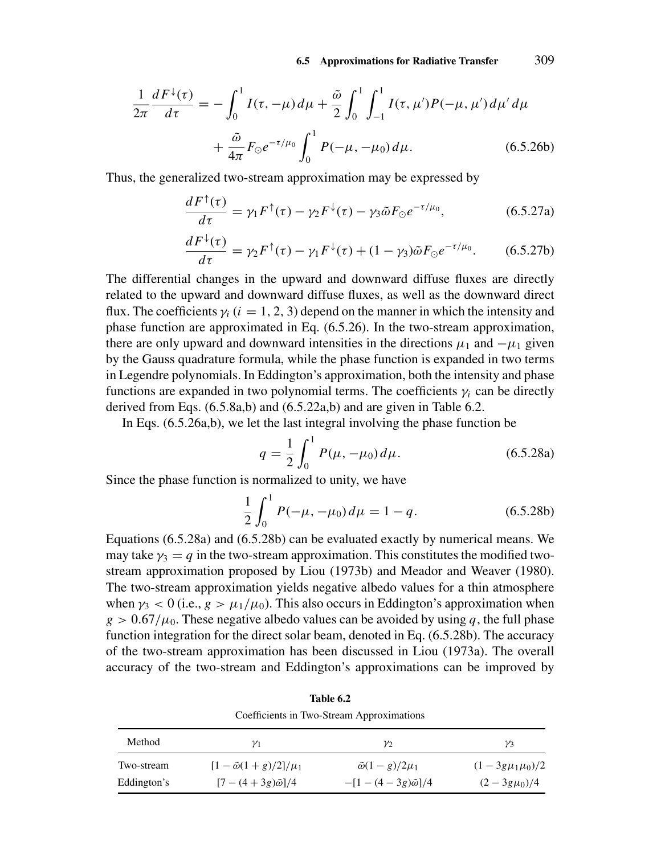$$
\frac{1}{2\pi} \frac{dF^{\downarrow}(\tau)}{d\tau} = -\int_0^1 I(\tau, -\mu) d\mu + \frac{\tilde{\omega}}{2} \int_0^1 \int_{-1}^1 I(\tau, \mu') P(-\mu, \mu') d\mu' d\mu \n+ \frac{\tilde{\omega}}{4\pi} F_{\odot} e^{-\tau/\mu_0} \int_0^1 P(-\mu, -\mu_0) d\mu.
$$
\n(6.5.26b)

Thus, the generalized two-stream approximation may be expressed by

$$
\frac{dF^{\uparrow}(\tau)}{d\tau} = \gamma_1 F^{\uparrow}(\tau) - \gamma_2 F^{\downarrow}(\tau) - \gamma_3 \tilde{\omega} F_{\odot} e^{-\tau/\mu_0},\tag{6.5.27a}
$$

$$
\frac{dF^{\downarrow}(\tau)}{d\tau} = \gamma_2 F^{\uparrow}(\tau) - \gamma_1 F^{\downarrow}(\tau) + (1 - \gamma_3) \tilde{\omega} F_{\odot} e^{-\tau/\mu_0}.
$$
 (6.5.27b)

The differential changes in the upward and downward diffuse fluxes are directly related to the upward and downward diffuse fluxes, as well as the downward direct flux. The coefficients  $\gamma_i$  ( $i = 1, 2, 3$ ) depend on the manner in which the intensity and phase function are approximated in Eq. (6.5.26). In the two-stream approximation, there are only upward and downward intensities in the directions  $\mu_1$  and  $-\mu_1$  given by the Gauss quadrature formula, while the phase function is expanded in two terms in Legendre polynomials. In Eddington's approximation, both the intensity and phase functions are expanded in two polynomial terms. The coefficients  $\gamma_i$  can be directly derived from Eqs. (6.5.8a,b) and (6.5.22a,b) and are given in Table 6.2.

In Eqs. (6.5.26a,b), we let the last integral involving the phase function be

$$
q = \frac{1}{2} \int_0^1 P(\mu, -\mu_0) d\mu.
$$
 (6.5.28a)

Since the phase function is normalized to unity, we have

$$
\frac{1}{2} \int_0^1 P(-\mu, -\mu_0) d\mu = 1 - q.
$$
 (6.5.28b)

Equations (6.5.28a) and (6.5.28b) can be evaluated exactly by numerical means. We may take  $\gamma_3 = q$  in the two-stream approximation. This constitutes the modified twostream approximation proposed by Liou (1973b) and Meador and Weaver (1980). The two-stream approximation yields negative albedo values for a thin atmosphere when  $\gamma_3$  < 0 (i.e.,  $g > \mu_1/\mu_0$ ). This also occurs in Eddington's approximation when  $g > 0.67/\mu_0$ . These negative albedo values can be avoided by using *q*, the full phase function integration for the direct solar beam, denoted in Eq. (6.5.28b). The accuracy of the two-stream approximation has been discussed in Liou (1973a). The overall accuracy of the two-stream and Eddington's approximations can be improved by

Method  $\gamma_1$   $\gamma_2$   $\gamma_3$ Two-stream  $[1 - \tilde{\omega}(1 + g)/2]/\mu_1$   $\tilde{\omega}(1 - g)/2\mu_1$   $(1 - 3g/\mu_1/\mu_0)/2$ Eddington's  $[7 - (4 + 3g)\tilde{\omega}]/4$   $-[1 - (4 - 3g)\tilde{\omega}]/4$   $(2 - 3g\mu_0)/4$ 

**Table 6.2** Coefficients in Two-Stream Approximations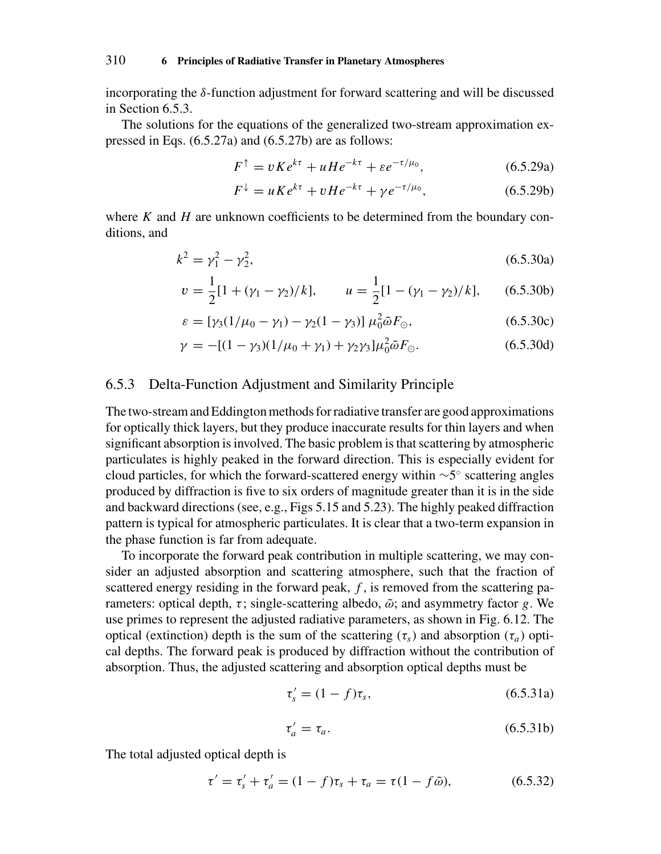incorporating the δ-function adjustment for forward scattering and will be discussed in Section 6.5.3.

The solutions for the equations of the generalized two-stream approximation expressed in Eqs. (6.5.27a) and (6.5.27b) are as follows:

$$
F^{\uparrow} = vKe^{k\tau} + uHe^{-k\tau} + \varepsilon e^{-\tau/\mu_0},\tag{6.5.29a}
$$

$$
F^{\downarrow} = uKe^{k\tau} + vHe^{-k\tau} + \gamma e^{-\tau/\mu_0}, \tag{6.5.29b}
$$

where *K* and *H* are unknown coefficients to be determined from the boundary conditions, and

$$
k^2 = \gamma_1^2 - \gamma_2^2,\tag{6.5.30a}
$$

$$
v = \frac{1}{2}[1 + (\gamma_1 - \gamma_2)/k], \qquad u = \frac{1}{2}[1 - (\gamma_1 - \gamma_2)/k], \qquad (6.5.30b)
$$

$$
\varepsilon = [\gamma_3(1/\mu_0 - \gamma_1) - \gamma_2(1 - \gamma_3)] \mu_0^2 \tilde{\omega} F_{\odot},
$$
 (6.5.30c)

$$
\gamma = -[(1 - \gamma_3)(1/\mu_0 + \gamma_1) + \gamma_2 \gamma_3] \mu_0^2 \tilde{\omega} F_{\odot}.
$$
 (6.5.30d)

### 6.5.3 Delta-Function Adjustment and Similarity Principle

The two-stream and Eddington methods for radiative transfer are good approximations for optically thick layers, but they produce inaccurate results for thin layers and when significant absorption is involved. The basic problem is that scattering by atmospheric particulates is highly peaked in the forward direction. This is especially evident for cloud particles, for which the forward-scattered energy within ∼5◦ scattering angles produced by diffraction is five to six orders of magnitude greater than it is in the side and backward directions (see, e.g., Figs 5.15 and 5.23). The highly peaked diffraction pattern is typical for atmospheric particulates. It is clear that a two-term expansion in the phase function is far from adequate.

To incorporate the forward peak contribution in multiple scattering, we may consider an adjusted absorption and scattering atmosphere, such that the fraction of scattered energy residing in the forward peak, f, is removed from the scattering parameters: optical depth,  $\tau$ ; single-scattering albedo,  $\tilde{\omega}$ ; and asymmetry factor *g*. We use primes to represent the adjusted radiative parameters, as shown in Fig. 6.12. The optical (extinction) depth is the sum of the scattering  $(\tau_s)$  and absorption  $(\tau_a)$  optical depths. The forward peak is produced by diffraction without the contribution of absorption. Thus, the adjusted scattering and absorption optical depths must be

$$
\tau_s' = (1 - f)\tau_s,\tag{6.5.31a}
$$

$$
\tau'_a = \tau_a. \tag{6.5.31b}
$$

The total adjusted optical depth is

$$
\tau' = \tau'_{s} + \tau'_{a} = (1 - f)\tau_{s} + \tau_{a} = \tau(1 - f\tilde{\omega}), \tag{6.5.32}
$$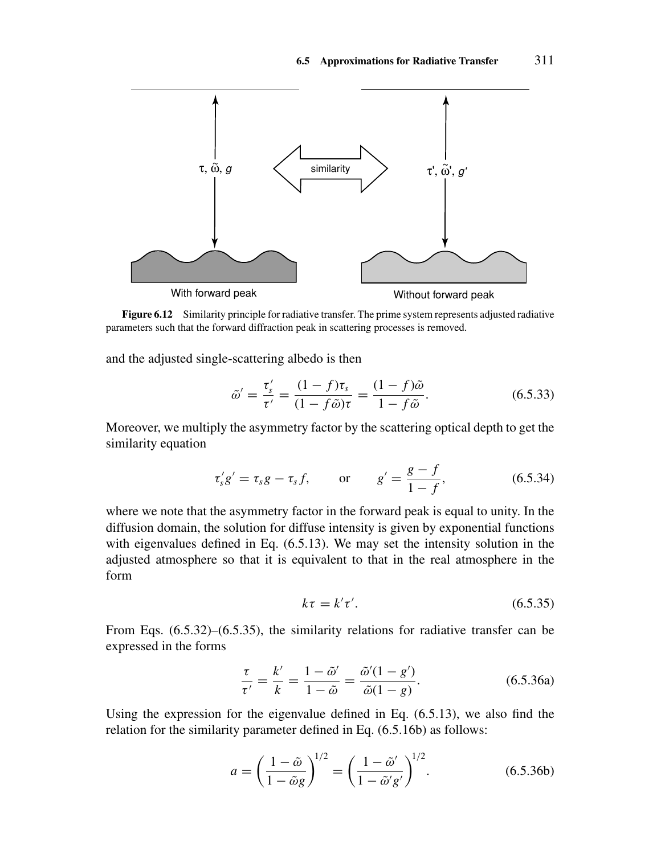

**Figure 6.12** Similarity principle for radiative transfer. The prime system represents adjusted radiative parameters such that the forward diffraction peak in scattering processes is removed.

and the adjusted single-scattering albedo is then

$$
\tilde{\omega}' = \frac{\tau_s'}{\tau'} = \frac{(1-f)\tau_s}{(1-f\tilde{\omega})\tau} = \frac{(1-f)\tilde{\omega}}{1-f\tilde{\omega}}.
$$
\n(6.5.33)

Moreover, we multiply the asymmetry factor by the scattering optical depth to get the similarity equation

$$
\tau'_s g' = \tau_s g - \tau_s f
$$
, or  $g' = \frac{g - f}{1 - f}$ , (6.5.34)

where we note that the asymmetry factor in the forward peak is equal to unity. In the diffusion domain, the solution for diffuse intensity is given by exponential functions with eigenvalues defined in Eq. (6.5.13). We may set the intensity solution in the adjusted atmosphere so that it is equivalent to that in the real atmosphere in the form

$$
k\tau = k'\tau'.\tag{6.5.35}
$$

From Eqs. (6.5.32)–(6.5.35), the similarity relations for radiative transfer can be expressed in the forms

$$
\frac{\tau}{\tau'} = \frac{k'}{k} = \frac{1 - \tilde{\omega}'}{1 - \tilde{\omega}} = \frac{\tilde{\omega}'(1 - g')}{\tilde{\omega}(1 - g)}.
$$
\n(6.5.36a)

Using the expression for the eigenvalue defined in Eq. (6.5.13), we also find the relation for the similarity parameter defined in Eq. (6.5.16b) as follows:

$$
a = \left(\frac{1-\tilde{\omega}}{1-\tilde{\omega}g}\right)^{1/2} = \left(\frac{1-\tilde{\omega}'}{1-\tilde{\omega}'g'}\right)^{1/2}.
$$
 (6.5.36b)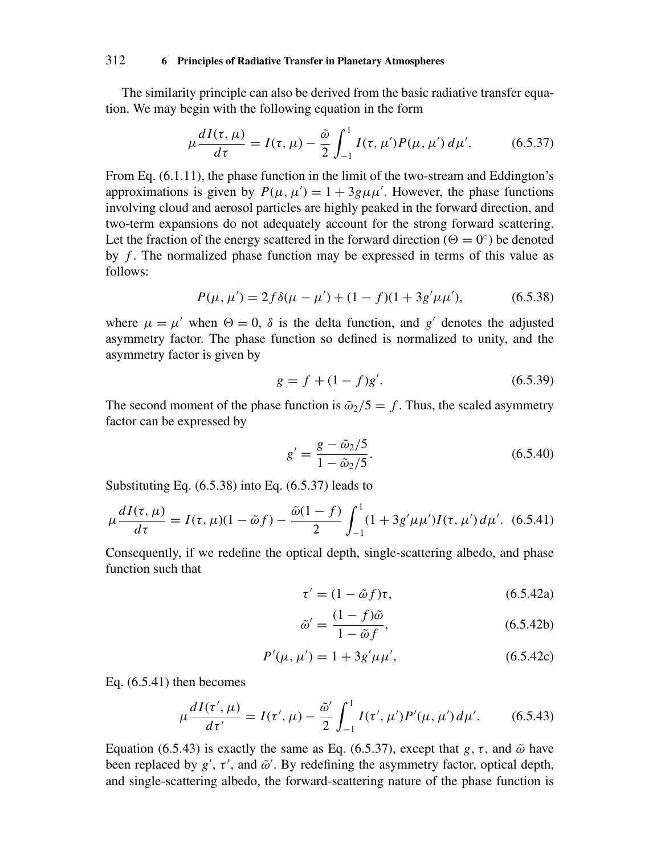The similarity principle can also be derived from the basic radiative transfer equation. We may begin with the following equation in the form

$$
\mu \frac{dI(\tau, \mu)}{d\tau} = I(\tau, \mu) - \frac{\tilde{\omega}}{2} \int_{-1}^{1} I(\tau, \mu') P(\mu, \mu') d\mu'. \tag{6.5.37}
$$

From Eq. (6.1.11), the phase function in the limit of the two-stream and Eddington's approximations is given by  $P(\mu, \mu') = 1 + 3g\mu\mu'$ . However, the phase functions involving cloud and aerosol particles are highly peaked in the forward direction, and two-term expansions do not adequately account for the strong forward scattering. Let the fraction of the energy scattered in the forward direction ( $\Theta = 0^{\circ}$ ) be denoted by *f* . The normalized phase function may be expressed in terms of this value as follows:

$$
P(\mu, \mu') = 2f\delta(\mu - \mu') + (1 - f)(1 + 3g'\mu\mu'),\tag{6.5.38}
$$

where  $\mu = \mu'$  when  $\Theta = 0$ ,  $\delta$  is the delta function, and  $g'$  denotes the adjusted asymmetry factor. The phase function so defined is normalized to unity, and the asymmetry factor is given by

$$
g = f + (1 - f)g'.
$$
 (6.5.39)

The second moment of the phase function is  $\tilde{\omega}_2/5 = f$ . Thus, the scaled asymmetry factor can be expressed by

$$
g' = \frac{g - \tilde{\omega}_2/5}{1 - \tilde{\omega}_2/5}.
$$
 (6.5.40)

Substituting Eq. (6.5.38) into Eq. (6.5.37) leads to

$$
\mu \frac{dI(\tau, \mu)}{d\tau} = I(\tau, \mu)(1 - \tilde{\omega}f) - \frac{\tilde{\omega}(1 - f)}{2} \int_{-1}^{1} (1 + 3g'\mu\mu')I(\tau, \mu') d\mu'. \tag{6.5.41}
$$

Consequently, if we redefine the optical depth, single-scattering albedo, and phase function such that

$$
\tau' = (1 - \tilde{\omega}f)\tau, \tag{6.5.42a}
$$

$$
\tilde{\omega}' = \frac{(1 - f)\tilde{\omega}}{1 - \tilde{\omega}f},\tag{6.5.42b}
$$

$$
P'(\mu, \mu') = 1 + 3g'\mu\mu', \tag{6.5.42c}
$$

Eq. (6.5.41) then becomes

$$
\mu \frac{dI(\tau', \mu)}{d\tau'} = I(\tau', \mu) - \frac{\tilde{\omega}'}{2} \int_{-1}^{1} I(\tau', \mu') P'(\mu, \mu') d\mu'. \tag{6.5.43}
$$

Equation (6.5.43) is exactly the same as Eq. (6.5.37), except that *g*,  $\tau$ , and  $\tilde{\omega}$  have been replaced by  $g'$ ,  $\tau'$ , and  $\tilde{\omega}'$ . By redefining the asymmetry factor, optical depth, and single-scattering albedo, the forward-scattering nature of the phase function is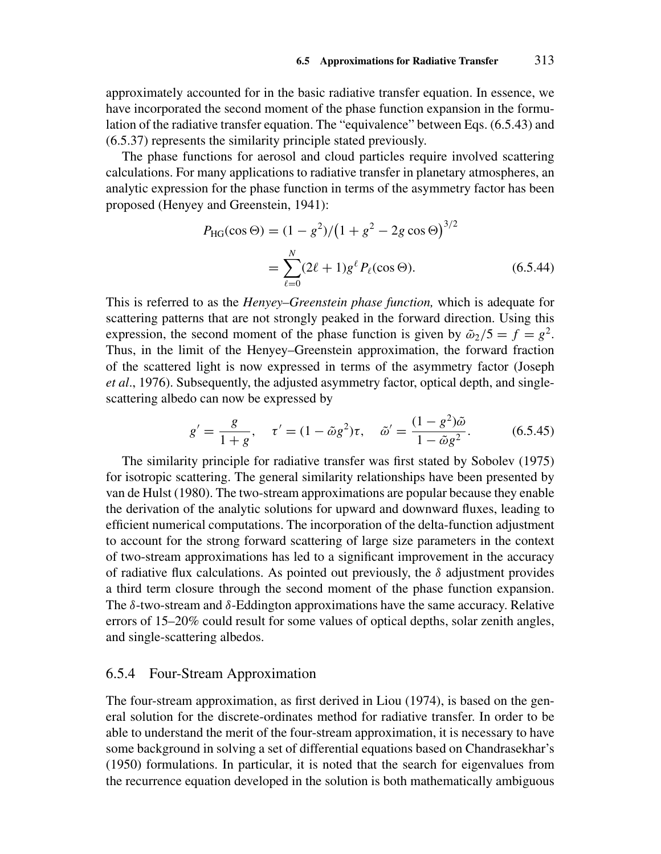approximately accounted for in the basic radiative transfer equation. In essence, we have incorporated the second moment of the phase function expansion in the formulation of the radiative transfer equation. The "equivalence" between Eqs. (6.5.43) and (6.5.37) represents the similarity principle stated previously.

The phase functions for aerosol and cloud particles require involved scattering calculations. For many applications to radiative transfer in planetary atmospheres, an analytic expression for the phase function in terms of the asymmetry factor has been proposed (Henyey and Greenstein, 1941):

$$
P_{\text{HG}}(\cos \Theta) = (1 - g^2)/(1 + g^2 - 2g \cos \Theta)^{3/2}
$$
  
= 
$$
\sum_{\ell=0}^{N} (2\ell + 1)g^{\ell} P_{\ell}(\cos \Theta).
$$
 (6.5.44)

This is referred to as the *Henyey–Greenstein phase function,* which is adequate for scattering patterns that are not strongly peaked in the forward direction. Using this expression, the second moment of the phase function is given by  $\tilde{\omega}_2/5 = f = g^2$ . Thus, in the limit of the Henyey–Greenstein approximation, the forward fraction of the scattered light is now expressed in terms of the asymmetry factor (Joseph *et al*., 1976). Subsequently, the adjusted asymmetry factor, optical depth, and singlescattering albedo can now be expressed by

$$
g' = \frac{g}{1+g}, \quad \tau' = (1 - \tilde{\omega}g^2)\tau, \quad \tilde{\omega}' = \frac{(1-g^2)\tilde{\omega}}{1 - \tilde{\omega}g^2}.
$$
 (6.5.45)

The similarity principle for radiative transfer was first stated by Sobolev (1975) for isotropic scattering. The general similarity relationships have been presented by van de Hulst (1980). The two-stream approximations are popular because they enable the derivation of the analytic solutions for upward and downward fluxes, leading to efficient numerical computations. The incorporation of the delta-function adjustment to account for the strong forward scattering of large size parameters in the context of two-stream approximations has led to a significant improvement in the accuracy of radiative flux calculations. As pointed out previously, the  $\delta$  adjustment provides a third term closure through the second moment of the phase function expansion. The  $\delta$ -two-stream and  $\delta$ -Eddington approximations have the same accuracy. Relative errors of 15–20% could result for some values of optical depths, solar zenith angles, and single-scattering albedos.

#### 6.5.4 Four-Stream Approximation

The four-stream approximation, as first derived in Liou (1974), is based on the general solution for the discrete-ordinates method for radiative transfer. In order to be able to understand the merit of the four-stream approximation, it is necessary to have some background in solving a set of differential equations based on Chandrasekhar's (1950) formulations. In particular, it is noted that the search for eigenvalues from the recurrence equation developed in the solution is both mathematically ambiguous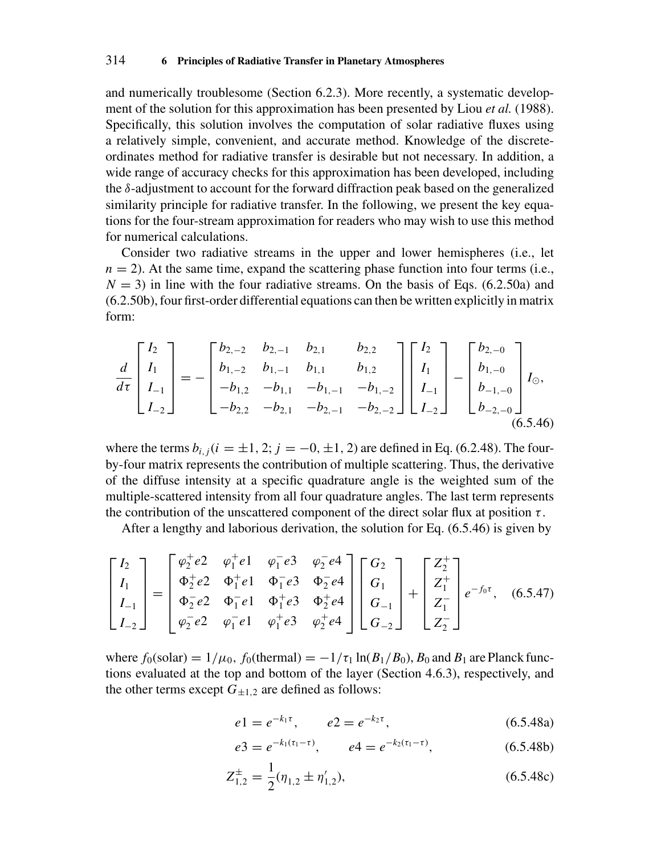and numerically troublesome (Section 6.2.3). More recently, a systematic development of the solution for this approximation has been presented by Liou *et al.* (1988). Specifically, this solution involves the computation of solar radiative fluxes using a relatively simple, convenient, and accurate method. Knowledge of the discreteordinates method for radiative transfer is desirable but not necessary. In addition, a wide range of accuracy checks for this approximation has been developed, including the δ-adjustment to account for the forward diffraction peak based on the generalized similarity principle for radiative transfer. In the following, we present the key equations for the four-stream approximation for readers who may wish to use this method for numerical calculations.

Consider two radiative streams in the upper and lower hemispheres (i.e., let  $n = 2$ ). At the same time, expand the scattering phase function into four terms (i.e.,  $N = 3$ ) in line with the four radiative streams. On the basis of Eqs. (6.2.50a) and (6.2.50b), four first-order differential equations can then be written explicitly in matrix form:

$$
\frac{d}{d\tau}\begin{bmatrix}I_2\\I_1\\I_{-1}\\I_{-2}\end{bmatrix} = -\begin{bmatrix}b_{2,-2} & b_{2,-1} & b_{2,1} & b_{2,2} \\ b_{1,-2} & b_{1,-1} & b_{1,1} & b_{1,2} \\ -b_{1,2} & -b_{1,1} & -b_{1,-1} & -b_{1,-2} \\ -b_{2,2} & -b_{2,1} & -b_{2,-1} & -b_{2,-2}\end{bmatrix} \begin{bmatrix}I_2\\I_1\\I_{-1}\\I_{-2}\end{bmatrix} - \begin{bmatrix}b_{2,-0}\\b_{1,-0}\\b_{-1,-0}\\b_{-2,-0}\end{bmatrix} I_{\odot},\tag{6.5.46}
$$

where the terms  $b_{i,j}$  ( $i = \pm 1, 2$ ;  $j = -0, \pm 1, 2$ ) are defined in Eq. (6.2.48). The fourby-four matrix represents the contribution of multiple scattering. Thus, the derivative of the diffuse intensity at a specific quadrature angle is the weighted sum of the multiple-scattered intensity from all four quadrature angles. The last term represents the contribution of the unscattered component of the direct solar flux at position  $\tau$ .

After a lengthy and laborious derivation, the solution for Eq. (6.5.46) is given by

$$
\begin{bmatrix} I_2 \\ I_1 \\ I_{-1} \\ I_{-2} \end{bmatrix} = \begin{bmatrix} \varphi_2^+ e_2 & \varphi_1^+ e_1 & \varphi_1^- e_3 & \varphi_2^- e_4 \\ \Phi_2^+ e_2 & \Phi_1^+ e_1 & \Phi_1^- e_3 & \Phi_2^- e_4 \\ \Phi_2^- e_2 & \Phi_1^- e_1 & \Phi_1^+ e_3 & \Phi_2^+ e_4 \\ \varphi_2^- e_2 & \varphi_1^- e_1 & \varphi_1^+ e_3 & \varphi_2^+ e_4 \end{bmatrix} \begin{bmatrix} G_2 \\ G_1 \\ G_{-1} \\ G_{-2} \end{bmatrix} + \begin{bmatrix} Z_2^+ \\ Z_1^+ \\ Z_1^- \\ Z_2^- \end{bmatrix} e^{-f_0 \tau}, \quad (6.5.47)
$$

where  $f_0$ (solar) =  $1/\mu_0$ ,  $f_0$ (thermal) =  $-1/\tau_1 \ln(B_1/B_0)$ ,  $B_0$  and  $B_1$  are Planck functions evaluated at the top and bottom of the layer (Section 4.6.3), respectively, and the other terms except  $G_{\pm 1,2}$  are defined as follows:

$$
e1 = e^{-k_1 \tau}, \qquad e2 = e^{-k_2 \tau}, \tag{6.5.48a}
$$

$$
e3 = e^{-k_1(\tau_1 - \tau)}, \qquad e4 = e^{-k_2(\tau_1 - \tau)}, \qquad (6.5.48b)
$$

$$
Z_{1,2}^{\pm} = \frac{1}{2} (\eta_{1,2} \pm \eta'_{1,2}), \tag{6.5.48c}
$$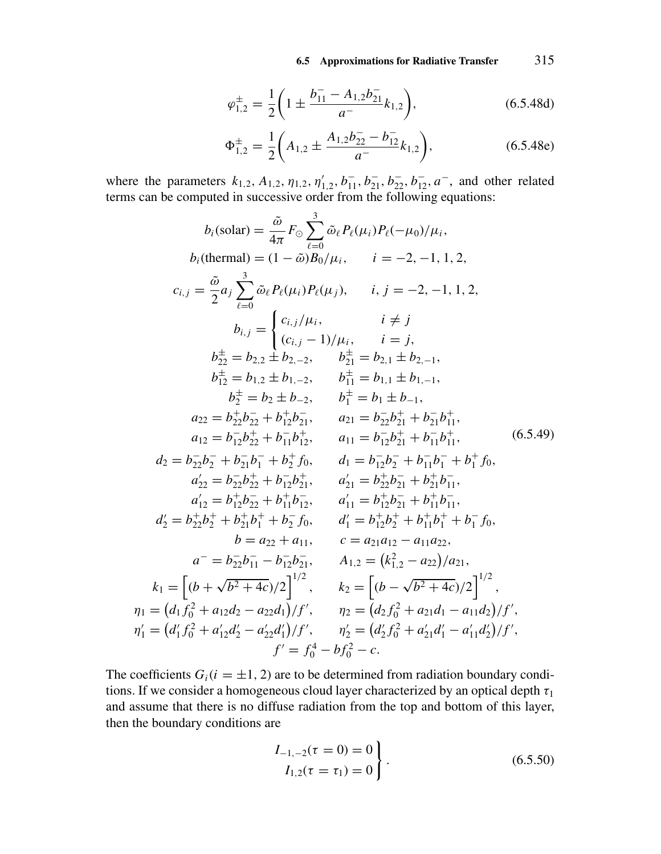$$
\varphi_{1,2}^{\pm} = \frac{1}{2} \left( 1 \pm \frac{b_{11}^{-} - A_{1,2} b_{21}^{-}}{a^{-}} k_{1,2} \right), \tag{6.5.48d}
$$

$$
\Phi_{1,2}^{\pm} = \frac{1}{2} \bigg( A_{1,2} \pm \frac{A_{1,2} b_{22}^{-} - b_{12}^{-}}{a^{-}} k_{1,2} \bigg), \tag{6.5.48e}
$$

where the parameters  $k_{1,2}$ ,  $A_{1,2}$ ,  $\eta_{1,2}$ ,  $\eta'_{1,2}$ ,  $b_{11}^-$ ,  $b_{21}^-$ ,  $b_{22}^-$ ,  $b_{12}^-$ , and other related terms can be computed in successive order from the following equations:

$$
b_i(\text{solar}) = \frac{\tilde{\omega}}{4\pi} F_{\odot} \sum_{\ell=0}^{3} \tilde{\omega}_{\ell} P_{\ell}(\mu_{i}) P_{\ell}(-\mu_{0})/\mu_{i},
$$
\n
$$
b_i(\text{thermal}) = (1 - \tilde{\omega})B_{0}/\mu_{i}, \qquad i = -2, -1, 1, 2,
$$
\n
$$
c_{i,j} = \frac{\tilde{\omega}}{2} a_{j} \sum_{\ell=0}^{3} \tilde{\omega}_{\ell} P_{\ell}(\mu_{i}) P_{\ell}(\mu_{j}), \qquad i, j = -2, -1, 1, 2,
$$
\n
$$
b_{i,j} = \begin{cases} c_{i,j}/\mu_{i}, & i \neq j \\ (c_{i,j} - 1)/\mu_{i}, & i = j, \\ b_{i2}^{\pm} = b_{2,2} \pm b_{2,-2}, & b_{i1}^{\pm} = b_{2,1} \pm b_{2,-1}, \\ b_{i2}^{\pm} = b_{1,2} \pm b_{1,-2}, & b_{i1}^{\pm} = b_{1,1} \pm b_{1,-1}, \\ b_{i}^{\pm} = b_{2} \pm b_{-2}, & b_{i}^{\pm} = b_{1} \pm b_{-1}, \\ a_{22} = b_{22}^{\pm} b_{22}^{-} + b_{12}^{\pm} b_{21}^{-}, & a_{21} = b_{22}^{-} b_{21}^{+} + b_{21}^{-} b_{11}^{+}, \\ a_{12} = b_{12}^{-} b_{22}^{+} + b_{11}^{-} b_{12}^{+}, & a_{11} = b_{12}^{-} b_{21}^{+} + b_{11}^{-} b_{11}^{+}, \qquad (6.5.49)
$$
\n
$$
d_{2} = b_{22}^{-} b_{2}^{-} + b_{21}^{-} b_{21}^{-}, \qquad d_{1} = b_{12}^{-} b_{21}^{-} + b_{11}^{-} b_{11}^{+}, \qquad (6.5.49)
$$
\n
$$
d_{2} = b_{22}^{-} b_{2}^{-} + b_{12}^{-} b_{21}^{-}, \qquad d_{1} = b_{12}^{-} b_{21}^{-} + b_{11}^{-} b_{11}^{-}, \qquad (6.5.4
$$

The coefficients  $G_i(i = \pm 1, 2)$  are to be determined from radiation boundary conditions. If we consider a homogeneous cloud layer characterized by an optical depth  $\tau_1$ and assume that there is no diffuse radiation from the top and bottom of this layer, then the boundary conditions are

$$
\begin{aligned}\nI_{-1,-2}(\tau = 0) &= 0 \\
I_{1,2}(\tau = \tau_1) &= 0\n\end{aligned} \n\tag{6.5.50}
$$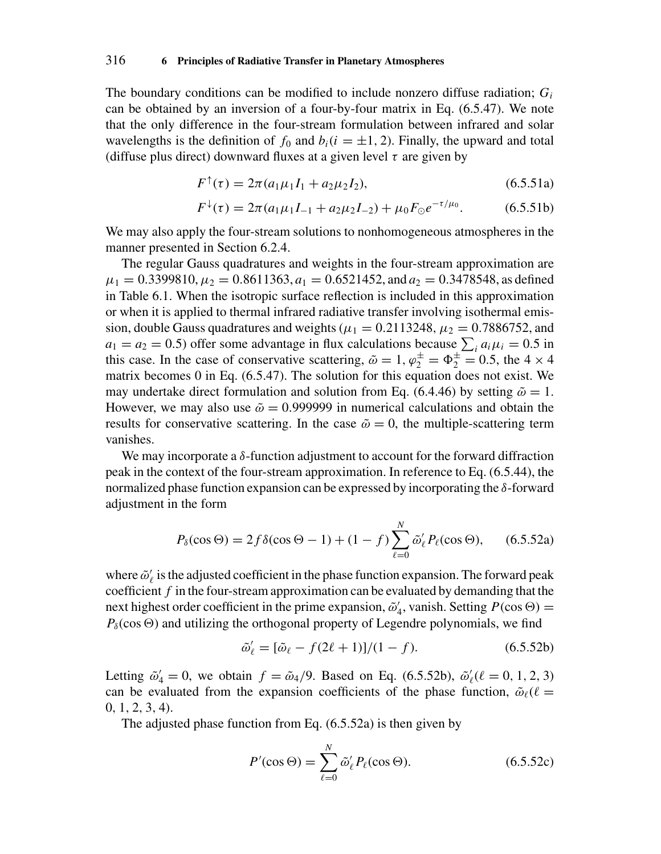The boundary conditions can be modified to include nonzero diffuse radiation; *Gi* can be obtained by an inversion of a four-by-four matrix in Eq. (6.5.47). We note that the only difference in the four-stream formulation between infrared and solar wavelengths is the definition of  $f_0$  and  $b_i$  ( $i = \pm 1, 2$ ). Finally, the upward and total (diffuse plus direct) downward fluxes at a given level  $\tau$  are given by

$$
F^{\uparrow}(\tau) = 2\pi (a_1 \mu_1 I_1 + a_2 \mu_2 I_2), \tag{6.5.51a}
$$

$$
F^{\downarrow}(\tau) = 2\pi (a_1 \mu_1 I_{-1} + a_2 \mu_2 I_{-2}) + \mu_0 F_{\odot} e^{-\tau/\mu_0}.
$$
 (6.5.51b)

We may also apply the four-stream solutions to nonhomogeneous atmospheres in the manner presented in Section 6.2.4.

The regular Gauss quadratures and weights in the four-stream approximation are  $\mu_1 = 0.3399810, \mu_2 = 0.8611363, a_1 = 0.6521452, \text{ and } a_2 = 0.3478548, \text{ as defined}$ in Table 6.1. When the isotropic surface reflection is included in this approximation or when it is applied to thermal infrared radiative transfer involving isothermal emission, double Gauss quadratures and weights ( $\mu_1 = 0.2113248$ ,  $\mu_2 = 0.7886752$ , and  $a_1 = a_2 = 0.5$ ) offer some advantage in flux calculations because  $\sum_i a_i \mu_i = 0.5$  in this case. In the case of conservative scattering,  $\tilde{\omega} = 1, \varphi_2^{\pm} = \Phi_2^{\pm} = 0.5$ , the  $4 \times 4$ matrix becomes 0 in Eq. (6.5.47). The solution for this equation does not exist. We may undertake direct formulation and solution from Eq. (6.4.46) by setting  $\tilde{\omega} = 1$ . However, we may also use  $\tilde{\omega} = 0.999999$  in numerical calculations and obtain the results for conservative scattering. In the case  $\tilde{\omega} = 0$ , the multiple-scattering term vanishes.

We may incorporate a  $\delta$ -function adjustment to account for the forward diffraction peak in the context of the four-stream approximation. In reference to Eq. (6.5.44), the normalized phase function expansion can be expressed by incorporating the δ-forward adjustment in the form

$$
P_{\delta}(\cos \Theta) = 2f\delta(\cos \Theta - 1) + (1 - f)\sum_{\ell=0}^{N} \tilde{\omega}_{\ell}' P_{\ell}(\cos \Theta), \qquad (6.5.52a)
$$

where  $\tilde{\omega}'_l$  is the adjusted coefficient in the phase function expansion. The forward peak coefficient  $f$  in the four-stream approximation can be evaluated by demanding that the next highest order coefficient in the prime expansion,  $\tilde{\omega}'_4$ , vanish. Setting  $P(\cos \Theta) =$  $P$ <sup> $_{\delta}$ </sup>(cos  $\Theta$ ) and utilizing the orthogonal property of Legendre polynomials, we find

$$
\tilde{\omega}'_{\ell} = [\tilde{\omega}_{\ell} - f(2\ell + 1)]/(1 - f). \tag{6.5.52b}
$$

Letting  $\tilde{\omega}'_4 = 0$ , we obtain  $f = \tilde{\omega}_4/9$ . Based on Eq. (6.5.52b),  $\tilde{\omega}'_1(\ell = 0, 1, 2, 3)$ can be evaluated from the expansion coefficients of the phase function,  $\tilde{\omega}_{\ell}(\ell=$ 0*,* 1*,* 2*,* 3*,* 4).

The adjusted phase function from Eq. (6.5.52a) is then given by

$$
P'(\cos \Theta) = \sum_{\ell=0}^{N} \tilde{\omega}'_{\ell} P_{\ell}(\cos \Theta). \tag{6.5.52c}
$$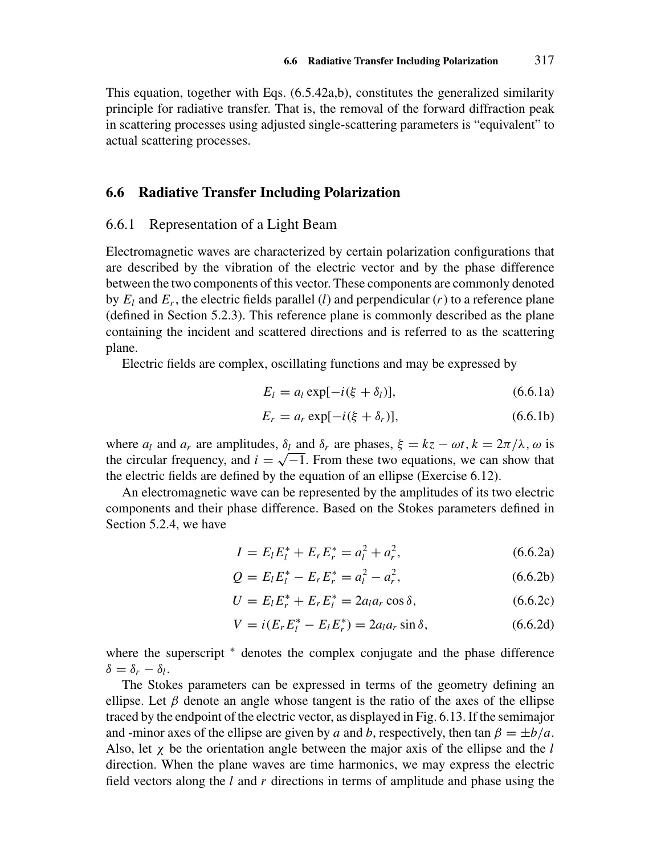This equation, together with Eqs. (6.5.42a,b), constitutes the generalized similarity principle for radiative transfer. That is, the removal of the forward diffraction peak in scattering processes using adjusted single-scattering parameters is "equivalent" to actual scattering processes.

## **6.6 Radiative Transfer Including Polarization**

#### 6.6.1 Representation of a Light Beam

Electromagnetic waves are characterized by certain polarization configurations that are described by the vibration of the electric vector and by the phase difference between the two components of this vector. These components are commonly denoted by  $E_l$  and  $E_r$ , the electric fields parallel (*l*) and perpendicular (*r*) to a reference plane (defined in Section 5.2.3). This reference plane is commonly described as the plane containing the incident and scattered directions and is referred to as the scattering plane.

Electric fields are complex, oscillating functions and may be expressed by

$$
E_l = a_l \exp[-i(\xi + \delta_l)], \qquad (6.6.1a)
$$

$$
E_r = a_r \exp[-i(\xi + \delta_r)], \qquad (6.6.1b)
$$

where  $a_l$  and  $a_r$  are amplitudes,  $\delta_l$  and  $\delta_r$  are phases,  $\xi = kz - \omega t$ ,  $k = 2\pi/\lambda$ ,  $\omega$  is the circular frequency, and  $i = \sqrt{-1}$ . From these two equations, we can show that the electric fields are defined by the equation of an ellipse (Exercise 6.12).

An electromagnetic wave can be represented by the amplitudes of its two electric components and their phase difference. Based on the Stokes parameters defined in Section 5.2.4, we have

$$
I = E_l E_l^* + E_r E_r^* = a_l^2 + a_r^2, \tag{6.6.2a}
$$

$$
Q = E_l E_l^* - E_r E_r^* = a_l^2 - a_r^2, \tag{6.6.2b}
$$

$$
U = E_l E_r^* + E_r E_l^* = 2a_l a_r \cos \delta, \qquad (6.6.2c)
$$

$$
V = i(E_r E_l^* - E_l E_r^*) = 2a_l a_r \sin \delta, \qquad (6.6.2d)
$$

where the superscript  $*$  denotes the complex conjugate and the phase difference  $\delta = \delta_r - \delta_l$ .

The Stokes parameters can be expressed in terms of the geometry defining an ellipse. Let  $\beta$  denote an angle whose tangent is the ratio of the axes of the ellipse traced by the endpoint of the electric vector, as displayed in Fig. 6.13. If the semimajor and -minor axes of the ellipse are given by *a* and *b*, respectively, then tan  $\beta = \pm b/a$ . Also, let  $\chi$  be the orientation angle between the major axis of the ellipse and the *l* direction. When the plane waves are time harmonics, we may express the electric field vectors along the *l* and *r* directions in terms of amplitude and phase using the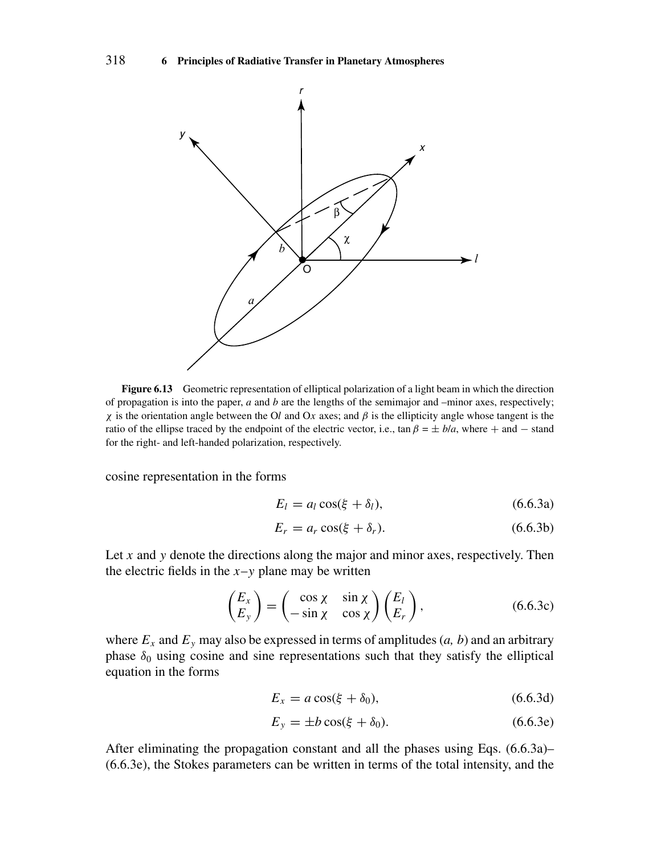

**Figure 6.13** Geometric representation of elliptical polarization of a light beam in which the direction of propagation is into the paper, *a* and *b* are the lengths of the semimajor and –minor axes, respectively; χ is the orientation angle between the O*l* and O*x* axes; and β is the ellipticity angle whose tangent is the ratio of the ellipse traced by the endpoint of the electric vector, i.e., tan  $\beta = \pm b/a$ , where  $+$  and  $-$  stand for the right- and left-handed polarization, respectively.

cosine representation in the forms

$$
E_l = a_l \cos(\xi + \delta_l), \tag{6.6.3a}
$$

$$
E_r = a_r \cos(\xi + \delta_r). \tag{6.6.3b}
$$

Let x and y denote the directions along the major and minor axes, respectively. Then the electric fields in the  $x-y$  plane may be written

$$
\begin{pmatrix} E_x \\ E_y \end{pmatrix} = \begin{pmatrix} \cos \chi & \sin \chi \\ -\sin \chi & \cos \chi \end{pmatrix} \begin{pmatrix} E_l \\ E_r \end{pmatrix},
$$
\n(6.6.3c)

where  $E_x$  and  $E_y$  may also be expressed in terms of amplitudes  $(a, b)$  and an arbitrary phase  $\delta_0$  using cosine and sine representations such that they satisfy the elliptical equation in the forms

$$
E_x = a\cos(\xi + \delta_0),\tag{6.6.3d}
$$

$$
E_y = \pm b \cos(\xi + \delta_0). \tag{6.6.3e}
$$

After eliminating the propagation constant and all the phases using Eqs. (6.6.3a)– (6.6.3e), the Stokes parameters can be written in terms of the total intensity, and the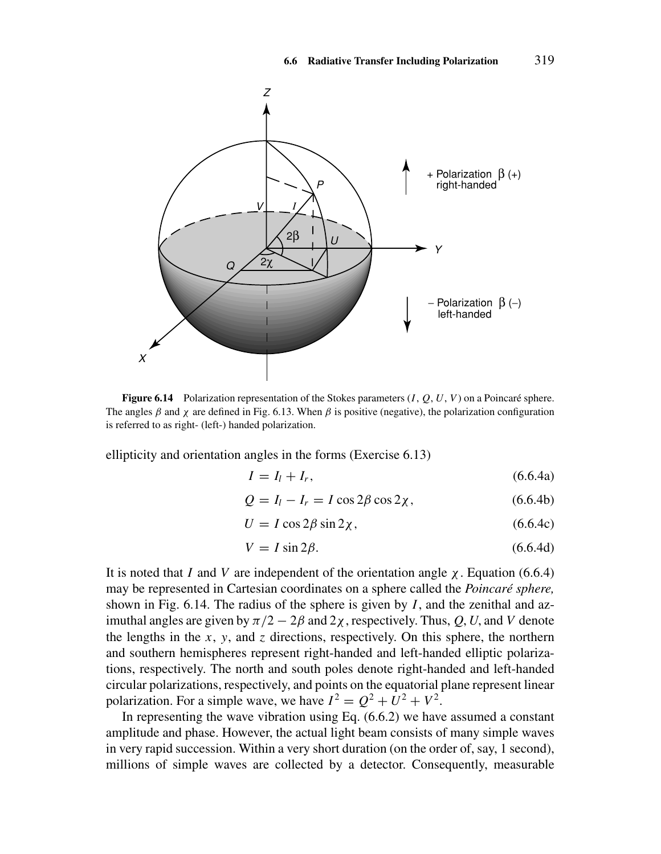

**Figure 6.14** Polarization representation of the Stokes parameters  $(I, Q, U, V)$  on a Poincaré sphere. The angles  $\beta$  and  $\gamma$  are defined in Fig. 6.13. When  $\beta$  is positive (negative), the polarization configuration is referred to as right- (left-) handed polarization.

ellipticity and orientation angles in the forms (Exercise 6.13)

$$
I = I_l + I_r,\tag{6.6.4a}
$$

$$
Q = I_l - I_r = I \cos 2\beta \cos 2\chi, \qquad (6.6.4b)
$$

$$
U = I \cos 2\beta \sin 2\chi, \qquad (6.6.4c)
$$

$$
V = I \sin 2\beta. \tag{6.6.4d}
$$

It is noted that *I* and *V* are independent of the orientation angle χ*.* Equation (6.6.4) may be represented in Cartesian coordinates on a sphere called the *Poincare sphere, ´* shown in Fig. 6.14. The radius of the sphere is given by *I*, and the zenithal and azimuthal angles are given by  $\pi/2 - 2\beta$  and  $2\chi$ , respectively. Thus, *Q*, *U*, and *V* denote the lengths in the *x*, *y*, and *z* directions, respectively. On this sphere, the northern and southern hemispheres represent right-handed and left-handed elliptic polarizations, respectively. The north and south poles denote right-handed and left-handed circular polarizations, respectively, and points on the equatorial plane represent linear polarization. For a simple wave, we have  $I^2 = Q^2 + U^2 + V^2$ .

In representing the wave vibration using Eq.  $(6.6.2)$  we have assumed a constant amplitude and phase. However, the actual light beam consists of many simple waves in very rapid succession. Within a very short duration (on the order of, say, 1 second), millions of simple waves are collected by a detector. Consequently, measurable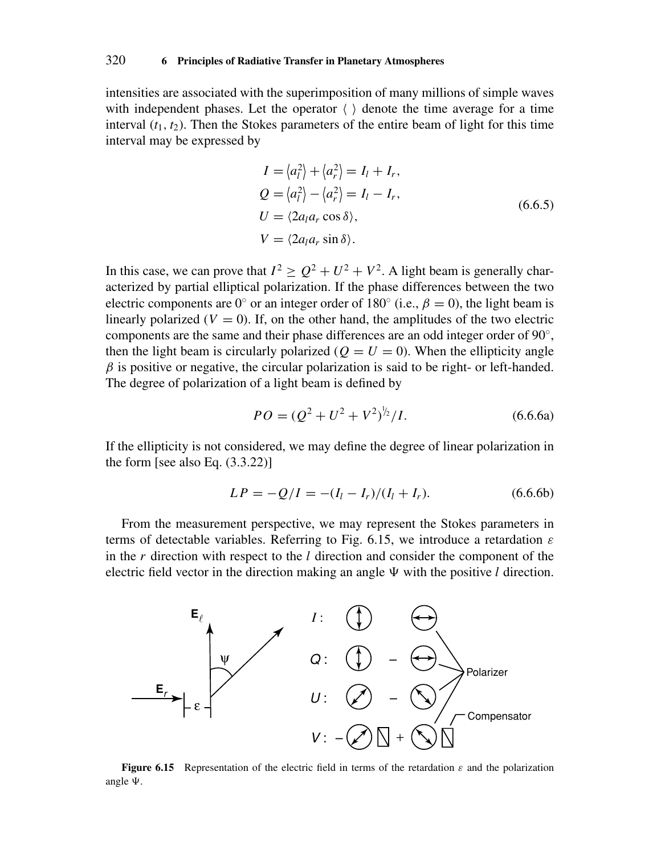intensities are associated with the superimposition of many millions of simple waves with independent phases. Let the operator  $\langle \rangle$  denote the time average for a time interval  $(t_1, t_2)$ . Then the Stokes parameters of the entire beam of light for this time interval may be expressed by

$$
I = \langle a_l^2 \rangle + \langle a_r^2 \rangle = I_l + I_r,
$$
  
\n
$$
Q = \langle a_l^2 \rangle - \langle a_r^2 \rangle = I_l - I_r,
$$
  
\n
$$
U = \langle 2a_l a_r \cos \delta \rangle,
$$
  
\n
$$
V = \langle 2a_l a_r \sin \delta \rangle.
$$
  
\n(6.6.5)

In this case, we can prove that  $I^2 \geq Q^2 + U^2 + V^2$ . A light beam is generally characterized by partial elliptical polarization. If the phase differences between the two electric components are 0° or an integer order of 180° (i.e.,  $\beta = 0$ ), the light beam is linearly polarized  $(V = 0)$ . If, on the other hand, the amplitudes of the two electric components are the same and their phase differences are an odd integer order of 90◦, then the light beam is circularly polarized ( $Q = U = 0$ ). When the ellipticity angle  $\beta$  is positive or negative, the circular polarization is said to be right- or left-handed. The degree of polarization of a light beam is defined by

$$
PO = (Q2 + U2 + V2)1/2/I.
$$
 (6.6.6a)

If the ellipticity is not considered, we may define the degree of linear polarization in the form [see also Eq.  $(3.3.22)$ ]

$$
LP = -Q/I = -(I_l - I_r)/(I_l + I_r). \tag{6.6.6b}
$$

From the measurement perspective, we may represent the Stokes parameters in terms of detectable variables. Referring to Fig. 6.15, we introduce a retardation  $\varepsilon$ in the *r* direction with respect to the *l* direction and consider the component of the electric field vector in the direction making an angle  $\Psi$  with the positive *l* direction.



**Figure 6.15** Representation of the electric field in terms of the retardation  $\varepsilon$  and the polarization angle  $\Psi$ .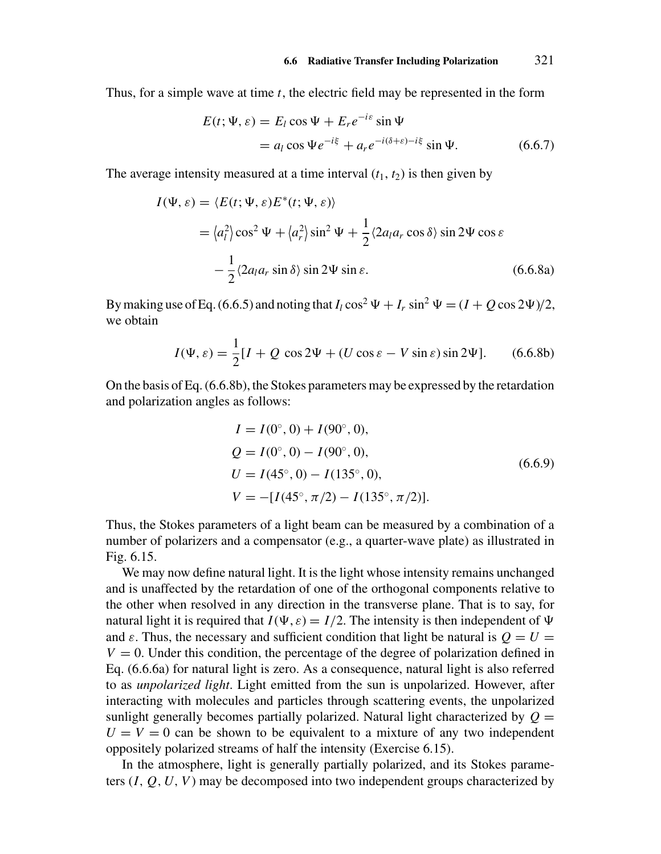Thus, for a simple wave at time *t*, the electric field may be represented in the form

$$
E(t; \Psi, \varepsilon) = E_l \cos \Psi + E_r e^{-i\varepsilon} \sin \Psi
$$
  
=  $a_l \cos \Psi e^{-i\xi} + a_r e^{-i(\delta + \varepsilon) - i\xi} \sin \Psi.$  (6.6.7)

The average intensity measured at a time interval  $(t_1, t_2)$  is then given by

$$
I(\Psi, \varepsilon) = \langle E(t; \Psi, \varepsilon) E^*(t; \Psi, \varepsilon) \rangle
$$
  
=  $\langle a_t^2 \rangle \cos^2 \Psi + \langle a_r^2 \rangle \sin^2 \Psi + \frac{1}{2} \langle 2a_l a_r \cos \delta \rangle \sin 2\Psi \cos \varepsilon$   
-  $\frac{1}{2} \langle 2a_l a_r \sin \delta \rangle \sin 2\Psi \sin \varepsilon$ . (6.6.8a)

By making use of Eq. (6.6.5) and noting that  $I_l \cos^2 \Psi + I_r \sin^2 \Psi = (I + Q \cos 2\Psi)/2$ , we obtain

$$
I(\Psi, \varepsilon) = \frac{1}{2} [I + Q \cos 2\Psi + (U \cos \varepsilon - V \sin \varepsilon) \sin 2\Psi].
$$
 (6.6.8b)

On the basis of Eq. (6.6.8b), the Stokes parameters may be expressed by the retardation and polarization angles as follows:

$$
I = I(0^{\circ}, 0) + I(90^{\circ}, 0),
$$
  
\n
$$
Q = I(0^{\circ}, 0) - I(90^{\circ}, 0),
$$
  
\n
$$
U = I(45^{\circ}, 0) - I(135^{\circ}, 0),
$$
  
\n
$$
V = -[I(45^{\circ}, \pi/2) - I(135^{\circ}, \pi/2)].
$$
\n(6.6.9)

Thus, the Stokes parameters of a light beam can be measured by a combination of a number of polarizers and a compensator (e.g., a quarter-wave plate) as illustrated in Fig. 6.15.

We may now define natural light. It is the light whose intensity remains unchanged and is unaffected by the retardation of one of the orthogonal components relative to the other when resolved in any direction in the transverse plane. That is to say, for natural light it is required that  $I(\Psi, \varepsilon) = I/2$ . The intensity is then independent of  $\Psi$ and  $\varepsilon$ . Thus, the necessary and sufficient condition that light be natural is  $Q = U =$  $V = 0$ . Under this condition, the percentage of the degree of polarization defined in Eq. (6.6.6a) for natural light is zero. As a consequence, natural light is also referred to as *unpolarized light*. Light emitted from the sun is unpolarized. However, after interacting with molecules and particles through scattering events, the unpolarized sunlight generally becomes partially polarized. Natural light characterized by  $Q =$  $U = V = 0$  can be shown to be equivalent to a mixture of any two independent oppositely polarized streams of half the intensity (Exercise 6.15).

In the atmosphere, light is generally partially polarized, and its Stokes parameters  $(I, Q, U, V)$  may be decomposed into two independent groups characterized by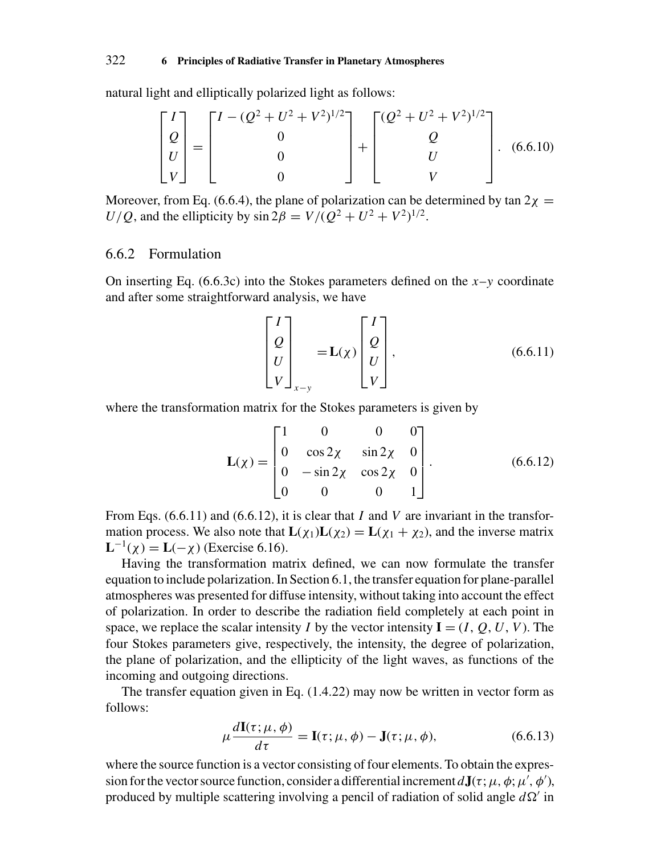natural light and elliptically polarized light as follows:

$$
\begin{bmatrix} I \\ Q \\ U \\ V \end{bmatrix} = \begin{bmatrix} I - (Q^2 + U^2 + V^2)^{1/2} \\ 0 \\ 0 \\ 0 \end{bmatrix} + \begin{bmatrix} (Q^2 + U^2 + V^2)^{1/2} \\ Q \\ U \\ V \end{bmatrix}.
$$
 (6.6.10)

Moreover, from Eq. (6.6.4), the plane of polarization can be determined by tan  $2\chi =$ *U/***Q**, and the ellipticity by sin  $2\beta = V/(Q^2 + U^2 + V^2)^{1/2}$ .

## 6.6.2 Formulation

On inserting Eq. (6.6.3c) into the Stokes parameters defined on the  $x-y$  coordinate and after some straightforward analysis, we have

$$
\begin{bmatrix} I \\ Q \\ U \\ V \end{bmatrix}_{x-y} = \mathbf{L}(\chi) \begin{bmatrix} I \\ Q \\ U \\ V \end{bmatrix},
$$
\n(6.6.11)

where the transformation matrix for the Stokes parameters is given by

$$
\mathbf{L}(\chi) = \begin{bmatrix} 1 & 0 & 0 & 0 \\ 0 & \cos 2\chi & \sin 2\chi & 0 \\ 0 & -\sin 2\chi & \cos 2\chi & 0 \\ 0 & 0 & 0 & 1 \end{bmatrix}.
$$
 (6.6.12)

From Eqs. (6.6.11) and (6.6.12), it is clear that *I* and *V* are invariant in the transformation process. We also note that  $L(\chi_1)L(\chi_2) = L(\chi_1 + \chi_2)$ , and the inverse matrix **L**<sup>−1</sup>(*χ*) = **L**(−*χ*) (Exercise 6.16).

Having the transformation matrix defined, we can now formulate the transfer equation to include polarization. In Section 6.1, the transfer equation for plane-parallel atmospheres was presented for diffuse intensity, without taking into account the effect of polarization. In order to describe the radiation field completely at each point in space, we replace the scalar intensity *I* by the vector intensity  $I = (I, Q, U, V)$ . The four Stokes parameters give, respectively, the intensity, the degree of polarization, the plane of polarization, and the ellipticity of the light waves, as functions of the incoming and outgoing directions.

The transfer equation given in Eq. (1.4.22) may now be written in vector form as follows:

$$
\mu \frac{d\mathbf{I}(\tau;\mu,\phi)}{d\tau} = \mathbf{I}(\tau;\mu,\phi) - \mathbf{J}(\tau;\mu,\phi),\tag{6.6.13}
$$

where the source function is a vector consisting of four elements. To obtain the expression for the vector source function, consider a differential increment  $d\mathbf{J}(\tau;\mu,\phi;\mu',\phi')$ , produced by multiple scattering involving a pencil of radiation of solid angle  $d\Omega'$  in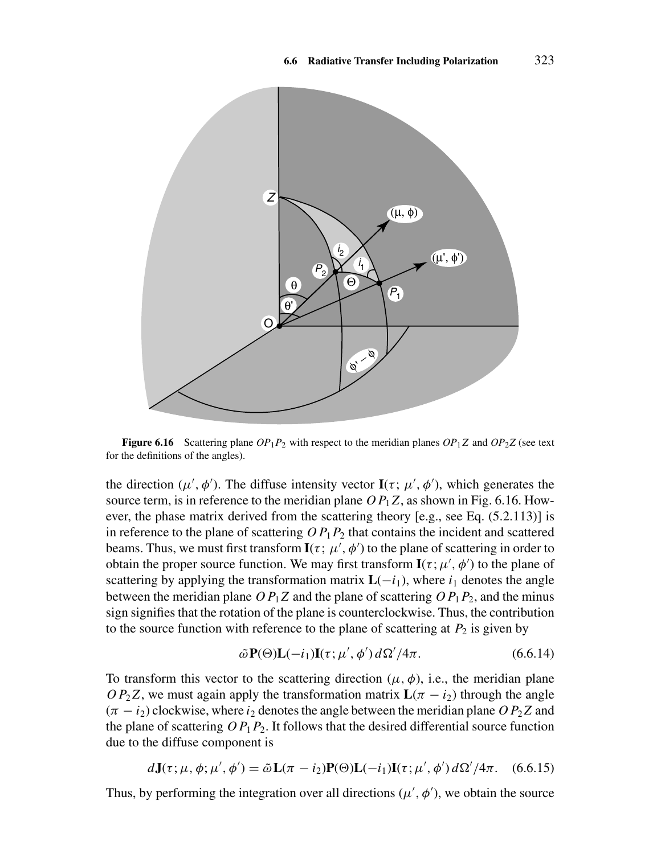

**Figure 6.16** Scattering plane  $OP_1P_2$  with respect to the meridian planes  $OP_1Z$  and  $OP_2Z$  (see text for the definitions of the angles).

the direction  $(\mu', \phi')$ . The diffuse intensity vector  $\mathbf{I}(\tau; \mu', \phi')$ , which generates the source term, is in reference to the meridian plane  $OP<sub>1</sub>Z$ , as shown in Fig. 6.16. However, the phase matrix derived from the scattering theory [e.g., see Eq. (5.2.113)] is in reference to the plane of scattering  $OP_1P_2$  that contains the incident and scattered beams. Thus, we must first transform  $I(\tau; \mu', \phi')$  to the plane of scattering in order to obtain the proper source function. We may first transform  $I(\tau; \mu', \phi')$  to the plane of scattering by applying the transformation matrix  $\mathbf{L}(-i_1)$ , where  $i_1$  denotes the angle between the meridian plane  $OP_1Z$  and the plane of scattering  $OP_1P_2$ , and the minus sign signifies that the rotation of the plane is counterclockwise. Thus, the contribution to the source function with reference to the plane of scattering at  $P_2$  is given by

$$
\tilde{\omega} \mathbf{P}(\Theta) \mathbf{L}(-i_1) \mathbf{I}(\tau; \mu', \phi') d\Omega'/4\pi.
$$
 (6.6.14)

To transform this vector to the scattering direction  $(\mu, \phi)$ , i.e., the meridian plane *OP*<sub>2</sub>*Z*, we must again apply the transformation matrix  $\mathbf{L}(\pi - i_2)$  through the angle  $(\pi - i_2)$  clockwise, where  $i_2$  denotes the angle between the meridian plane  $O P_2 Z$  and the plane of scattering  $OP_1P_2$ . It follows that the desired differential source function due to the diffuse component is

$$
d\mathbf{J}(\tau;\mu,\phi;\mu',\phi') = \tilde{\omega}\mathbf{L}(\pi - i_2)\mathbf{P}(\Theta)\mathbf{L}(-i_1)\mathbf{I}(\tau;\mu',\phi')\,d\Omega'/4\pi. \quad (6.6.15)
$$

Thus, by performing the integration over all directions  $(\mu', \phi')$ , we obtain the source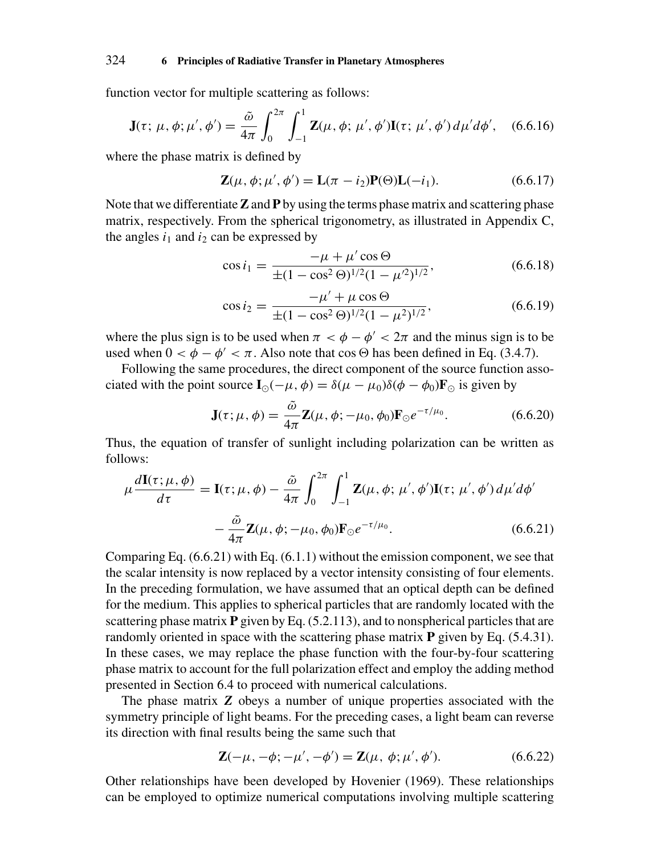function vector for multiple scattering as follows:

$$
\mathbf{J}(\tau; \mu, \phi; \mu', \phi') = \frac{\tilde{\omega}}{4\pi} \int_0^{2\pi} \int_{-1}^1 \mathbf{Z}(\mu, \phi; \mu', \phi') \mathbf{I}(\tau; \mu', \phi') d\mu' d\phi', \quad (6.6.16)
$$

where the phase matrix is defined by

$$
\mathbf{Z}(\mu, \phi; \mu', \phi') = \mathbf{L}(\pi - i_2)\mathbf{P}(\Theta)\mathbf{L}(-i_1). \tag{6.6.17}
$$

Note that we differentiate**Z**and **P** by using the terms phase matrix and scattering phase matrix, respectively. From the spherical trigonometry, as illustrated in Appendix C, the angles  $i_1$  and  $i_2$  can be expressed by

$$
\cos i_1 = \frac{-\mu + \mu' \cos \Theta}{\pm (1 - \cos^2 \Theta)^{1/2} (1 - \mu'^2)^{1/2}},
$$
(6.6.18)

$$
\cos i_2 = \frac{-\mu' + \mu \cos \Theta}{\pm (1 - \cos^2 \Theta)^{1/2} (1 - \mu^2)^{1/2}},
$$
(6.6.19)

where the plus sign is to be used when  $\pi < \phi - \phi' < 2\pi$  and the minus sign is to be used when  $0 < \phi - \phi' < \pi$ . Also note that cos  $\Theta$  has been defined in Eq. (3.4.7).

Following the same procedures, the direct component of the source function associated with the point source  $I_{\odot}(-\mu, \phi) = \delta(\mu - \mu_0)\delta(\phi - \phi_0)\mathbf{F}_{\odot}$  is given by

$$
\mathbf{J}(\tau;\mu,\phi) = \frac{\tilde{\omega}}{4\pi} \mathbf{Z}(\mu,\phi;-\mu_0,\phi_0) \mathbf{F}_{\odot} e^{-\tau/\mu_0}.
$$
 (6.6.20)

Thus, the equation of transfer of sunlight including polarization can be written as follows:

$$
\mu \frac{d\mathbf{I}(\tau;\mu,\phi)}{d\tau} = \mathbf{I}(\tau;\mu,\phi) - \frac{\tilde{\omega}}{4\pi} \int_0^{2\pi} \int_{-1}^1 \mathbf{Z}(\mu,\phi;\mu',\phi') \mathbf{I}(\tau;\mu',\phi') d\mu' d\phi'
$$

$$
- \frac{\tilde{\omega}}{4\pi} \mathbf{Z}(\mu,\phi;-\mu_0,\phi_0) \mathbf{F}_{\odot} e^{-\tau/\mu_0}.
$$
(6.6.21)

Comparing Eq. (6.6.21) with Eq. (6.1.1) without the emission component, we see that the scalar intensity is now replaced by a vector intensity consisting of four elements. In the preceding formulation, we have assumed that an optical depth can be defined for the medium. This applies to spherical particles that are randomly located with the scattering phase matrix **P** given by Eq. (5.2.113), and to nonspherical particles that are randomly oriented in space with the scattering phase matrix **P** given by Eq. (5.4.31). In these cases, we may replace the phase function with the four-by-four scattering phase matrix to account for the full polarization effect and employ the adding method presented in Section 6.4 to proceed with numerical calculations.

The phase matrix *Z* obeys a number of unique properties associated with the symmetry principle of light beams. For the preceding cases, a light beam can reverse its direction with final results being the same such that

$$
\mathbf{Z}(-\mu, -\phi; -\mu', -\phi') = \mathbf{Z}(\mu, \phi; \mu', \phi'). \tag{6.6.22}
$$

Other relationships have been developed by Hovenier (1969). These relationships can be employed to optimize numerical computations involving multiple scattering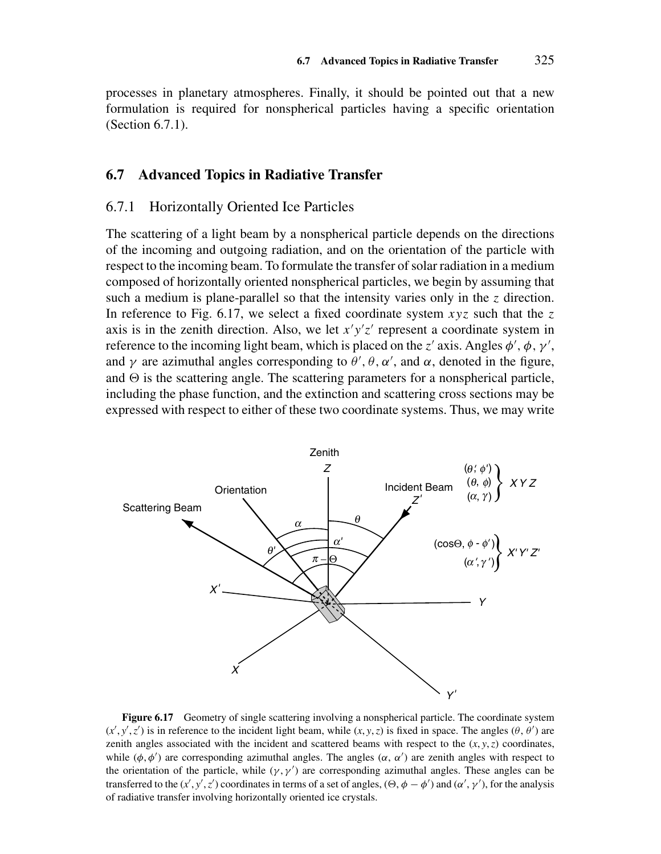processes in planetary atmospheres. Finally, it should be pointed out that a new formulation is required for nonspherical particles having a specific orientation (Section 6.7.1).

# **6.7 Advanced Topics in Radiative Transfer**

#### 6.7.1 Horizontally Oriented Ice Particles

The scattering of a light beam by a nonspherical particle depends on the directions of the incoming and outgoing radiation, and on the orientation of the particle with respect to the incoming beam. To formulate the transfer of solar radiation in a medium composed of horizontally oriented nonspherical particles, we begin by assuming that such a medium is plane-parallel so that the intensity varies only in the *z* direction. In reference to Fig. 6.17, we select a fixed coordinate system  $xyz$  such that the z axis is in the zenith direction. Also, we let  $x'y'z'$  represent a coordinate system in reference to the incoming light beam, which is placed on the *z'* axis. Angles  $\phi'$ ,  $\phi$ ,  $\gamma'$ , and  $\gamma$  are azimuthal angles corresponding to  $\theta'$ ,  $\theta$ ,  $\alpha'$ , and  $\alpha$ , denoted in the figure, and  $\Theta$  is the scattering angle. The scattering parameters for a nonspherical particle, including the phase function, and the extinction and scattering cross sections may be expressed with respect to either of these two coordinate systems. Thus, we may write



**Figure 6.17** Geometry of single scattering involving a nonspherical particle. The coordinate system  $(x', y', z')$  is in reference to the incident light beam, while  $(x, y, z)$  is fixed in space. The angles  $(\theta, \theta')$  are zenith angles associated with the incident and scattered beams with respect to the  $(x, y, z)$  coordinates, while  $(\phi, \phi')$  are corresponding azimuthal angles. The angles  $(\alpha, \alpha')$  are zenith angles with respect to the orientation of the particle, while  $(\gamma, \gamma')$  are corresponding azimuthal angles. These angles can be transferred to the  $(x', y', z')$  coordinates in terms of a set of angles,  $(\Theta, \phi - \phi')$  and  $(\alpha', \gamma')$ , for the analysis of radiative transfer involving horizontally oriented ice crystals.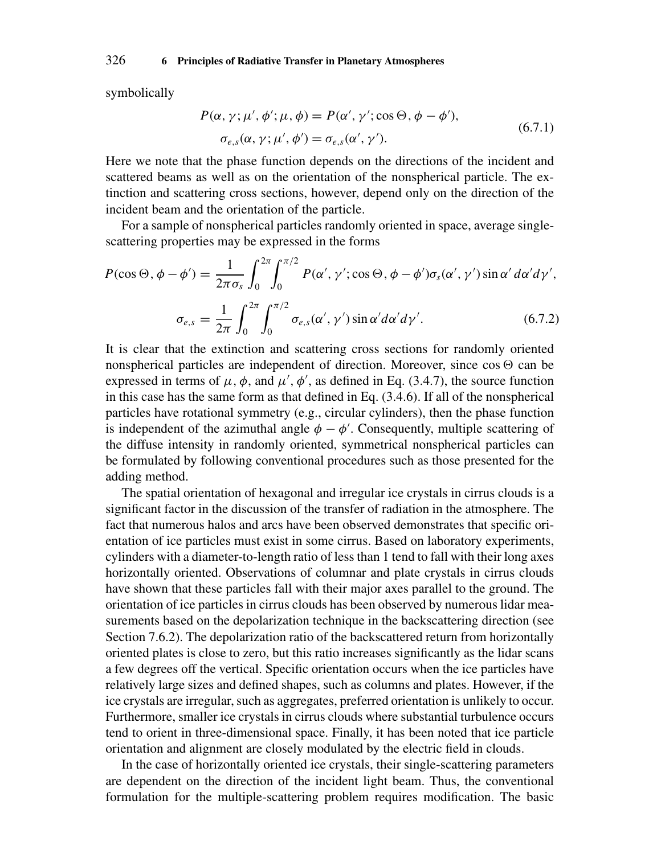symbolically

$$
P(\alpha, \gamma; \mu', \phi'; \mu, \phi) = P(\alpha', \gamma'; \cos \Theta, \phi - \phi'),
$$
  
\n
$$
\sigma_{e,s}(\alpha, \gamma; \mu', \phi') = \sigma_{e,s}(\alpha', \gamma').
$$
\n(6.7.1)

Here we note that the phase function depends on the directions of the incident and scattered beams as well as on the orientation of the nonspherical particle. The extinction and scattering cross sections, however, depend only on the direction of the incident beam and the orientation of the particle.

For a sample of nonspherical particles randomly oriented in space, average singlescattering properties may be expressed in the forms

$$
P(\cos \Theta, \phi - \phi') = \frac{1}{2\pi \sigma_s} \int_0^{2\pi} \int_0^{\pi/2} P(\alpha', \gamma'; \cos \Theta, \phi - \phi') \sigma_s(\alpha', \gamma') \sin \alpha' d\alpha' d\gamma',
$$

$$
\sigma_{e,s} = \frac{1}{2\pi} \int_0^{2\pi} \int_0^{\pi/2} \sigma_{e,s}(\alpha', \gamma') \sin \alpha' d\alpha' d\gamma'. \tag{6.7.2}
$$

It is clear that the extinction and scattering cross sections for randomly oriented nonspherical particles are independent of direction. Moreover, since  $\cos \Theta$  can be expressed in terms of  $\mu$ ,  $\phi$ , and  $\mu'$ ,  $\phi'$ , as defined in Eq. (3.4.7), the source function in this case has the same form as that defined in Eq. (3.4.6). If all of the nonspherical particles have rotational symmetry (e.g., circular cylinders), then the phase function is independent of the azimuthal angle  $\phi - \phi'$ . Consequently, multiple scattering of the diffuse intensity in randomly oriented, symmetrical nonspherical particles can be formulated by following conventional procedures such as those presented for the adding method.

The spatial orientation of hexagonal and irregular ice crystals in cirrus clouds is a significant factor in the discussion of the transfer of radiation in the atmosphere. The fact that numerous halos and arcs have been observed demonstrates that specific orientation of ice particles must exist in some cirrus. Based on laboratory experiments, cylinders with a diameter-to-length ratio of less than 1 tend to fall with their long axes horizontally oriented. Observations of columnar and plate crystals in cirrus clouds have shown that these particles fall with their major axes parallel to the ground. The orientation of ice particles in cirrus clouds has been observed by numerous lidar measurements based on the depolarization technique in the backscattering direction (see Section 7.6.2). The depolarization ratio of the backscattered return from horizontally oriented plates is close to zero, but this ratio increases significantly as the lidar scans a few degrees off the vertical. Specific orientation occurs when the ice particles have relatively large sizes and defined shapes, such as columns and plates. However, if the ice crystals are irregular, such as aggregates, preferred orientation is unlikely to occur. Furthermore, smaller ice crystals in cirrus clouds where substantial turbulence occurs tend to orient in three-dimensional space. Finally, it has been noted that ice particle orientation and alignment are closely modulated by the electric field in clouds.

In the case of horizontally oriented ice crystals, their single-scattering parameters are dependent on the direction of the incident light beam. Thus, the conventional formulation for the multiple-scattering problem requires modification. The basic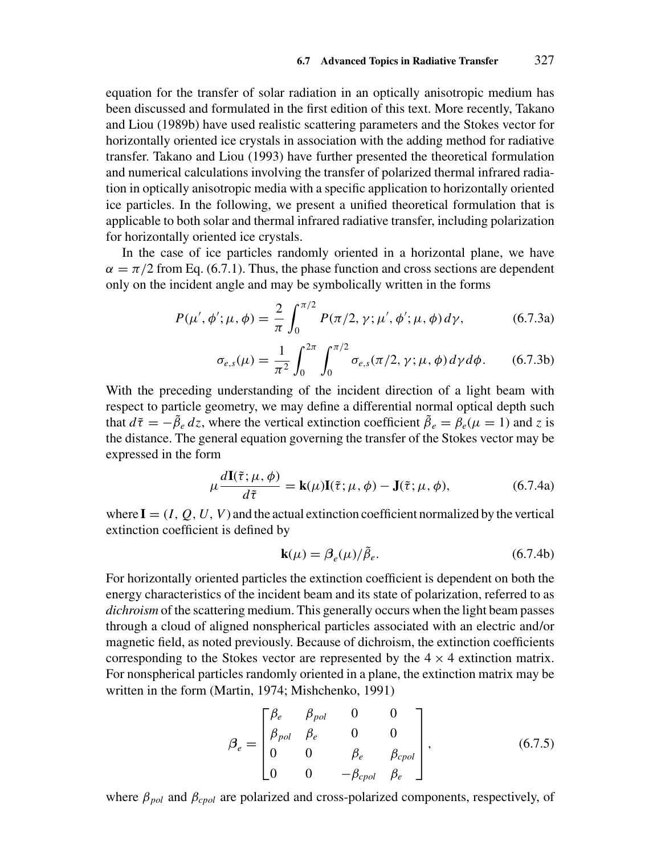equation for the transfer of solar radiation in an optically anisotropic medium has been discussed and formulated in the first edition of this text. More recently, Takano and Liou (1989b) have used realistic scattering parameters and the Stokes vector for horizontally oriented ice crystals in association with the adding method for radiative transfer. Takano and Liou (1993) have further presented the theoretical formulation and numerical calculations involving the transfer of polarized thermal infrared radiation in optically anisotropic media with a specific application to horizontally oriented ice particles. In the following, we present a unified theoretical formulation that is applicable to both solar and thermal infrared radiative transfer, including polarization for horizontally oriented ice crystals.

In the case of ice particles randomly oriented in a horizontal plane, we have  $\alpha = \pi/2$  from Eq. (6.7.1). Thus, the phase function and cross sections are dependent only on the incident angle and may be symbolically written in the forms

$$
P(\mu', \phi'; \mu, \phi) = \frac{2}{\pi} \int_0^{\pi/2} P(\pi/2, \gamma; \mu', \phi'; \mu, \phi) d\gamma,
$$
 (6.7.3a)

$$
\sigma_{e,s}(\mu) = \frac{1}{\pi^2} \int_0^{2\pi} \int_0^{\pi/2} \sigma_{e,s}(\pi/2, \gamma; \mu, \phi) d\gamma d\phi.
$$
 (6.7.3b)

With the preceding understanding of the incident direction of a light beam with respect to particle geometry, we may define a differential normal optical depth such that  $d\tilde{\tau} = -\tilde{\beta}_e dz$ , where the vertical extinction coefficient  $\tilde{\beta}_e = \beta_e(\mu = 1)$  and *z* is the distance. The general equation governing the transfer of the Stokes vector may be expressed in the form

$$
\mu \frac{d\mathbf{I}(\tilde{\tau}; \mu, \phi)}{d\tilde{\tau}} = \mathbf{k}(\mu)\mathbf{I}(\tilde{\tau}; \mu, \phi) - \mathbf{J}(\tilde{\tau}; \mu, \phi), \tag{6.7.4a}
$$

where  $I = (I, Q, U, V)$  and the actual extinction coefficient normalized by the vertical extinction coefficient is defined by

$$
\mathbf{k}(\mu) = \beta_e(\mu)/\tilde{\beta}_e. \tag{6.7.4b}
$$

For horizontally oriented particles the extinction coefficient is dependent on both the energy characteristics of the incident beam and its state of polarization, referred to as *dichroism* of the scattering medium. This generally occurs when the light beam passes through a cloud of aligned nonspherical particles associated with an electric and/or magnetic field, as noted previously. Because of dichroism, the extinction coefficients corresponding to the Stokes vector are represented by the  $4 \times 4$  extinction matrix. For nonspherical particles randomly oriented in a plane, the extinction matrix may be written in the form (Martin, 1974; Mishchenko, 1991)

$$
\beta_e = \begin{bmatrix} \beta_e & \beta_{pol} & 0 & 0 \\ \beta_{pol} & \beta_e & 0 & 0 \\ 0 & 0 & \beta_e & \beta_{cpol} \\ 0 & 0 & -\beta_{cpol} & \beta_e \end{bmatrix},
$$
(6.7.5)

where β*pol* and β*cpol* are polarized and cross-polarized components, respectively, of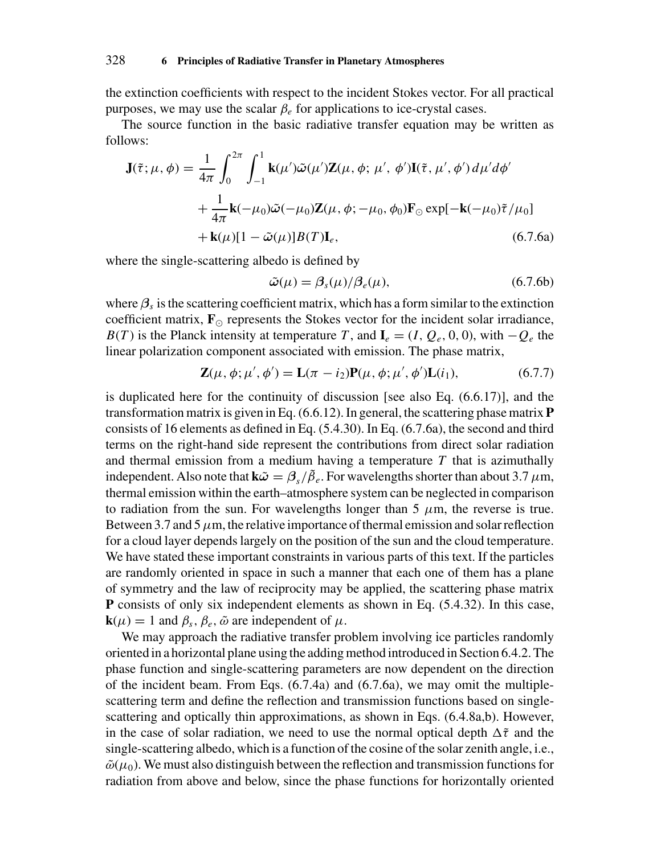the extinction coefficients with respect to the incident Stokes vector. For all practical purposes, we may use the scalar  $\beta_e$  for applications to ice-crystal cases.

The source function in the basic radiative transfer equation may be written as follows:

$$
\mathbf{J}(\tilde{\tau}; \mu, \phi) = \frac{1}{4\pi} \int_0^{2\pi} \int_{-1}^1 \mathbf{k}(\mu') \tilde{\omega}(\mu') \mathbf{Z}(\mu, \phi; \mu', \phi') \mathbf{I}(\tilde{\tau}, \mu', \phi') d\mu' d\phi'
$$
  
+ 
$$
\frac{1}{4\pi} \mathbf{k}(-\mu_0) \tilde{\omega}(-\mu_0) \mathbf{Z}(\mu, \phi; -\mu_0, \phi_0) \mathbf{F}_{\odot} \exp[-\mathbf{k}(-\mu_0) \tilde{\tau}/\mu_0]
$$
  
+ 
$$
\mathbf{k}(\mu)[1 - \tilde{\omega}(\mu)] B(T) \mathbf{I}_e,
$$
 (6.7.6a)

where the single-scattering albedo is defined by

$$
\tilde{\boldsymbol{\omega}}(\mu) = \beta_s(\mu) / \beta_e(\mu), \qquad (6.7.6b)
$$

where  $\beta_s$  is the scattering coefficient matrix, which has a form similar to the extinction coefficient matrix,  $\mathbf{F}_{\odot}$  represents the Stokes vector for the incident solar irradiance, *B*(*T*) is the Planck intensity at temperature *T*, and  $I_e = (I, Q_e, 0, 0)$ , with  $-Q_e$  the linear polarization component associated with emission. The phase matrix,

$$
\mathbf{Z}(\mu, \phi; \mu', \phi') = \mathbf{L}(\pi - i_2)\mathbf{P}(\mu, \phi; \mu', \phi')\mathbf{L}(i_1),
$$
(6.7.7)

is duplicated here for the continuity of discussion [see also Eq. (6.6.17)], and the transformation matrix is given in Eq. (6.6.12). In general, the scattering phase matrix **P** consists of 16 elements as defined in Eq. (5.4.30). In Eq. (6.7.6a), the second and third terms on the right-hand side represent the contributions from direct solar radiation and thermal emission from a medium having a temperature *T* that is azimuthally independent. Also note that  $\mathbf{k}\tilde{\omega} = \beta_s/\tilde{\beta}_e$ . For wavelengths shorter than about 3.7  $\mu$ m, thermal emission within the earth–atmosphere system can be neglected in comparison to radiation from the sun. For wavelengths longer than  $5 \mu m$ , the reverse is true. Between 3.7 and 5  $\mu$ m, the relative importance of thermal emission and solar reflection for a cloud layer depends largely on the position of the sun and the cloud temperature. We have stated these important constraints in various parts of this text. If the particles are randomly oriented in space in such a manner that each one of them has a plane of symmetry and the law of reciprocity may be applied, the scattering phase matrix **P** consists of only six independent elements as shown in Eq. (5.4.32). In this case,  $\mathbf{k}(\mu) = 1$  and  $\beta_s$ ,  $\beta_e$ ,  $\tilde{\omega}$  are independent of  $\mu$ .

We may approach the radiative transfer problem involving ice particles randomly oriented in a horizontal plane using the adding method introduced in Section 6.4.2. The phase function and single-scattering parameters are now dependent on the direction of the incident beam. From Eqs. (6.7.4a) and (6.7.6a), we may omit the multiplescattering term and define the reflection and transmission functions based on singlescattering and optically thin approximations, as shown in Eqs. (6.4.8a,b). However, in the case of solar radiation, we need to use the normal optical depth  $\Delta \tilde{\tau}$  and the single-scattering albedo, which is a function of the cosine of the solar zenith angle, i.e.,  $\tilde{\omega}(\mu_0)$ . We must also distinguish between the reflection and transmission functions for radiation from above and below, since the phase functions for horizontally oriented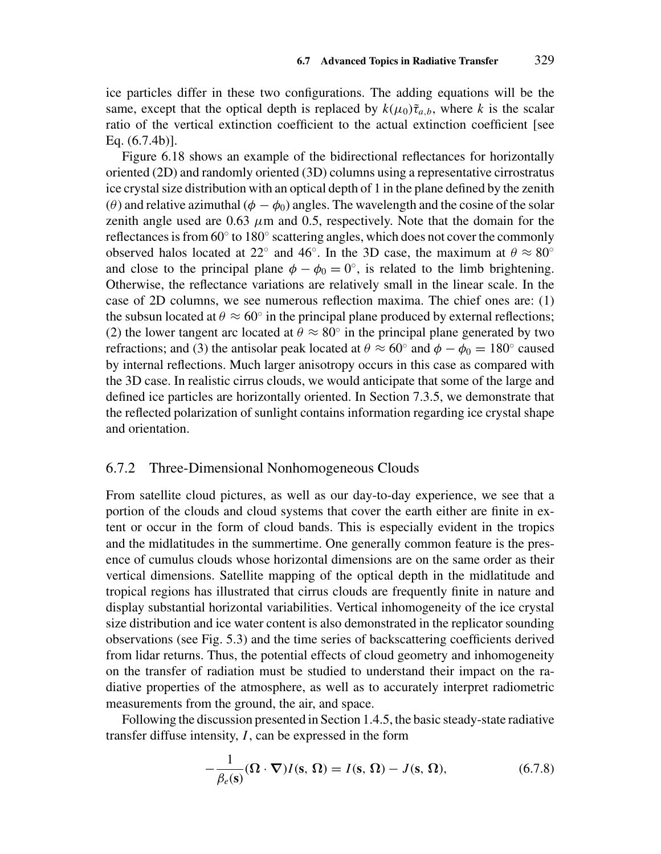ice particles differ in these two configurations. The adding equations will be the same, except that the optical depth is replaced by  $k(\mu_0) \tilde{\tau}_{a,b}$ , where *k* is the scalar ratio of the vertical extinction coefficient to the actual extinction coefficient [see Eq. (6.7.4b)].

Figure 6.18 shows an example of the bidirectional reflectances for horizontally oriented (2D) and randomly oriented (3D) columns using a representative cirrostratus ice crystal size distribution with an optical depth of 1 in the plane defined by the zenith (θ) and relative azimuthal ( $\phi - \phi_0$ ) angles. The wavelength and the cosine of the solar zenith angle used are  $0.63 \mu m$  and  $0.5$ , respectively. Note that the domain for the reflectances is from 60◦ to 180◦ scattering angles, which does not cover the commonly observed halos located at 22° and 46°. In the 3D case, the maximum at  $\theta \approx 80^{\circ}$ and close to the principal plane  $\phi - \phi_0 = 0^\circ$ , is related to the limb brightening. Otherwise, the reflectance variations are relatively small in the linear scale. In the case of 2D columns, we see numerous reflection maxima. The chief ones are: (1) the subsun located at  $\theta \approx 60^{\circ}$  in the principal plane produced by external reflections; (2) the lower tangent arc located at  $\theta \approx 80^\circ$  in the principal plane generated by two refractions; and (3) the antisolar peak located at  $\theta \approx 60^{\circ}$  and  $\phi - \phi_0 = 180^{\circ}$  caused by internal reflections. Much larger anisotropy occurs in this case as compared with the 3D case. In realistic cirrus clouds, we would anticipate that some of the large and defined ice particles are horizontally oriented. In Section 7.3.5, we demonstrate that the reflected polarization of sunlight contains information regarding ice crystal shape and orientation.

# 6.7.2 Three-Dimensional Nonhomogeneous Clouds

From satellite cloud pictures, as well as our day-to-day experience, we see that a portion of the clouds and cloud systems that cover the earth either are finite in extent or occur in the form of cloud bands. This is especially evident in the tropics and the midlatitudes in the summertime. One generally common feature is the presence of cumulus clouds whose horizontal dimensions are on the same order as their vertical dimensions. Satellite mapping of the optical depth in the midlatitude and tropical regions has illustrated that cirrus clouds are frequently finite in nature and display substantial horizontal variabilities. Vertical inhomogeneity of the ice crystal size distribution and ice water content is also demonstrated in the replicator sounding observations (see Fig. 5.3) and the time series of backscattering coefficients derived from lidar returns. Thus, the potential effects of cloud geometry and inhomogeneity on the transfer of radiation must be studied to understand their impact on the radiative properties of the atmosphere, as well as to accurately interpret radiometric measurements from the ground, the air, and space.

Following the discussion presented in Section 1.4.5, the basic steady-state radiative transfer diffuse intensity, *I*, can be expressed in the form

$$
-\frac{1}{\beta_e(\mathbf{s})}(\mathbf{\Omega}\cdot\mathbf{\nabla})I(\mathbf{s},\,\mathbf{\Omega})=I(\mathbf{s},\,\mathbf{\Omega})-J(\mathbf{s},\,\mathbf{\Omega}),\tag{6.7.8}
$$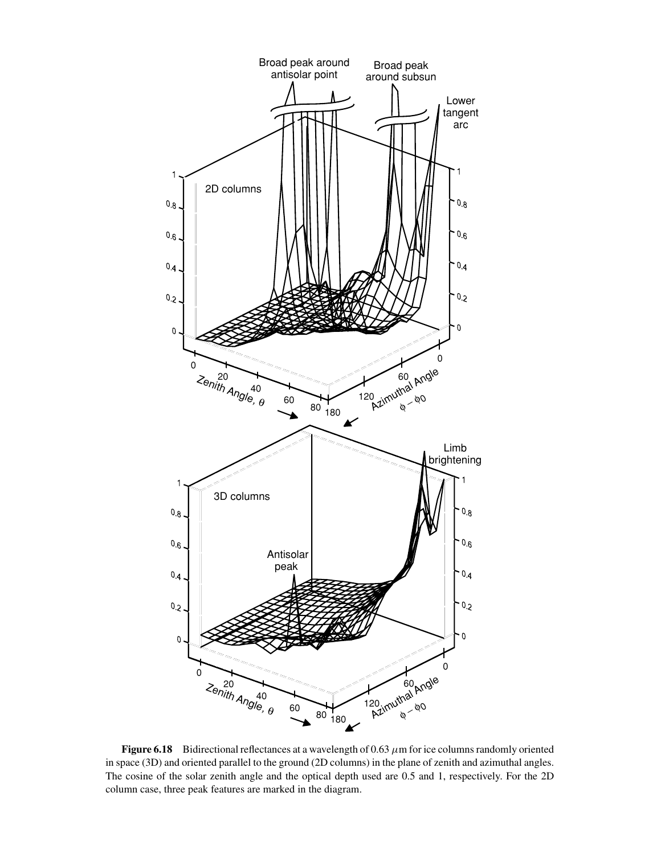

**Figure 6.18** Bidirectional reflectances at a wavelength of 0.63 *µ*m for ice columns randomly oriented in space (3D) and oriented parallel to the ground (2D columns) in the plane of zenith and azimuthal angles. The cosine of the solar zenith angle and the optical depth used are 0.5 and 1, respectively. For the 2D column case, three peak features are marked in the diagram.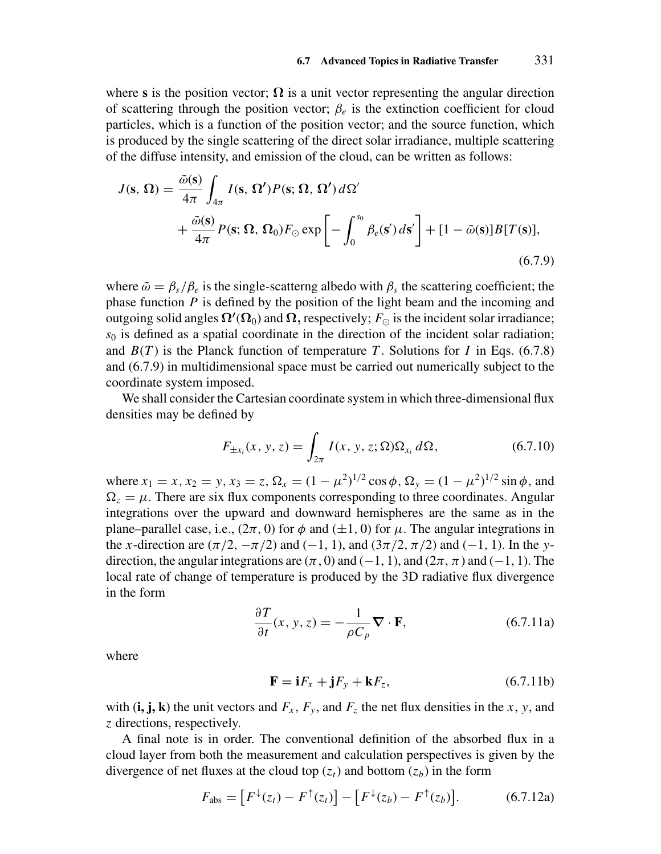where **s** is the position vector;  $\Omega$  is a unit vector representing the angular direction of scattering through the position vector;  $\beta_e$  is the extinction coefficient for cloud particles, which is a function of the position vector; and the source function, which is produced by the single scattering of the direct solar irradiance, multiple scattering of the diffuse intensity, and emission of the cloud, can be written as follows:

$$
J(\mathbf{s}, \, \Omega) = \frac{\tilde{\omega}(\mathbf{s})}{4\pi} \int_{4\pi} I(\mathbf{s}, \, \Omega') P(\mathbf{s}; \, \Omega, \, \Omega') d\Omega' + \frac{\tilde{\omega}(\mathbf{s})}{4\pi} P(\mathbf{s}; \, \Omega, \, \Omega_0) F_{\odot} \exp\left[ -\int_0^{s_0} \beta_e(\mathbf{s}') d\mathbf{s}' \right] + [1 - \tilde{\omega}(\mathbf{s})] B[T(\mathbf{s})],
$$
\n(6.7.9)

where  $\tilde{\omega} = \beta_s / \beta_e$  is the single-scatterng albedo with  $\beta_s$  the scattering coefficient; the phase function *P* is defined by the position of the light beam and the incoming and outgoing solid angles  $\Omega'(\Omega_0)$  and  $\Omega$ , respectively;  $F_{\odot}$  is the incident solar irradiance;  $s<sub>0</sub>$  is defined as a spatial coordinate in the direction of the incident solar radiation; and  $B(T)$  is the Planck function of temperature *T*. Solutions for *I* in Eqs. (6.7.8) and (6.7.9) in multidimensional space must be carried out numerically subject to the coordinate system imposed.

We shall consider the Cartesian coordinate system in which three-dimensional flux densities may be defined by

$$
F_{\pm x_i}(x, y, z) = \int_{2\pi} I(x, y, z; \Omega) \Omega_{x_i} d\Omega, \qquad (6.7.10)
$$

where  $x_1 = x$ ,  $x_2 = y$ ,  $x_3 = z$ ,  $\Omega_x = (1 - \mu^2)^{1/2} \cos \phi$ ,  $\Omega_y = (1 - \mu^2)^{1/2} \sin \phi$ , and  $\Omega_z = \mu$ . There are six flux components corresponding to three coordinates. Angular integrations over the upward and downward hemispheres are the same as in the plane–parallel case, i.e.,  $(2\pi, 0)$  for  $\phi$  and  $(\pm 1, 0)$  for  $\mu$ . The angular integrations in the *x*-direction are  $(π/2, -π/2)$  and  $(−1, 1)$ , and  $(3π/2, π/2)$  and  $(−1, 1)$ . In the *y*direction, the angular integrations are  $(\pi, 0)$  and  $(-1, 1)$ , and  $(2\pi, \pi)$  and  $(-1, 1)$ . The local rate of change of temperature is produced by the 3D radiative flux divergence in the form

$$
\frac{\partial T}{\partial t}(x, y, z) = -\frac{1}{\rho C_p} \nabla \cdot \mathbf{F},
$$
\n(6.7.11a)

where

$$
\mathbf{F} = \mathbf{i}F_x + \mathbf{j}F_y + \mathbf{k}F_z,\tag{6.7.11b}
$$

with  $(i, j, k)$  the unit vectors and  $F_x$ ,  $F_y$ , and  $F_z$  the net flux densities in the *x*, *y*, and *z* directions, respectively.

A final note is in order. The conventional definition of the absorbed flux in a cloud layer from both the measurement and calculation perspectives is given by the divergence of net fluxes at the cloud top  $(z_t)$  and bottom  $(z_b)$  in the form

$$
F_{\text{abs}} = \left[ F^{\downarrow}(z_t) - F^{\uparrow}(z_t) \right] - \left[ F^{\downarrow}(z_b) - F^{\uparrow}(z_b) \right]. \tag{6.7.12a}
$$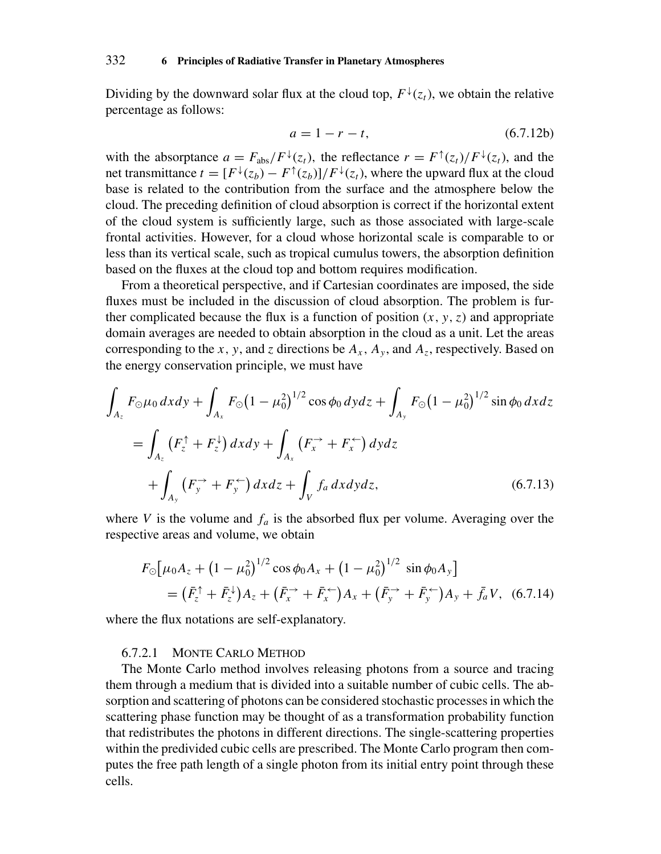### 332 **6 Principles of Radiative Transfer in Planetary Atmospheres**

Dividing by the downward solar flux at the cloud top,  $F^{\downarrow}(z_t)$ , we obtain the relative percentage as follows:

$$
a = 1 - r - t,\t(6.7.12b)
$$

with the absorptance  $a = F_{\text{abs}}/F^{\downarrow}(z_t)$ , the reflectance  $r = F^{\uparrow}(z_t)/F^{\downarrow}(z_t)$ , and the net transmittance  $t = [F^{\downarrow}(z_b) - F^{\uparrow}(z_b)]/F^{\downarrow}(z_t)$ , where the upward flux at the cloud base is related to the contribution from the surface and the atmosphere below the cloud. The preceding definition of cloud absorption is correct if the horizontal extent of the cloud system is sufficiently large, such as those associated with large-scale frontal activities. However, for a cloud whose horizontal scale is comparable to or less than its vertical scale, such as tropical cumulus towers, the absorption definition based on the fluxes at the cloud top and bottom requires modification.

From a theoretical perspective, and if Cartesian coordinates are imposed, the side fluxes must be included in the discussion of cloud absorption. The problem is further complicated because the flux is a function of position  $(x, y, z)$  and appropriate domain averages are needed to obtain absorption in the cloud as a unit. Let the areas corresponding to the *x*, *y*, and *z* directions be  $A_x$ ,  $A_y$ , and  $A_z$ , respectively. Based on the energy conservation principle, we must have

$$
\int_{A_z} F_{\odot}\mu_0 dx dy + \int_{A_x} F_{\odot} (1 - \mu_0^2)^{1/2} \cos \phi_0 dy dz + \int_{A_y} F_{\odot} (1 - \mu_0^2)^{1/2} \sin \phi_0 dx dz
$$
\n
$$
= \int_{A_z} (F_z^{\uparrow} + F_z^{\downarrow}) dx dy + \int_{A_x} (F_x^{\rightarrow} + F_x^{\leftarrow}) dy dz
$$
\n
$$
+ \int_{A_y} (F_y^{\rightarrow} + F_y^{\leftarrow}) dx dz + \int_V f_a dx dy dz, \qquad (6.7.13)
$$

where *V* is the volume and  $f_a$  is the absorbed flux per volume. Averaging over the respective areas and volume, we obtain

$$
F_{\odot}[\mu_0 A_z + (1 - \mu_0^2)^{1/2} \cos \phi_0 A_x + (1 - \mu_0^2)^{1/2} \sin \phi_0 A_y]
$$
  
=  $(\bar{F}_z^{\uparrow} + \bar{F}_z^{\downarrow}) A_z + (\bar{F}_x^{\rightarrow} + \bar{F}_x^{\leftarrow}) A_x + (\bar{F}_y^{\rightarrow} + \bar{F}_y^{\leftarrow}) A_y + \bar{f}_a V,$  (6.7.14)

where the flux notations are self-explanatory.

### 6.7.2.1 MONTE CARLO METHOD

The Monte Carlo method involves releasing photons from a source and tracing them through a medium that is divided into a suitable number of cubic cells. The absorption and scattering of photons can be considered stochastic processes in which the scattering phase function may be thought of as a transformation probability function that redistributes the photons in different directions. The single-scattering properties within the predivided cubic cells are prescribed. The Monte Carlo program then computes the free path length of a single photon from its initial entry point through these cells.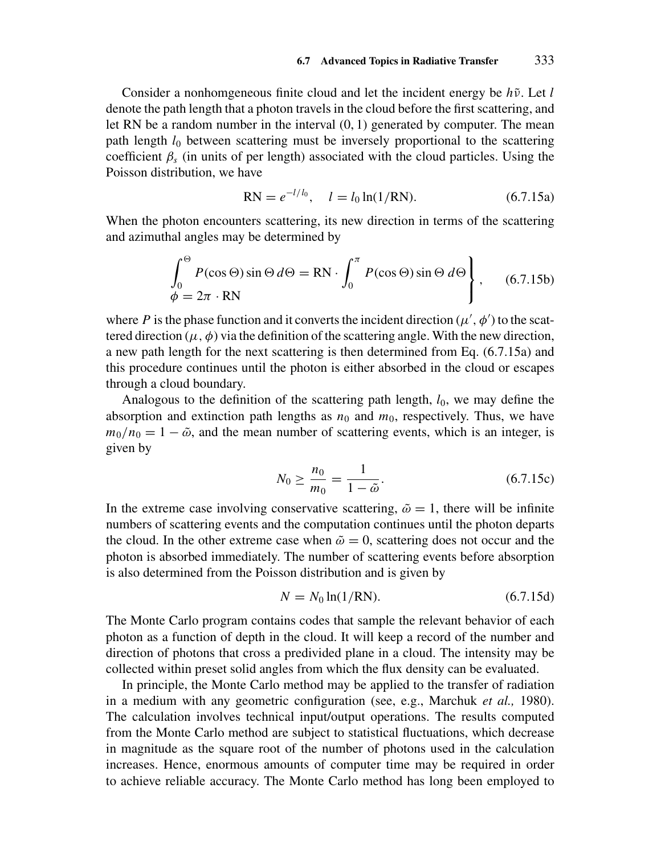Consider a nonhomgeneous finite cloud and let the incident energy be  $h\tilde{v}$ . Let *l* denote the path length that a photon travels in the cloud before the first scattering, and let RN be a random number in the interval (0, 1) generated by computer. The mean path length  $l_0$  between scattering must be inversely proportional to the scattering coefficient  $\beta_s$  (in units of per length) associated with the cloud particles. Using the Poisson distribution, we have

$$
RN = e^{-l/l_0}, \quad l = l_0 \ln(1/RN). \tag{6.7.15a}
$$

When the photon encounters scattering, its new direction in terms of the scattering and azimuthal angles may be determined by

$$
\int_0^{\Theta} P(\cos \Theta) \sin \Theta \, d\Theta = \text{RN} \cdot \int_0^{\pi} P(\cos \Theta) \sin \Theta \, d\Theta \}, \quad (6.7.15b)
$$

where P is the phase function and it converts the incident direction  $(\mu', \phi')$  to the scattered direction  $(\mu, \phi)$  via the definition of the scattering angle. With the new direction, a new path length for the next scattering is then determined from Eq. (6.7.15a) and this procedure continues until the photon is either absorbed in the cloud or escapes through a cloud boundary.

Analogous to the definition of the scattering path length,  $l_0$ , we may define the absorption and extinction path lengths as  $n_0$  and  $m_0$ , respectively. Thus, we have  $m_0/n_0 = 1 - \tilde{\omega}$ , and the mean number of scattering events, which is an integer, is given by

$$
N_0 \ge \frac{n_0}{m_0} = \frac{1}{1 - \tilde{\omega}}.\tag{6.7.15c}
$$

In the extreme case involving conservative scattering,  $\tilde{\omega} = 1$ , there will be infinite numbers of scattering events and the computation continues until the photon departs the cloud. In the other extreme case when  $\tilde{\omega} = 0$ , scattering does not occur and the photon is absorbed immediately. The number of scattering events before absorption is also determined from the Poisson distribution and is given by

$$
N = N_0 \ln(1/\text{RN}).\tag{6.7.15d}
$$

The Monte Carlo program contains codes that sample the relevant behavior of each photon as a function of depth in the cloud. It will keep a record of the number and direction of photons that cross a predivided plane in a cloud. The intensity may be collected within preset solid angles from which the flux density can be evaluated.

In principle, the Monte Carlo method may be applied to the transfer of radiation in a medium with any geometric configuration (see, e.g., Marchuk *et al.,* 1980). The calculation involves technical input/output operations. The results computed from the Monte Carlo method are subject to statistical fluctuations, which decrease in magnitude as the square root of the number of photons used in the calculation increases. Hence, enormous amounts of computer time may be required in order to achieve reliable accuracy. The Monte Carlo method has long been employed to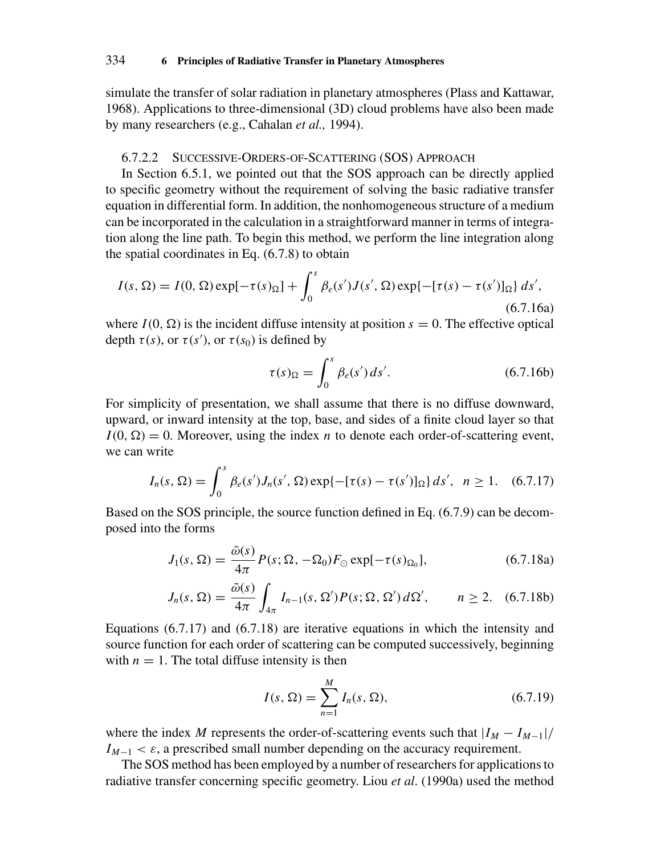simulate the transfer of solar radiation in planetary atmospheres (Plass and Kattawar, 1968). Applications to three-dimensional (3D) cloud problems have also been made by many researchers (e.g., Cahalan *et al.,* 1994).

## 6.7.2.2 SUCCESSIVE-ORDERS-OF-SCATTERING (SOS) APPROACH

In Section 6.5.1, we pointed out that the SOS approach can be directly applied to specific geometry without the requirement of solving the basic radiative transfer equation in differential form. In addition, the nonhomogeneous structure of a medium can be incorporated in the calculation in a straightforward manner in terms of integration along the line path. To begin this method, we perform the line integration along the spatial coordinates in Eq. (6.7.8) to obtain

$$
I(s, \Omega) = I(0, \Omega) \exp[-\tau(s)_{\Omega}] + \int_0^s \beta_e(s') J(s', \Omega) \exp\{-[\tau(s) - \tau(s')]_{\Omega}\} ds',
$$
\n(6.7.16a)

where  $I(0, \Omega)$  is the incident diffuse intensity at position  $s = 0$ . The effective optical depth  $\tau(s)$ , or  $\tau(s')$ , or  $\tau(s_0)$  is defined by

$$
\tau(s)_{\Omega} = \int_0^s \beta_e(s') \, ds'.
$$
\n(6.7.16b)

For simplicity of presentation, we shall assume that there is no diffuse downward, upward, or inward intensity at the top, base, and sides of a finite cloud layer so that  $I(0, \Omega) = 0$ . Moreover, using the index *n* to denote each order-of-scattering event, we can write

$$
I_n(s, \Omega) = \int_0^s \beta_e(s') J_n(s', \Omega) \exp\{-[\tau(s) - \tau(s')]_{\Omega}\} ds', \ \ n \ge 1. \quad (6.7.17)
$$

Based on the SOS principle, the source function defined in Eq. (6.7.9) can be decomposed into the forms

$$
J_1(s,\Omega) = \frac{\tilde{\omega}(s)}{4\pi} P(s;\Omega,-\Omega_0) F_{\odot} \exp[-\tau(s)_{\Omega_0}], \qquad (6.7.18a)
$$

$$
J_n(s,\Omega)=\frac{\tilde{\omega}(s)}{4\pi}\int_{4\pi}I_{n-1}(s,\Omega')P(s;\Omega,\Omega')\,d\Omega',\qquad n\geq 2.\quad(6.7.18b)
$$

Equations (6.7.17) and (6.7.18) are iterative equations in which the intensity and source function for each order of scattering can be computed successively, beginning with  $n = 1$ . The total diffuse intensity is then

$$
I(s, \Omega) = \sum_{n=1}^{M} I_n(s, \Omega),
$$
\n(6.7.19)

where the index *M* represents the order-of-scattering events such that  $|I_M - I_{M-1}|/$  $I_{M-1} < \varepsilon$ , a prescribed small number depending on the accuracy requirement.

The SOS method has been employed by a number of researchers for applications to radiative transfer concerning specific geometry. Liou *et al*. (1990a) used the method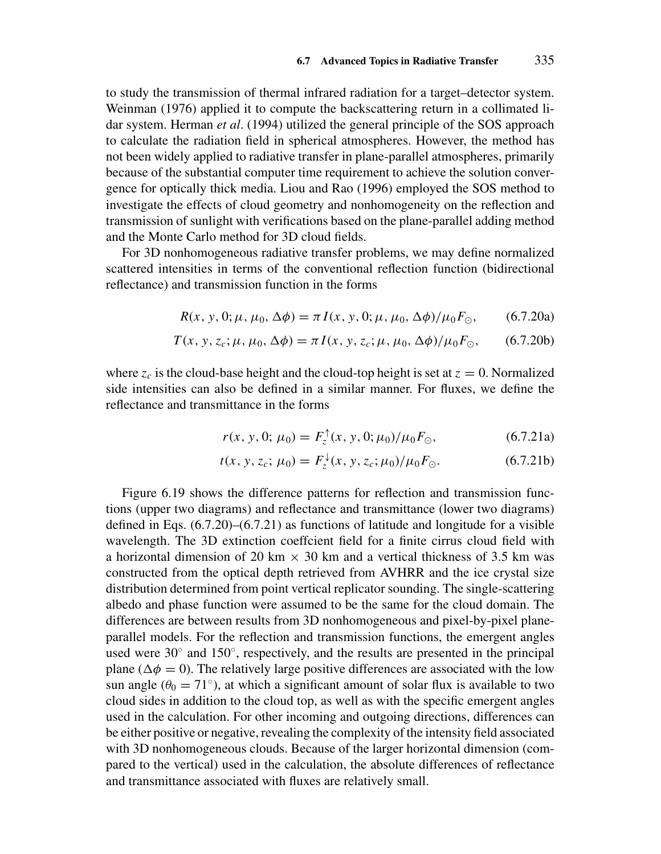to study the transmission of thermal infrared radiation for a target–detector system. Weinman (1976) applied it to compute the backscattering return in a collimated lidar system. Herman *et al*. (1994) utilized the general principle of the SOS approach to calculate the radiation field in spherical atmospheres. However, the method has not been widely applied to radiative transfer in plane-parallel atmospheres, primarily because of the substantial computer time requirement to achieve the solution convergence for optically thick media. Liou and Rao (1996) employed the SOS method to investigate the effects of cloud geometry and nonhomogeneity on the reflection and transmission of sunlight with verifications based on the plane-parallel adding method and the Monte Carlo method for 3D cloud fields.

For 3D nonhomogeneous radiative transfer problems, we may define normalized scattered intensities in terms of the conventional reflection function (bidirectional reflectance) and transmission function in the forms

$$
R(x, y, 0; \mu, \mu_0, \Delta \phi) = \pi I(x, y, 0; \mu, \mu_0, \Delta \phi) / \mu_0 F_{\odot}, \quad (6.7.20a)
$$

$$
T(x, y, z_c; \mu, \mu_0, \Delta \phi) = \pi I(x, y, z_c; \mu, \mu_0, \Delta \phi) / \mu_0 F_{\odot}, \quad (6.7.20b)
$$

where  $z_c$  is the cloud-base height and the cloud-top height is set at  $z = 0$ . Normalized side intensities can also be defined in a similar manner. For fluxes, we define the reflectance and transmittance in the forms

$$
r(x, y, 0; \mu_0) = F_z^{\uparrow}(x, y, 0; \mu_0) / \mu_0 F_{\odot}, \tag{6.7.21a}
$$

$$
t(x, y, z_c; \mu_0) = F_z^{\downarrow}(x, y, z_c; \mu_0) / \mu_0 F_{\odot}.
$$
 (6.7.21b)

Figure 6.19 shows the difference patterns for reflection and transmission functions (upper two diagrams) and reflectance and transmittance (lower two diagrams) defined in Eqs. (6.7.20)–(6.7.21) as functions of latitude and longitude for a visible wavelength. The 3D extinction coeffcient field for a finite cirrus cloud field with a horizontal dimension of 20 km  $\times$  30 km and a vertical thickness of 3.5 km was constructed from the optical depth retrieved from AVHRR and the ice crystal size distribution determined from point vertical replicator sounding. The single-scattering albedo and phase function were assumed to be the same for the cloud domain. The differences are between results from 3D nonhomogeneous and pixel-by-pixel planeparallel models. For the reflection and transmission functions, the emergent angles used were 30◦ and 150◦, respectively, and the results are presented in the principal plane ( $\Delta \phi = 0$ ). The relatively large positive differences are associated with the low sun angle ( $\theta_0 = 71^\circ$ ), at which a significant amount of solar flux is available to two cloud sides in addition to the cloud top, as well as with the specific emergent angles used in the calculation. For other incoming and outgoing directions, differences can be either positive or negative, revealing the complexity of the intensity field associated with 3D nonhomogeneous clouds. Because of the larger horizontal dimension (compared to the vertical) used in the calculation, the absolute differences of reflectance and transmittance associated with fluxes are relatively small.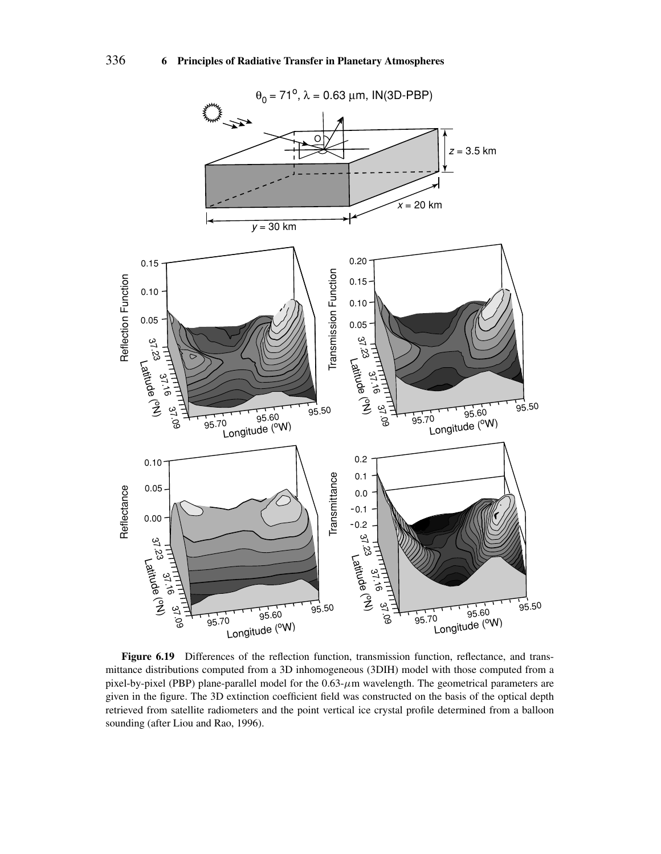

**Figure 6.19** Differences of the reflection function, transmission function, reflectance, and transmittance distributions computed from a 3D inhomogeneous (3DIH) model with those computed from a pixel-by-pixel (PBP) plane-parallel model for the 0.63-*µ*m wavelength. The geometrical parameters are given in the figure. The 3D extinction coefficient field was constructed on the basis of the optical depth retrieved from satellite radiometers and the point vertical ice crystal profile determined from a balloon sounding (after Liou and Rao, 1996).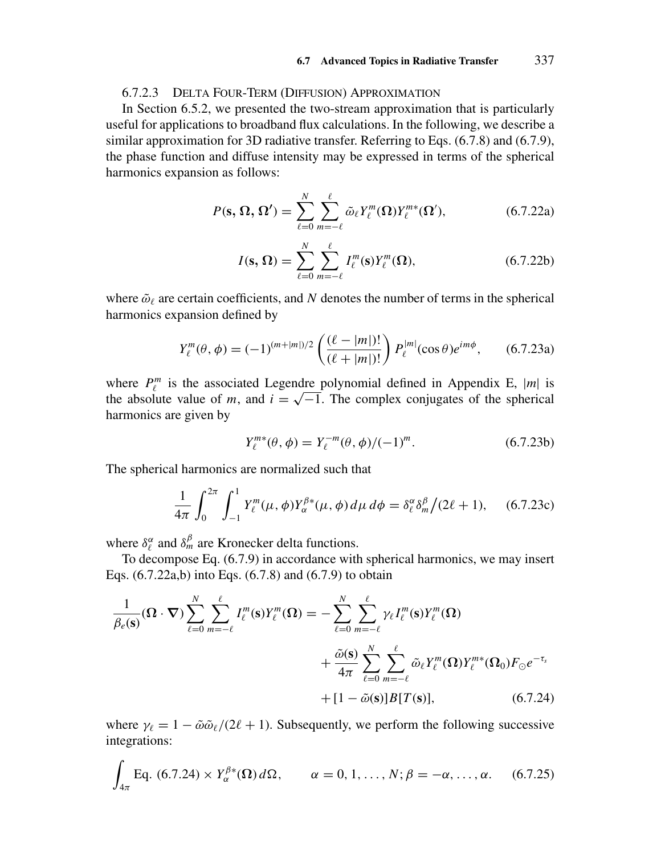#### 6.7.2.3 DELTA FOUR-TERM (DIFFUSION) APPROXIMATION

In Section 6.5.2, we presented the two-stream approximation that is particularly useful for applications to broadband flux calculations. In the following, we describe a similar approximation for 3D radiative transfer. Referring to Eqs. (6.7.8) and (6.7.9), the phase function and diffuse intensity may be expressed in terms of the spherical harmonics expansion as follows:

$$
P(\mathbf{s}, \Omega, \Omega') = \sum_{\ell=0}^{N} \sum_{m=-\ell}^{\ell} \tilde{\omega}_{\ell} Y_{\ell}^{m}(\Omega) Y_{\ell}^{m*}(\Omega'), \qquad (6.7.22a)
$$

$$
I(\mathbf{s}, \Omega) = \sum_{\ell=0}^{N} \sum_{m=-\ell}^{\ell} I_{\ell}^{m}(\mathbf{s}) Y_{\ell}^{m}(\Omega), \qquad (6.7.22b)
$$

where  $\tilde{\omega}_{\ell}$  are certain coefficients, and *N* denotes the number of terms in the spherical harmonics expansion defined by

$$
Y_{\ell}^{m}(\theta,\phi) = (-1)^{(m+|m|)/2} \left( \frac{(\ell-|m|)!}{(\ell+|m|)!} \right) P_{\ell}^{|m|}(\cos\theta) e^{im\phi}, \qquad (6.7.23a)
$$

where  $P_{\ell}^{m}$  is the associated Legendre polynomial defined in Appendix E, |*m*| is the absolute value of *m*, and  $i = \sqrt{-1}$ . The complex conjugates of the spherical harmonics are given by

$$
Y_{\ell}^{m*}(\theta,\phi) = Y_{\ell}^{-m}(\theta,\phi)/(-1)^{m}.
$$
 (6.7.23b)

The spherical harmonics are normalized such that

$$
\frac{1}{4\pi} \int_0^{2\pi} \int_{-1}^1 Y_{\ell}^m(\mu, \phi) Y_{\alpha}^{\beta*}(\mu, \phi) d\mu d\phi = \delta_{\ell}^{\alpha} \delta_m^{\beta} / (2\ell + 1), \quad (6.7.23c)
$$

where  $\delta_{\ell}^{\alpha}$  and  $\delta_{m}^{\beta}$  are Kronecker delta functions.

To decompose Eq. (6.7.9) in accordance with spherical harmonics, we may insert Eqs. (6.7.22a,b) into Eqs. (6.7.8) and (6.7.9) to obtain

$$
\frac{1}{\beta_e(\mathbf{s})}(\mathbf{\Omega} \cdot \nabla) \sum_{\ell=0}^N \sum_{m=-\ell}^{\ell} I_{\ell}^m(\mathbf{s}) Y_{\ell}^m(\mathbf{\Omega}) = -\sum_{\ell=0}^N \sum_{m=-\ell}^{\ell} \gamma_{\ell} I_{\ell}^m(\mathbf{s}) Y_{\ell}^m(\mathbf{\Omega}) \n+ \frac{\tilde{\omega}(\mathbf{s})}{4\pi} \sum_{\ell=0}^N \sum_{m=-\ell}^{\ell} \tilde{\omega}_{\ell} Y_{\ell}^m(\mathbf{\Omega}) Y_{\ell}^{m*}(\mathbf{\Omega}_0) F_{\odot} e^{-\tau_s} \n+ [1 - \tilde{\omega}(\mathbf{s})] B[T(\mathbf{s})], \qquad (6.7.24)
$$

where  $\gamma_{\ell} = 1 - \tilde{\omega} \tilde{\omega}_{\ell}/(2\ell + 1)$ . Subsequently, we perform the following successive integrations:

$$
\int_{4\pi} \mathrm{Eq.} \ (6.7.24) \times Y_{\alpha}^{\beta*}(\Omega) d\Omega, \qquad \alpha = 0, 1, \dots, N; \beta = -\alpha, \dots, \alpha. \tag{6.7.25}
$$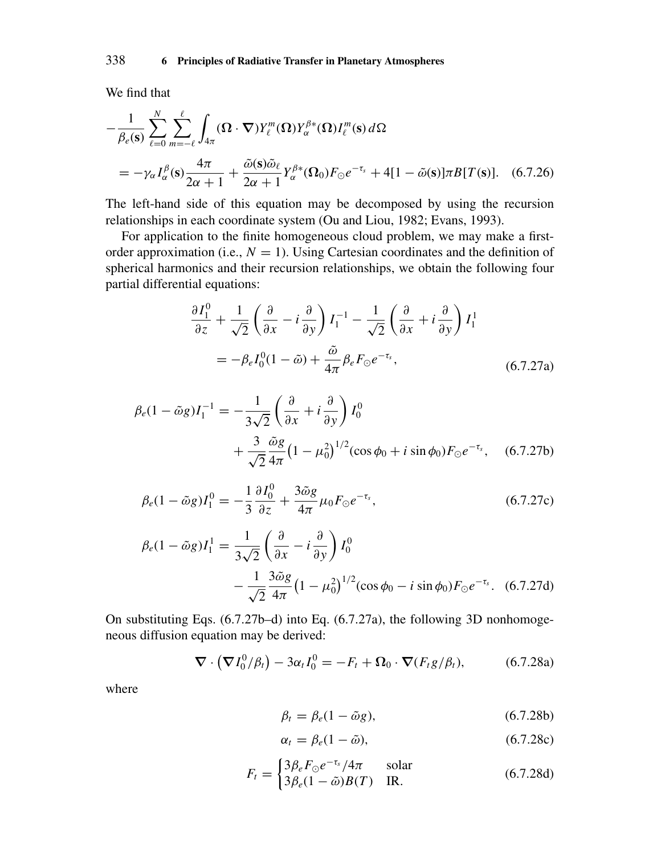We find that

$$
-\frac{1}{\beta_e(\mathbf{s})} \sum_{\ell=0}^N \sum_{m=-\ell}^{\ell} \int_{4\pi} (\mathbf{\Omega} \cdot \nabla) Y_{\ell}^m(\mathbf{\Omega}) Y_{\alpha}^{\beta*}(\mathbf{\Omega}) I_{\ell}^m(\mathbf{s}) d\Omega
$$
  
=  $-\gamma_{\alpha} I_{\alpha}^{\beta}(\mathbf{s}) \frac{4\pi}{2\alpha + 1} + \frac{\tilde{\omega}(\mathbf{s}) \tilde{\omega}_{\ell}}{2\alpha + 1} Y_{\alpha}^{\beta*}(\mathbf{\Omega}_0) F_{\odot} e^{-\tau_s} + 4[1 - \tilde{\omega}(\mathbf{s})] \pi B[T(\mathbf{s})].$  (6.7.26)

The left-hand side of this equation may be decomposed by using the recursion relationships in each coordinate system (Ou and Liou, 1982; Evans, 1993).

For application to the finite homogeneous cloud problem, we may make a firstorder approximation (i.e.,  $N = 1$ ). Using Cartesian coordinates and the definition of spherical harmonics and their recursion relationships, we obtain the following four partial differential equations:

$$
\frac{\partial I_1^0}{\partial z} + \frac{1}{\sqrt{2}} \left( \frac{\partial}{\partial x} - i \frac{\partial}{\partial y} \right) I_1^{-1} - \frac{1}{\sqrt{2}} \left( \frac{\partial}{\partial x} + i \frac{\partial}{\partial y} \right) I_1^1
$$
  
=  $-\beta_e I_0^0 (1 - \tilde{\omega}) + \frac{\tilde{\omega}}{4\pi} \beta_e F_{\odot} e^{-\tau_s},$  (6.7.27a)

$$
\beta_e (1 - \tilde{\omega}g) I_1^{-1} = -\frac{1}{3\sqrt{2}} \left( \frac{\partial}{\partial x} + i \frac{\partial}{\partial y} \right) I_0^0 \n+ \frac{3}{\sqrt{2}} \frac{\tilde{\omega}g}{4\pi} (1 - \mu_0^2)^{1/2} (\cos \phi_0 + i \sin \phi_0) F_{\odot} e^{-\tau_s}, \quad (6.7.27b)
$$

$$
\beta_e (1 - \tilde{\omega}g) I_1^0 = -\frac{1}{3} \frac{\partial I_0^0}{\partial z} + \frac{3 \tilde{\omega}g}{4\pi} \mu_0 F_{\odot} e^{-\tau_s},\tag{6.7.27c}
$$

$$
\beta_e (1 - \tilde{\omega}g) I_1^1 = \frac{1}{3\sqrt{2}} \left( \frac{\partial}{\partial x} - i \frac{\partial}{\partial y} \right) I_0^0
$$
  
 
$$
- \frac{1}{\sqrt{2}} \frac{3\tilde{\omega}g}{4\pi} \left( 1 - \mu_0^2 \right)^{1/2} (\cos \phi_0 - i \sin \phi_0) F_\odot e^{-\tau_s} . \quad (6.7.27d)
$$

On substituting Eqs. (6.7.27b–d) into Eq. (6.7.27a), the following 3D nonhomogeneous diffusion equation may be derived:

$$
\nabla \cdot (\nabla I_0^0/\beta_t) - 3\alpha_t I_0^0 = -F_t + \Omega_0 \cdot \nabla (F_t g/\beta_t), \qquad (6.7.28a)
$$

where

$$
\beta_t = \beta_e (1 - \tilde{\omega}g),\tag{6.7.28b}
$$

$$
\alpha_t = \beta_e (1 - \tilde{\omega}), \tag{6.7.28c}
$$

$$
F_t = \begin{cases} 3\beta_e F_{\odot} e^{-\tau_s}/4\pi & \text{ solar} \\ 3\beta_e (1 - \tilde{\omega})B(T) & \text{IR.} \end{cases}
$$
 (6.7.28d)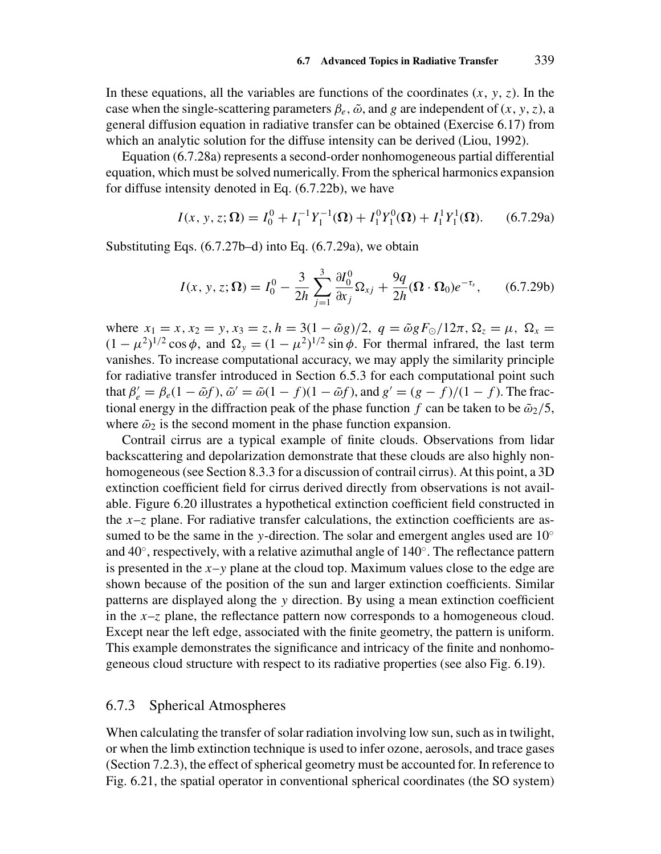In these equations, all the variables are functions of the coordinates  $(x, y, z)$ . In the case when the single-scattering parameters  $\beta_e$ ,  $\tilde{\omega}$ , and *g* are independent of  $(x, y, z)$ , a general diffusion equation in radiative transfer can be obtained (Exercise 6.17) from which an analytic solution for the diffuse intensity can be derived (Liou, 1992).

Equation (6.7.28a) represents a second-order nonhomogeneous partial differential equation, which must be solved numerically. From the spherical harmonics expansion for diffuse intensity denoted in Eq. (6.7.22b), we have

$$
I(x, y, z; \Omega) = I_0^0 + I_1^{-1} Y_1^{-1}(\Omega) + I_1^0 Y_1^0(\Omega) + I_1^1 Y_1^1(\Omega).
$$
 (6.7.29a)

Substituting Eqs. (6.7.27b–d) into Eq. (6.7.29a), we obtain

$$
I(x, y, z; \Omega) = I_0^0 - \frac{3}{2h} \sum_{j=1}^3 \frac{\partial I_0^0}{\partial x_j} \Omega_{xj} + \frac{9q}{2h} (\Omega \cdot \Omega_0) e^{-\tau_s}, \qquad (6.7.29b)
$$

where  $x_1 = x, x_2 = y, x_3 = z, h = 3(1 - \tilde{\omega}g)/2, q = \tilde{\omega}gF_{\odot}/12\pi, \Omega_z = \mu, \Omega_x =$  $(1 - \mu^2)^{1/2} \cos \phi$ , and  $\Omega_y = (1 - \mu^2)^{1/2} \sin \phi$ . For thermal infrared, the last term vanishes. To increase computational accuracy, we may apply the similarity principle for radiative transfer introduced in Section 6.5.3 for each computational point such that  $\beta'_e = \beta_e (1 - \tilde{\omega} f), \tilde{\omega}' = \tilde{\omega} (1 - f)(1 - \tilde{\omega} f), \text{ and } g' = (g - f)/(1 - f).$  The fractional energy in the diffraction peak of the phase function *f* can be taken to be  $\tilde{\omega}_2/5$ , where  $\tilde{\omega}_2$  is the second moment in the phase function expansion.

Contrail cirrus are a typical example of finite clouds. Observations from lidar backscattering and depolarization demonstrate that these clouds are also highly nonhomogeneous (see Section 8.3.3 for a discussion of contrail cirrus). At this point, a 3D extinction coefficient field for cirrus derived directly from observations is not available. Figure 6.20 illustrates a hypothetical extinction coefficient field constructed in the  $x-z$  plane. For radiative transfer calculations, the extinction coefficients are assumed to be the same in the *y*-direction. The solar and emergent angles used are 10◦ and 40◦, respectively, with a relative azimuthal angle of 140◦. The reflectance pattern is presented in the *x*–*y* plane at the cloud top. Maximum values close to the edge are shown because of the position of the sun and larger extinction coefficients. Similar patterns are displayed along the *y* direction. By using a mean extinction coefficient in the *x*–*z* plane, the reflectance pattern now corresponds to a homogeneous cloud. Except near the left edge, associated with the finite geometry, the pattern is uniform. This example demonstrates the significance and intricacy of the finite and nonhomogeneous cloud structure with respect to its radiative properties (see also Fig. 6.19).

# 6.7.3 Spherical Atmospheres

When calculating the transfer of solar radiation involving low sun, such as in twilight, or when the limb extinction technique is used to infer ozone, aerosols, and trace gases (Section 7.2.3), the effect of spherical geometry must be accounted for. In reference to Fig. 6.21, the spatial operator in conventional spherical coordinates (the SO system)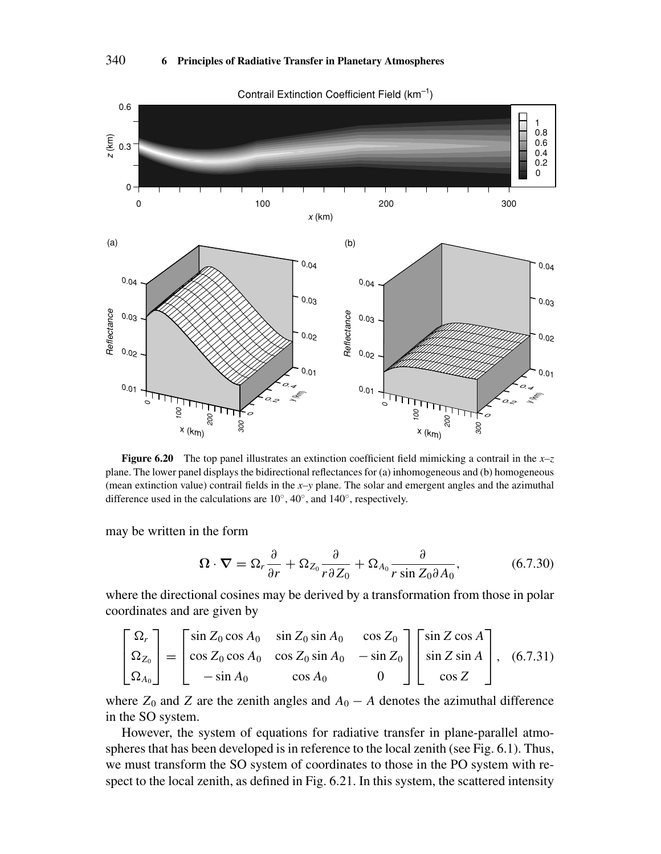

Contrail Extinction Coefficient Field (km–1)

**Figure 6.20** The top panel illustrates an extinction coefficient field mimicking a contrail in the *x–z* plane. The lower panel displays the bidirectional reflectances for (a) inhomogeneous and (b) homogeneous (mean extinction value) contrail fields in the *x–y* plane. The solar and emergent angles and the azimuthal difference used in the calculations are 10◦, 40◦, and 140◦, respectively.

may be written in the form

$$
\Omega \cdot \nabla = \Omega_r \frac{\partial}{\partial r} + \Omega_{Z_0} \frac{\partial}{r \partial Z_0} + \Omega_{A_0} \frac{\partial}{r \sin Z_0 \partial A_0},
$$
(6.7.30)

where the directional cosines may be derived by a transformation from those in polar coordinates and are given by

$$
\begin{bmatrix}\n\Omega_r \\
\Omega_{Z_0} \\
\Omega_{A_0}\n\end{bmatrix} = \begin{bmatrix}\n\sin Z_0 \cos A_0 & \sin Z_0 \sin A_0 & \cos Z_0 \\
\cos Z_0 \cos A_0 & \cos Z_0 \sin A_0 & -\sin Z_0 \\
-\sin A_0 & \cos A_0 & 0\n\end{bmatrix} \begin{bmatrix}\n\sin Z \cos A \\
\sin Z \sin A \\
\cos Z\n\end{bmatrix}, (6.7.31)
$$

where  $Z_0$  and  $Z$  are the zenith angles and  $A_0 - A$  denotes the azimuthal difference in the SO system.

However, the system of equations for radiative transfer in plane-parallel atmospheres that has been developed is in reference to the local zenith (see Fig. 6.1). Thus, we must transform the SO system of coordinates to those in the PO system with respect to the local zenith, as defined in Fig. 6.21. In this system, the scattered intensity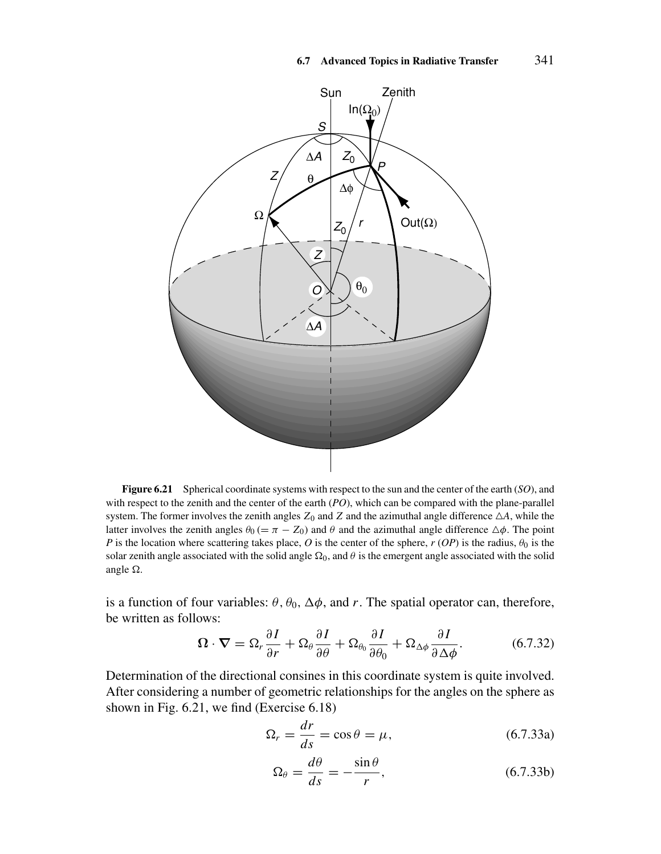

**Figure 6.21** Spherical coordinate systems with respect to the sun and the center of the earth (*SO*), and with respect to the zenith and the center of the earth (*PO*), which can be compared with the plane-parallel system. The former involves the zenith angles  $Z_0$  and  $Z$  and the azimuthal angle difference  $\triangle A$ , while the latter involves the zenith angles  $\theta_0 (= \pi - Z_0)$  and  $\theta$  and the azimuthal angle difference  $\Delta \phi$ . The point *P* is the location where scattering takes place, *O* is the center of the sphere, *r* (*OP*) is the radius,  $\theta_0$  is the solar zenith angle associated with the solid angle  $\Omega_0$ , and  $\theta$  is the emergent angle associated with the solid angle  $\Omega$ .

is a function of four variables:  $\theta$ ,  $\theta_0$ ,  $\Delta \phi$ , and *r*. The spatial operator can, therefore, be written as follows:

$$
\Omega \cdot \nabla = \Omega_r \frac{\partial I}{\partial r} + \Omega_\theta \frac{\partial I}{\partial \theta} + \Omega_{\theta_0} \frac{\partial I}{\partial \theta_0} + \Omega_{\Delta \phi} \frac{\partial I}{\partial \Delta \phi}.
$$
 (6.7.32)

Determination of the directional consines in this coordinate system is quite involved. After considering a number of geometric relationships for the angles on the sphere as shown in Fig. 6.21, we find (Exercise 6.18)

$$
\Omega_r = \frac{dr}{ds} = \cos \theta = \mu,\tag{6.7.33a}
$$

$$
\Omega_{\theta} = \frac{d\theta}{ds} = -\frac{\sin \theta}{r},\tag{6.7.33b}
$$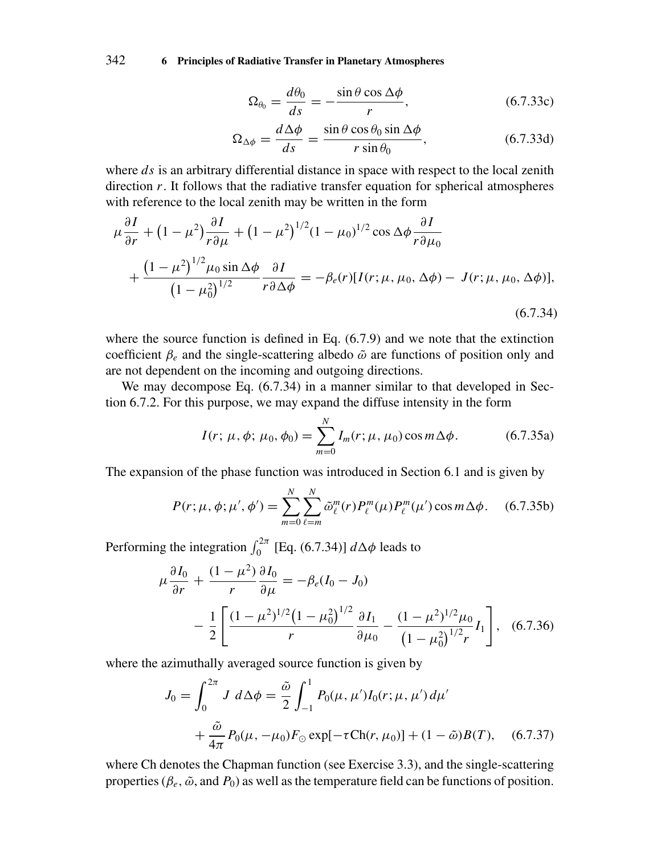### 342 **6 Principles of Radiative Transfer in Planetary Atmospheres**

$$
\Omega_{\theta_0} = \frac{d\theta_0}{ds} = -\frac{\sin\theta\cos\Delta\phi}{r},\tag{6.7.33c}
$$

$$
\Omega_{\Delta\phi} = \frac{d\Delta\phi}{ds} = \frac{\sin\theta\cos\theta_0\sin\Delta\phi}{r\sin\theta_0},
$$
\n(6.7.33d)

where *ds* is an arbitrary differential distance in space with respect to the local zenith direction *r*. It follows that the radiative transfer equation for spherical atmospheres with reference to the local zenith may be written in the form

$$
\mu \frac{\partial I}{\partial r} + (1 - \mu^2) \frac{\partial I}{r \partial \mu} + (1 - \mu^2)^{1/2} (1 - \mu_0)^{1/2} \cos \Delta \phi \frac{\partial I}{r \partial \mu_0}
$$
  
+ 
$$
\frac{(1 - \mu^2)^{1/2} \mu_0 \sin \Delta \phi}{(1 - \mu_0^2)^{1/2}} \frac{\partial I}{r \partial \Delta \phi} = -\beta_e(r) [I(r; \mu, \mu_0, \Delta \phi) - J(r; \mu, \mu_0, \Delta \phi)],
$$
(6.7.34)

where the source function is defined in Eq. (6.7.9) and we note that the extinction coefficient  $\beta_e$  and the single-scattering albedo  $\tilde{\omega}$  are functions of position only and are not dependent on the incoming and outgoing directions.

We may decompose Eq. (6.7.34) in a manner similar to that developed in Section 6.7.2. For this purpose, we may expand the diffuse intensity in the form

$$
I(r; \mu, \phi; \mu_0, \phi_0) = \sum_{m=0}^{N} I_m(r; \mu, \mu_0) \cos m \Delta \phi.
$$
 (6.7.35a)

The expansion of the phase function was introduced in Section 6.1 and is given by

$$
P(r; \mu, \phi; \mu', \phi') = \sum_{m=0}^{N} \sum_{\ell=m}^{N} \tilde{\omega}_{\ell}^{m}(r) P_{\ell}^{m}(\mu) P_{\ell}^{m}(\mu') \cos m \Delta \phi.
$$
 (6.7.35b)

Performing the integration  $\int_0^{2\pi}$  [Eq. (6.7.34)]  $d\Delta\phi$  leads to

$$
\mu \frac{\partial I_0}{\partial r} + \frac{(1 - \mu^2)}{r} \frac{\partial I_0}{\partial \mu} = -\beta_e (I_0 - J_0)
$$
  
 
$$
- \frac{1}{2} \left[ \frac{(1 - \mu^2)^{1/2} (1 - \mu_0^2)^{1/2}}{r} \frac{\partial I_1}{\partial \mu_0} - \frac{(1 - \mu^2)^{1/2} \mu_0}{(1 - \mu_0^2)^{1/2} r} I_1 \right], \quad (6.7.36)
$$

where the azimuthally averaged source function is given by

$$
J_0 = \int_0^{2\pi} J \ d\Delta \phi = \frac{\tilde{\omega}}{2} \int_{-1}^1 P_0(\mu, \mu') I_0(r; \mu, \mu') d\mu'
$$
  
+  $\frac{\tilde{\omega}}{4\pi} P_0(\mu, -\mu_0) F_{\odot} \exp[-\tau \text{Ch}(r, \mu_0)] + (1 - \tilde{\omega}) B(T), \quad (6.7.37)$ 

where Ch denotes the Chapman function (see Exercise 3.3), and the single-scattering properties ( $\beta_e$ ,  $\tilde{\omega}$ , and  $P_0$ ) as well as the temperature field can be functions of position.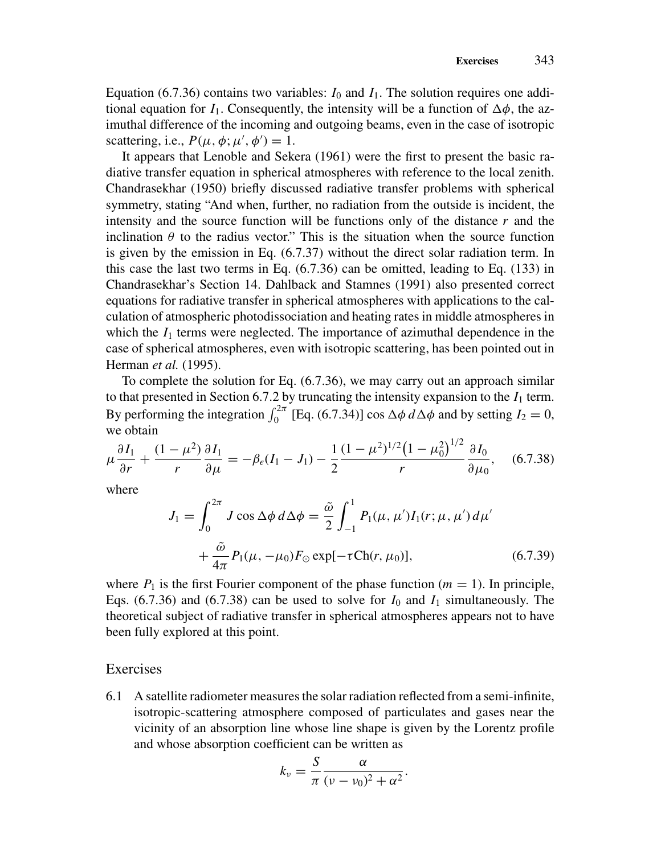Equation (6.7.36) contains two variables:  $I_0$  and  $I_1$ . The solution requires one additional equation for  $I_1$ . Consequently, the intensity will be a function of  $\Delta \phi$ , the azimuthal difference of the incoming and outgoing beams, even in the case of isotropic scattering, i.e.,  $P(\mu, \phi; \mu', \phi') = 1$ .

It appears that Lenoble and Sekera (1961) were the first to present the basic radiative transfer equation in spherical atmospheres with reference to the local zenith. Chandrasekhar (1950) briefly discussed radiative transfer problems with spherical symmetry, stating "And when, further, no radiation from the outside is incident, the intensity and the source function will be functions only of the distance *r* and the inclination  $\theta$  to the radius vector." This is the situation when the source function is given by the emission in Eq. (6.7.37) without the direct solar radiation term. In this case the last two terms in Eq. (6.7.36) can be omitted, leading to Eq. (133) in Chandrasekhar's Section 14. Dahlback and Stamnes (1991) also presented correct equations for radiative transfer in spherical atmospheres with applications to the calculation of atmospheric photodissociation and heating rates in middle atmospheres in which the  $I_1$  terms were neglected. The importance of azimuthal dependence in the case of spherical atmospheres, even with isotropic scattering, has been pointed out in Herman *et al.* (1995).

To complete the solution for Eq. (6.7.36), we may carry out an approach similar to that presented in Section 6.7.2 by truncating the intensity expansion to the  $I_1$  term. By performing the integration  $\int_0^{2\pi}$  [Eq. (6.7.34)] cos  $\Delta \phi \, d\Delta \phi$  and by setting  $I_2 = 0$ , we obtain

$$
\mu \frac{\partial I_1}{\partial r} + \frac{(1 - \mu^2)}{r} \frac{\partial I_1}{\partial \mu} = -\beta_e (I_1 - J_1) - \frac{1}{2} \frac{(1 - \mu^2)^{1/2} (1 - \mu_0^2)^{1/2}}{r} \frac{\partial I_0}{\partial \mu_0}, \quad (6.7.38)
$$

where

$$
J_1 = \int_0^{2\pi} J \cos \Delta \phi \, d\Delta \phi = \frac{\tilde{\omega}}{2} \int_{-1}^1 P_1(\mu, \mu') I_1(r; \mu, \mu') \, d\mu'
$$
  
+  $\frac{\tilde{\omega}}{4\pi} P_1(\mu, -\mu_0) F_{\odot} \exp[-\tau \text{Ch}(r, \mu_0)],$  (6.7.39)

where  $P_1$  is the first Fourier component of the phase function ( $m = 1$ ). In principle, Eqs.  $(6.7.36)$  and  $(6.7.38)$  can be used to solve for  $I_0$  and  $I_1$  simultaneously. The theoretical subject of radiative transfer in spherical atmospheres appears not to have been fully explored at this point.

# Exercises

6.1 A satellite radiometer measures the solar radiation reflected from a semi-infinite, isotropic-scattering atmosphere composed of particulates and gases near the vicinity of an absorption line whose line shape is given by the Lorentz profile and whose absorption coefficient can be written as

$$
k_{\nu}=\frac{S}{\pi}\frac{\alpha}{(\nu-\nu_0)^2+\alpha^2}.
$$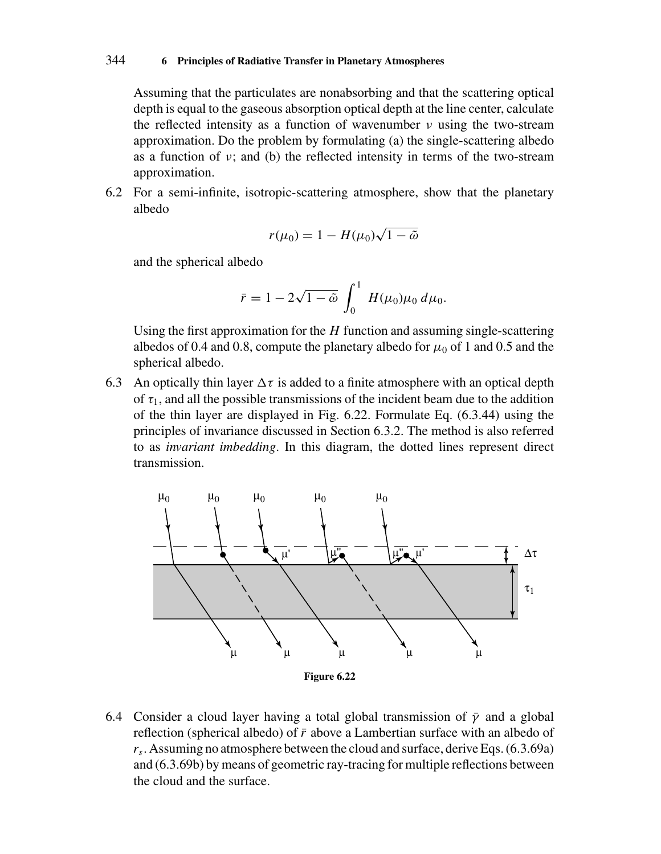# 344 **6 Principles of Radiative Transfer in Planetary Atmospheres**

Assuming that the particulates are nonabsorbing and that the scattering optical depth is equal to the gaseous absorption optical depth at the line center, calculate the reflected intensity as a function of wavenumber  $\nu$  using the two-stream approximation. Do the problem by formulating (a) the single-scattering albedo as a function of  $v$ ; and (b) the reflected intensity in terms of the two-stream approximation.

6.2 For a semi-infinite, isotropic-scattering atmosphere, show that the planetary albedo

$$
r(\mu_0) = 1 - H(\mu_0)\sqrt{1 - \tilde{\omega}}
$$

and the spherical albedo

$$
\bar{r} = 1 - 2\sqrt{1 - \tilde{\omega}} \int_0^1 H(\mu_0) \mu_0 \, d\mu_0.
$$

Using the first approximation for the *H* function and assuming single-scattering albedos of 0.4 and 0.8, compute the planetary albedo for  $\mu_0$  of 1 and 0.5 and the spherical albedo.

6.3 An optically thin layer  $\Delta \tau$  is added to a finite atmosphere with an optical depth of  $\tau_1$ , and all the possible transmissions of the incident beam due to the addition of the thin layer are displayed in Fig. 6.22. Formulate Eq. (6.3.44) using the principles of invariance discussed in Section 6.3.2. The method is also referred to as *invariant imbedding*. In this diagram, the dotted lines represent direct transmission.



6.4 Consider a cloud layer having a total global transmission of  $\bar{y}$  and a global reflection (spherical albedo) of  $\bar{r}$  above a Lambertian surface with an albedo of *rs*. Assuming no atmosphere between the cloud and surface, derive Eqs. (6.3.69a) and (6.3.69b) by means of geometric ray-tracing for multiple reflections between the cloud and the surface.